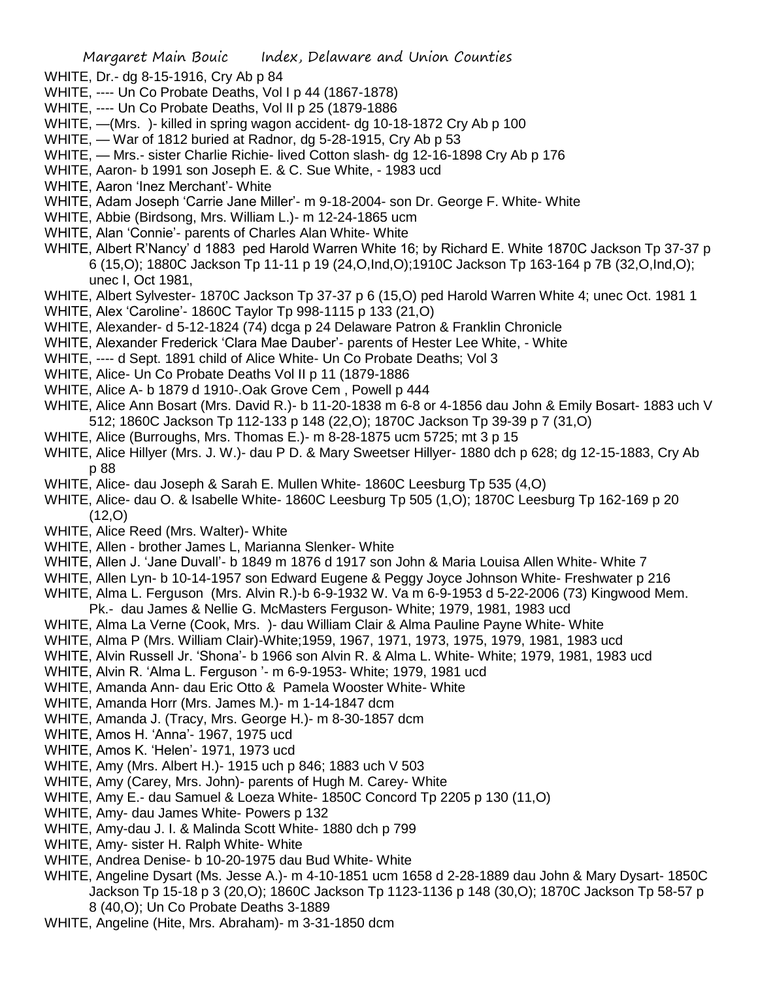- WHITE, Dr.- dg 8-15-1916, Cry Ab p 84
- WHITE, ---- Un Co Probate Deaths, Vol I p 44 (1867-1878)
- WHITE, ---- Un Co Probate Deaths, Vol II p 25 (1879-1886
- WHITE, —(Mrs. )- killed in spring wagon accident- dg 10-18-1872 Cry Ab p 100
- WHITE, War of 1812 buried at Radnor, dg 5-28-1915, Cry Ab p 53
- WHITE, Mrs.- sister Charlie Richie- lived Cotton slash- dg 12-16-1898 Cry Ab p 176
- WHITE, Aaron- b 1991 son Joseph E. & C. Sue White, 1983 ucd
- WHITE, Aaron 'Inez Merchant'- White
- WHITE, Adam Joseph 'Carrie Jane Miller'- m 9-18-2004- son Dr. George F. White- White
- WHITE, Abbie (Birdsong, Mrs. William L.)- m 12-24-1865 ucm
- WHITE, Alan 'Connie'- parents of Charles Alan White- White
- WHITE, Albert R'Nancy' d 1883 ped Harold Warren White 16; by Richard E. White 1870C Jackson Tp 37-37 p 6 (15,O); 1880C Jackson Tp 11-11 p 19 (24,O,Ind,O);1910C Jackson Tp 163-164 p 7B (32,O,Ind,O); unec I, Oct 1981,
- WHITE, Albert Sylvester- 1870C Jackson Tp 37-37 p 6 (15,O) ped Harold Warren White 4; unec Oct. 1981 1
- WHITE, Alex 'Caroline'- 1860C Taylor Tp 998-1115 p 133 (21,O)
- WHITE, Alexander- d 5-12-1824 (74) dcga p 24 Delaware Patron & Franklin Chronicle
- WHITE, Alexander Frederick 'Clara Mae Dauber'- parents of Hester Lee White, White
- WHITE, ---- d Sept. 1891 child of Alice White- Un Co Probate Deaths; Vol 3
- WHITE, Alice- Un Co Probate Deaths Vol II p 11 (1879-1886
- WHITE, Alice A- b 1879 d 1910-.Oak Grove Cem , Powell p 444
- WHITE, Alice Ann Bosart (Mrs. David R.)- b 11-20-1838 m 6-8 or 4-1856 dau John & Emily Bosart- 1883 uch V 512; 1860C Jackson Tp 112-133 p 148 (22,O); 1870C Jackson Tp 39-39 p 7 (31,O)
- WHITE, Alice (Burroughs, Mrs. Thomas E.)- m 8-28-1875 ucm 5725; mt 3 p 15
- WHITE, Alice Hillyer (Mrs. J. W.)- dau P D. & Mary Sweetser Hillyer- 1880 dch p 628; dg 12-15-1883, Cry Ab p 88
- WHITE, Alice- dau Joseph & Sarah E. Mullen White- 1860C Leesburg Tp 535 (4,O)
- WHITE, Alice- dau O. & Isabelle White- 1860C Leesburg Tp 505 (1,O); 1870C Leesburg Tp 162-169 p 20 (12,O)
- WHITE, Alice Reed (Mrs. Walter)- White
- WHITE, Allen brother James L, Marianna Slenker- White
- WHITE, Allen J. 'Jane Duvall'- b 1849 m 1876 d 1917 son John & Maria Louisa Allen White- White 7
- WHITE, Allen Lyn- b 10-14-1957 son Edward Eugene & Peggy Joyce Johnson White- Freshwater p 216
- WHITE, Alma L. Ferguson (Mrs. Alvin R.)-b 6-9-1932 W. Va m 6-9-1953 d 5-22-2006 (73) Kingwood Mem.
- Pk.- dau James & Nellie G. McMasters Ferguson- White; 1979, 1981, 1983 ucd
- WHITE, Alma La Verne (Cook, Mrs. )- dau William Clair & Alma Pauline Payne White- White
- WHITE, Alma P (Mrs. William Clair)-White;1959, 1967, 1971, 1973, 1975, 1979, 1981, 1983 ucd
- WHITE, Alvin Russell Jr. 'Shona'- b 1966 son Alvin R. & Alma L. White- White; 1979, 1981, 1983 ucd
- WHITE, Alvin R. 'Alma L. Ferguson '- m 6-9-1953- White; 1979, 1981 ucd
- WHITE, Amanda Ann- dau Eric Otto & Pamela Wooster White- White
- WHITE, Amanda Horr (Mrs. James M.)- m 1-14-1847 dcm
- WHITE, Amanda J. (Tracy, Mrs. George H.)- m 8-30-1857 dcm
- WHITE, Amos H. 'Anna'- 1967, 1975 ucd
- WHITE, Amos K. 'Helen'- 1971, 1973 ucd
- WHITE, Amy (Mrs. Albert H.)- 1915 uch p 846; 1883 uch V 503
- WHITE, Amy (Carey, Mrs. John)- parents of Hugh M. Carey- White
- WHITE, Amy E.- dau Samuel & Loeza White- 1850C Concord Tp 2205 p 130 (11,O)
- WHITE, Amy- dau James White- Powers p 132
- WHITE, Amy-dau J. I. & Malinda Scott White- 1880 dch p 799
- WHITE, Amy- sister H. Ralph White- White
- WHITE, Andrea Denise- b 10-20-1975 dau Bud White- White
- WHITE, Angeline Dysart (Ms. Jesse A.)- m 4-10-1851 ucm 1658 d 2-28-1889 dau John & Mary Dysart- 1850C Jackson Tp 15-18 p 3 (20,O); 1860C Jackson Tp 1123-1136 p 148 (30,O); 1870C Jackson Tp 58-57 p 8 (40,O); Un Co Probate Deaths 3-1889
- WHITE, Angeline (Hite, Mrs. Abraham)- m 3-31-1850 dcm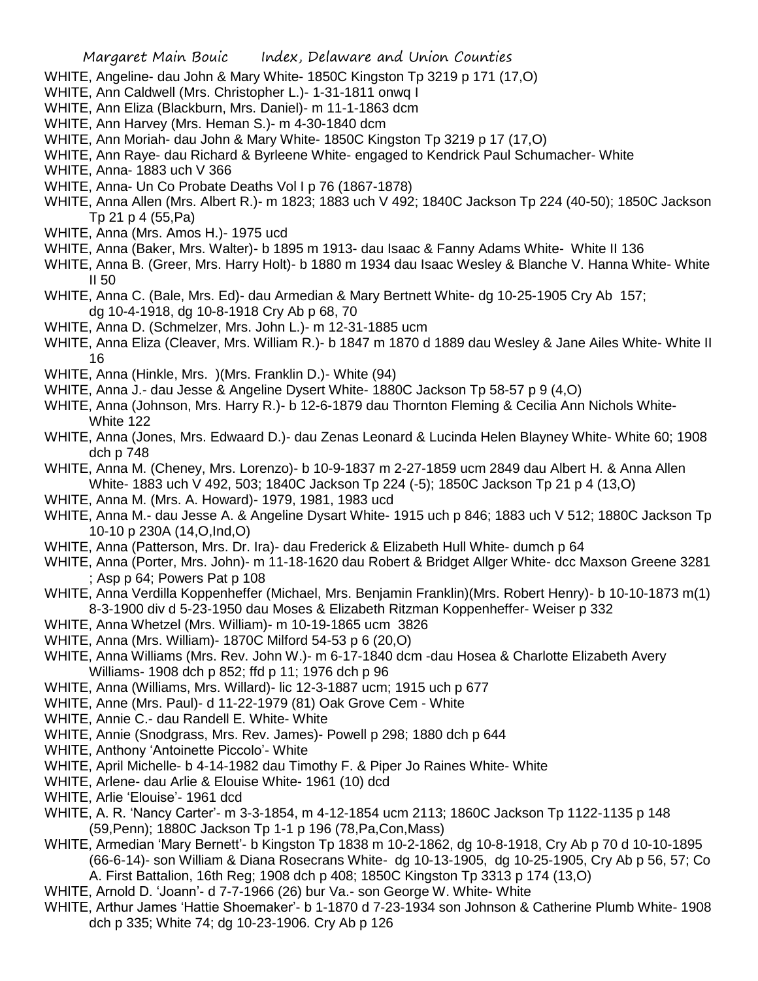- WHITE, Angeline- dau John & Mary White- 1850C Kingston Tp 3219 p 171 (17,O)
- WHITE, Ann Caldwell (Mrs. Christopher L.)- 1-31-1811 onwq I
- WHITE, Ann Eliza (Blackburn, Mrs. Daniel)- m 11-1-1863 dcm
- WHITE, Ann Harvey (Mrs. Heman S.)- m 4-30-1840 dcm
- WHITE, Ann Moriah- dau John & Mary White- 1850C Kingston Tp 3219 p 17 (17,O)
- WHITE, Ann Raye- dau Richard & Byrleene White- engaged to Kendrick Paul Schumacher- White
- WHITE, Anna- 1883 uch V 366
- WHITE, Anna- Un Co Probate Deaths Vol I p 76 (1867-1878)
- WHITE, Anna Allen (Mrs. Albert R.)- m 1823; 1883 uch V 492; 1840C Jackson Tp 224 (40-50); 1850C Jackson Tp 21 p 4 (55,Pa)
- WHITE, Anna (Mrs. Amos H.)- 1975 ucd
- WHITE, Anna (Baker, Mrs. Walter)- b 1895 m 1913- dau Isaac & Fanny Adams White- White II 136
- WHITE, Anna B. (Greer, Mrs. Harry Holt)- b 1880 m 1934 dau Isaac Wesley & Blanche V. Hanna White- White II 50
- WHITE, Anna C. (Bale, Mrs. Ed)- dau Armedian & Mary Bertnett White- dg 10-25-1905 Cry Ab 157; dg 10-4-1918, dg 10-8-1918 Cry Ab p 68, 70
- WHITE, Anna D. (Schmelzer, Mrs. John L.)- m 12-31-1885 ucm
- WHITE, Anna Eliza (Cleaver, Mrs. William R.)- b 1847 m 1870 d 1889 dau Wesley & Jane Ailes White- White II 16
- WHITE, Anna (Hinkle, Mrs. )(Mrs. Franklin D.)- White (94)
- WHITE, Anna J.- dau Jesse & Angeline Dysert White- 1880C Jackson Tp 58-57 p 9 (4,O)
- WHITE, Anna (Johnson, Mrs. Harry R.)- b 12-6-1879 dau Thornton Fleming & Cecilia Ann Nichols White-White 122
- WHITE, Anna (Jones, Mrs. Edwaard D.)- dau Zenas Leonard & Lucinda Helen Blayney White- White 60; 1908 dch p 748
- WHITE, Anna M. (Cheney, Mrs. Lorenzo)- b 10-9-1837 m 2-27-1859 ucm 2849 dau Albert H. & Anna Allen White- 1883 uch V 492, 503; 1840C Jackson Tp 224 (-5); 1850C Jackson Tp 21 p 4 (13,O)
- WHITE, Anna M. (Mrs. A. Howard)- 1979, 1981, 1983 ucd
- WHITE, Anna M.- dau Jesse A. & Angeline Dysart White- 1915 uch p 846; 1883 uch V 512; 1880C Jackson Tp 10-10 p 230A (14,O,Ind,O)
- WHITE, Anna (Patterson, Mrs. Dr. Ira)- dau Frederick & Elizabeth Hull White- dumch p 64
- WHITE, Anna (Porter, Mrs. John)- m 11-18-1620 dau Robert & Bridget Allger White- dcc Maxson Greene 3281 ; Asp p 64; Powers Pat p 108
- WHITE, Anna Verdilla Koppenheffer (Michael, Mrs. Benjamin Franklin)(Mrs. Robert Henry)- b 10-10-1873 m(1) 8-3-1900 div d 5-23-1950 dau Moses & Elizabeth Ritzman Koppenheffer- Weiser p 332
- WHITE, Anna Whetzel (Mrs. William)- m 10-19-1865 ucm 3826
- WHITE, Anna (Mrs. William)- 1870C Milford 54-53 p 6 (20,O)
- WHITE, Anna Williams (Mrs. Rev. John W.)- m 6-17-1840 dcm -dau Hosea & Charlotte Elizabeth Avery Williams- 1908 dch p 852; ffd p 11; 1976 dch p 96
- WHITE, Anna (Williams, Mrs. Willard)- lic 12-3-1887 ucm; 1915 uch p 677
- WHITE, Anne (Mrs. Paul)- d 11-22-1979 (81) Oak Grove Cem White
- WHITE, Annie C.- dau Randell E. White- White
- WHITE, Annie (Snodgrass, Mrs. Rev. James)- Powell p 298; 1880 dch p 644
- WHITE, Anthony 'Antoinette Piccolo'- White
- WHITE, April Michelle- b 4-14-1982 dau Timothy F. & Piper Jo Raines White- White
- WHITE, Arlene- dau Arlie & Elouise White- 1961 (10) dcd
- WHITE, Arlie 'Elouise'- 1961 dcd
- WHITE, A. R. 'Nancy Carter'- m 3-3-1854, m 4-12-1854 ucm 2113; 1860C Jackson Tp 1122-1135 p 148 (59,Penn); 1880C Jackson Tp 1-1 p 196 (78,Pa,Con,Mass)
- WHITE, Armedian 'Mary Bernett'- b Kingston Tp 1838 m 10-2-1862, dg 10-8-1918, Cry Ab p 70 d 10-10-1895 (66-6-14)- son William & Diana Rosecrans White- dg 10-13-1905, dg 10-25-1905, Cry Ab p 56, 57; Co A. First Battalion, 16th Reg; 1908 dch p 408; 1850C Kingston Tp 3313 p 174 (13,O)
- WHITE, Arnold D. 'Joann'- d 7-7-1966 (26) bur Va.- son George W. White- White
- WHITE, Arthur James 'Hattie Shoemaker'- b 1-1870 d 7-23-1934 son Johnson & Catherine Plumb White- 1908 dch p 335; White 74; dg 10-23-1906. Cry Ab p 126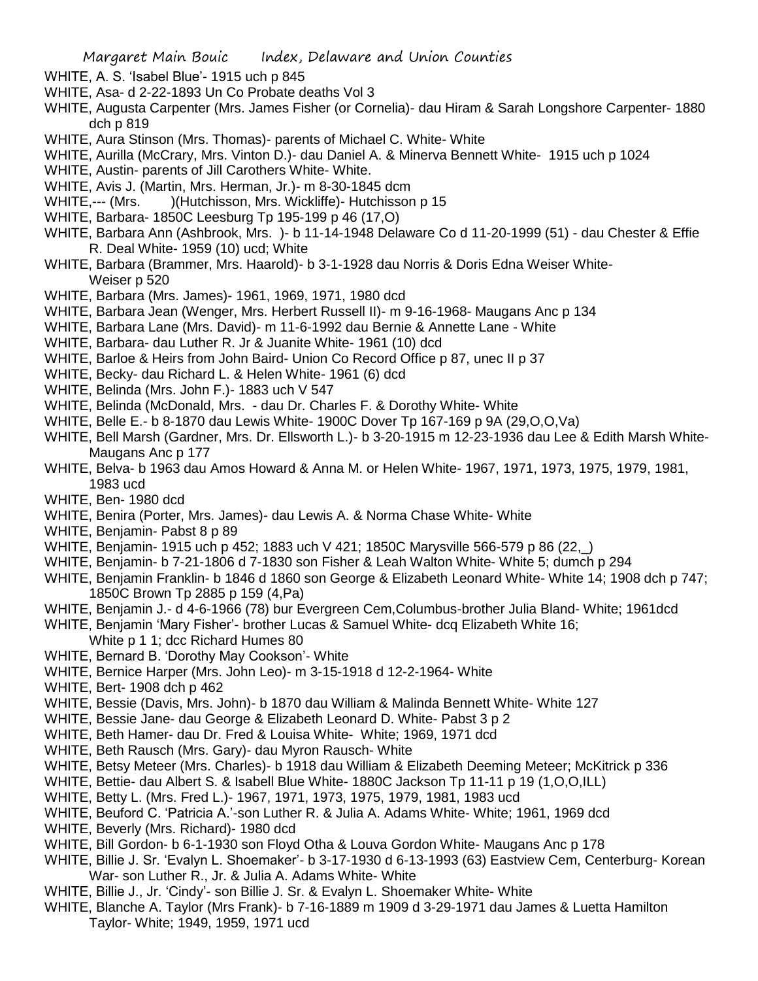- WHITE, A. S. 'Isabel Blue'- 1915 uch p 845
- WHITE, Asa- d 2-22-1893 Un Co Probate deaths Vol 3
- WHITE, Augusta Carpenter (Mrs. James Fisher (or Cornelia)- dau Hiram & Sarah Longshore Carpenter- 1880 dch p 819
- WHITE, Aura Stinson (Mrs. Thomas)- parents of Michael C. White- White
- WHITE, Aurilla (McCrary, Mrs. Vinton D.)- dau Daniel A. & Minerva Bennett White- 1915 uch p 1024
- WHITE, Austin- parents of Jill Carothers White- White.
- WHITE, Avis J. (Martin, Mrs. Herman, Jr.)- m 8-30-1845 dcm
- WHITE,--- (Mrs. )(Hutchisson, Mrs. Wickliffe) Hutchisson p 15
- WHITE, Barbara- 1850C Leesburg Tp 195-199 p 46 (17,O)
- WHITE, Barbara Ann (Ashbrook, Mrs. )- b 11-14-1948 Delaware Co d 11-20-1999 (51) dau Chester & Effie R. Deal White- 1959 (10) ucd; White
- WHITE, Barbara (Brammer, Mrs. Haarold)- b 3-1-1928 dau Norris & Doris Edna Weiser White-Weiser p 520
- WHITE, Barbara (Mrs. James)- 1961, 1969, 1971, 1980 dcd
- WHITE, Barbara Jean (Wenger, Mrs. Herbert Russell II)- m 9-16-1968- Maugans Anc p 134
- WHITE, Barbara Lane (Mrs. David)- m 11-6-1992 dau Bernie & Annette Lane White
- WHITE, Barbara- dau Luther R. Jr & Juanite White- 1961 (10) dcd
- WHITE, Barloe & Heirs from John Baird- Union Co Record Office p 87, unec II p 37
- WHITE, Becky- dau Richard L. & Helen White- 1961 (6) dcd
- WHITE, Belinda (Mrs. John F.)- 1883 uch V 547
- WHITE, Belinda (McDonald, Mrs. dau Dr. Charles F. & Dorothy White- White
- WHITE, Belle E.- b 8-1870 dau Lewis White- 1900C Dover Tp 167-169 p 9A (29,O,O,Va)
- WHITE, Bell Marsh (Gardner, Mrs. Dr. Ellsworth L.)- b 3-20-1915 m 12-23-1936 dau Lee & Edith Marsh White-Maugans Anc p 177
- WHITE, Belva- b 1963 dau Amos Howard & Anna M. or Helen White- 1967, 1971, 1973, 1975, 1979, 1981, 1983 ucd
- WHITE, Ben- 1980 dcd
- WHITE, Benira (Porter, Mrs. James)- dau Lewis A. & Norma Chase White- White
- WHITE, Benjamin- Pabst 8 p 89
- WHITE, Benjamin- 1915 uch p 452; 1883 uch V 421; 1850C Marysville 566-579 p 86 (22,\_)
- WHITE, Benjamin- b 7-21-1806 d 7-1830 son Fisher & Leah Walton White- White 5; dumch p 294
- WHITE, Benjamin Franklin- b 1846 d 1860 son George & Elizabeth Leonard White- White 14; 1908 dch p 747; 1850C Brown Tp 2885 p 159 (4,Pa)
- WHITE, Benjamin J.- d 4-6-1966 (78) bur Evergreen Cem,Columbus-brother Julia Bland- White; 1961dcd
- WHITE, Benjamin 'Mary Fisher'- brother Lucas & Samuel White- dcq Elizabeth White 16;
	- White p 1 1; dcc Richard Humes 80
- WHITE, Bernard B. 'Dorothy May Cookson'- White
- WHITE, Bernice Harper (Mrs. John Leo)- m 3-15-1918 d 12-2-1964- White
- WHITE, Bert- 1908 dch p 462
- WHITE, Bessie (Davis, Mrs. John)- b 1870 dau William & Malinda Bennett White- White 127
- WHITE, Bessie Jane- dau George & Elizabeth Leonard D. White- Pabst 3 p 2
- WHITE, Beth Hamer- dau Dr. Fred & Louisa White- White; 1969, 1971 dcd
- WHITE, Beth Rausch (Mrs. Gary)- dau Myron Rausch- White
- WHITE, Betsy Meteer (Mrs. Charles)- b 1918 dau William & Elizabeth Deeming Meteer; McKitrick p 336
- WHITE, Bettie- dau Albert S. & Isabell Blue White- 1880C Jackson Tp 11-11 p 19 (1,O,O,ILL)
- WHITE, Betty L. (Mrs. Fred L.)- 1967, 1971, 1973, 1975, 1979, 1981, 1983 ucd
- WHITE, Beuford C. 'Patricia A.'-son Luther R. & Julia A. Adams White- White; 1961, 1969 dcd
- WHITE, Beverly (Mrs. Richard)- 1980 dcd
- WHITE, Bill Gordon- b 6-1-1930 son Floyd Otha & Louva Gordon White- Maugans Anc p 178
- WHITE, Billie J. Sr. 'Evalyn L. Shoemaker'- b 3-17-1930 d 6-13-1993 (63) Eastview Cem, Centerburg- Korean War- son Luther R., Jr. & Julia A. Adams White- White
- WHITE, Billie J., Jr. 'Cindy'- son Billie J. Sr. & Evalyn L. Shoemaker White- White
- WHITE, Blanche A. Taylor (Mrs Frank)- b 7-16-1889 m 1909 d 3-29-1971 dau James & Luetta Hamilton Taylor- White; 1949, 1959, 1971 ucd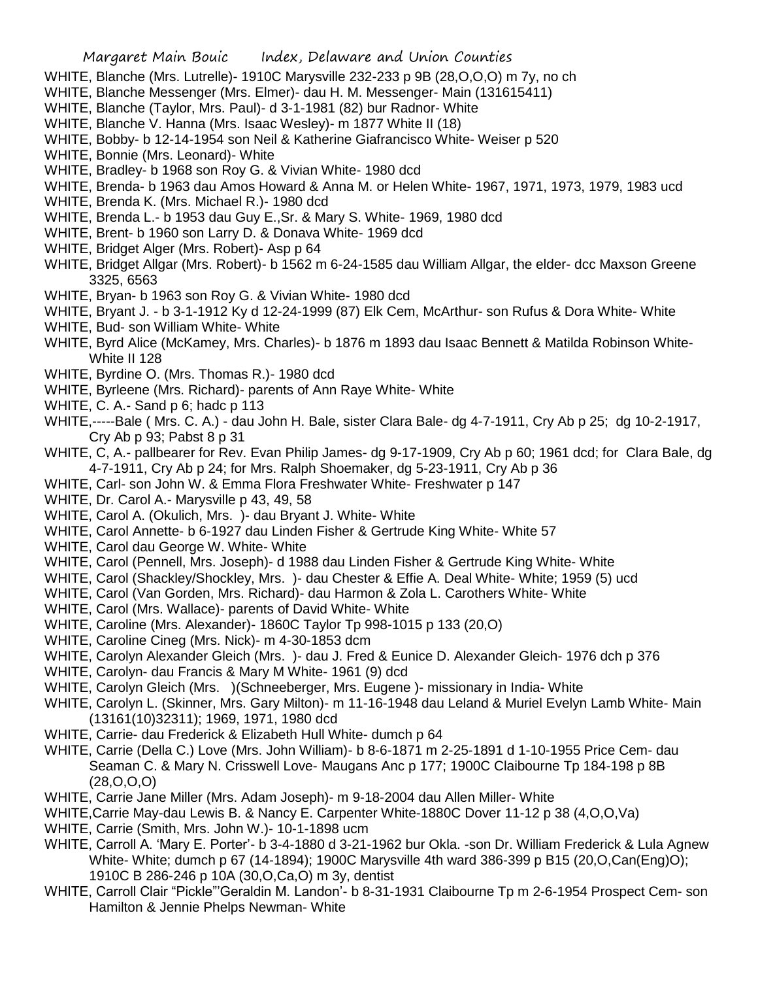- WHITE, Blanche (Mrs. Lutrelle)- 1910C Marysville 232-233 p 9B (28,O,O,O) m 7y, no ch
- WHITE, Blanche Messenger (Mrs. Elmer)- dau H. M. Messenger- Main (131615411)
- WHITE, Blanche (Taylor, Mrs. Paul)- d 3-1-1981 (82) bur Radnor- White
- WHITE, Blanche V. Hanna (Mrs. Isaac Wesley)- m 1877 White II (18)
- WHITE, Bobby- b 12-14-1954 son Neil & Katherine Giafrancisco White- Weiser p 520
- WHITE, Bonnie (Mrs. Leonard)- White
- WHITE, Bradley- b 1968 son Roy G. & Vivian White- 1980 dcd
- WHITE, Brenda- b 1963 dau Amos Howard & Anna M. or Helen White- 1967, 1971, 1973, 1979, 1983 ucd
- WHITE, Brenda K. (Mrs. Michael R.)- 1980 dcd
- WHITE, Brenda L.- b 1953 dau Guy E.,Sr. & Mary S. White- 1969, 1980 dcd
- WHITE, Brent- b 1960 son Larry D. & Donava White- 1969 dcd
- WHITE, Bridget Alger (Mrs. Robert)- Asp p 64
- WHITE, Bridget Allgar (Mrs. Robert)- b 1562 m 6-24-1585 dau William Allgar, the elder- dcc Maxson Greene 3325, 6563
- WHITE, Bryan- b 1963 son Roy G. & Vivian White- 1980 dcd
- WHITE, Bryant J. b 3-1-1912 Ky d 12-24-1999 (87) Elk Cem, McArthur- son Rufus & Dora White- White
- WHITE, Bud- son William White- White
- WHITE, Byrd Alice (McKamey, Mrs. Charles)- b 1876 m 1893 dau Isaac Bennett & Matilda Robinson White-White II 128
- WHITE, Byrdine O. (Mrs. Thomas R.)- 1980 dcd
- WHITE, Byrleene (Mrs. Richard)- parents of Ann Raye White- White
- WHITE, C. A.- Sand p 6; hadc p 113
- WHITE,-----Bale ( Mrs. C. A.) dau John H. Bale, sister Clara Bale- dg 4-7-1911, Cry Ab p 25; dg 10-2-1917, Cry Ab p 93; Pabst 8 p 31
- WHITE, C, A.- pallbearer for Rev. Evan Philip James- dg 9-17-1909, Cry Ab p 60; 1961 dcd; for Clara Bale, dg 4-7-1911, Cry Ab p 24; for Mrs. Ralph Shoemaker, dg 5-23-1911, Cry Ab p 36
- WHITE, Carl- son John W. & Emma Flora Freshwater White- Freshwater p 147
- WHITE, Dr. Carol A.- Marysville p 43, 49, 58
- WHITE, Carol A. (Okulich, Mrs. )- dau Bryant J. White- White
- WHITE, Carol Annette- b 6-1927 dau Linden Fisher & Gertrude King White- White 57
- WHITE, Carol dau George W. White- White
- WHITE, Carol (Pennell, Mrs. Joseph)- d 1988 dau Linden Fisher & Gertrude King White- White
- WHITE, Carol (Shackley/Shockley, Mrs. )- dau Chester & Effie A. Deal White- White; 1959 (5) ucd
- WHITE, Carol (Van Gorden, Mrs. Richard)- dau Harmon & Zola L. Carothers White- White
- WHITE, Carol (Mrs. Wallace)- parents of David White- White
- WHITE, Caroline (Mrs. Alexander)- 1860C Taylor Tp 998-1015 p 133 (20,O)
- WHITE, Caroline Cineg (Mrs. Nick)- m 4-30-1853 dcm
- WHITE, Carolyn Alexander Gleich (Mrs. )- dau J. Fred & Eunice D. Alexander Gleich- 1976 dch p 376
- WHITE, Carolyn- dau Francis & Mary M White- 1961 (9) dcd
- WHITE, Carolyn Gleich (Mrs. )(Schneeberger, Mrs. Eugene )- missionary in India- White
- WHITE, Carolyn L. (Skinner, Mrs. Gary Milton)- m 11-16-1948 dau Leland & Muriel Evelyn Lamb White- Main (13161(10)32311); 1969, 1971, 1980 dcd
- WHITE, Carrie- dau Frederick & Elizabeth Hull White- dumch p 64
- WHITE, Carrie (Della C.) Love (Mrs. John William)- b 8-6-1871 m 2-25-1891 d 1-10-1955 Price Cem- dau Seaman C. & Mary N. Crisswell Love- Maugans Anc p 177; 1900C Claibourne Tp 184-198 p 8B (28,O,O,O)
- WHITE, Carrie Jane Miller (Mrs. Adam Joseph)- m 9-18-2004 dau Allen Miller- White
- WHITE,Carrie May-dau Lewis B. & Nancy E. Carpenter White-1880C Dover 11-12 p 38 (4,O,O,Va)
- WHITE, Carrie (Smith, Mrs. John W.)- 10-1-1898 ucm
- WHITE, Carroll A. 'Mary E. Porter'- b 3-4-1880 d 3-21-1962 bur Okla. -son Dr. William Frederick & Lula Agnew White- White; dumch p 67 (14-1894); 1900C Marysville 4th ward 386-399 p B15 (20,O,Can(Eng)O); 1910C B 286-246 p 10A (30,O,Ca,O) m 3y, dentist
- WHITE, Carroll Clair "Pickle"'Geraldin M. Landon'- b 8-31-1931 Claibourne Tp m 2-6-1954 Prospect Cem- son Hamilton & Jennie Phelps Newman- White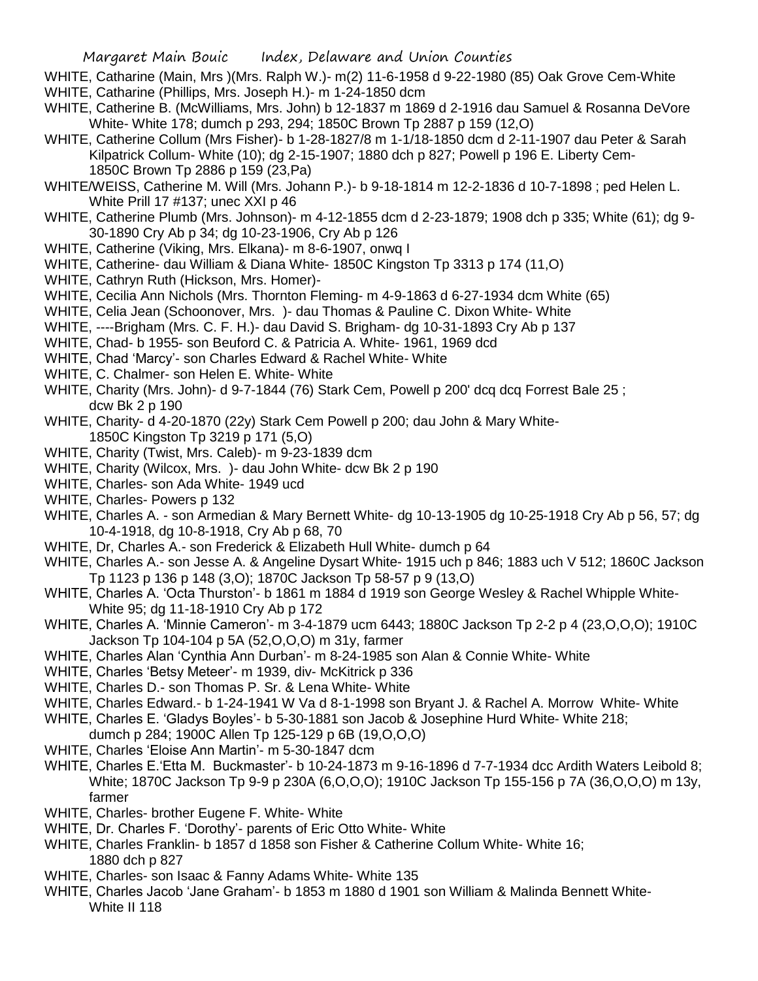- WHITE, Catharine (Main, Mrs )(Mrs. Ralph W.)- m(2) 11-6-1958 d 9-22-1980 (85) Oak Grove Cem-White WHITE, Catharine (Phillips, Mrs. Joseph H.)- m 1-24-1850 dcm
- WHITE, Catherine B. (McWilliams, Mrs. John) b 12-1837 m 1869 d 2-1916 dau Samuel & Rosanna DeVore White- White 178; dumch p 293, 294; 1850C Brown Tp 2887 p 159 (12,O)
- WHITE, Catherine Collum (Mrs Fisher)- b 1-28-1827/8 m 1-1/18-1850 dcm d 2-11-1907 dau Peter & Sarah Kilpatrick Collum- White (10); dg 2-15-1907; 1880 dch p 827; Powell p 196 E. Liberty Cem-1850C Brown Tp 2886 p 159 (23,Pa)
- WHITE/WEISS, Catherine M. Will (Mrs. Johann P.)- b 9-18-1814 m 12-2-1836 d 10-7-1898 ; ped Helen L. White Prill 17 #137; unec XXI p 46
- WHITE, Catherine Plumb (Mrs. Johnson)- m 4-12-1855 dcm d 2-23-1879; 1908 dch p 335; White (61); dg 9- 30-1890 Cry Ab p 34; dg 10-23-1906, Cry Ab p 126
- WHITE, Catherine (Viking, Mrs. Elkana)- m 8-6-1907, onwq I
- WHITE, Catherine- dau William & Diana White- 1850C Kingston Tp 3313 p 174 (11,O)
- WHITE, Cathryn Ruth (Hickson, Mrs. Homer)-
- WHITE, Cecilia Ann Nichols (Mrs. Thornton Fleming- m 4-9-1863 d 6-27-1934 dcm White (65)
- WHITE, Celia Jean (Schoonover, Mrs. )- dau Thomas & Pauline C. Dixon White- White
- WHITE, ----Brigham (Mrs. C. F. H.)- dau David S. Brigham- dg 10-31-1893 Cry Ab p 137
- WHITE, Chad- b 1955- son Beuford C. & Patricia A. White- 1961, 1969 dcd
- WHITE, Chad 'Marcy'- son Charles Edward & Rachel White- White
- WHITE, C. Chalmer- son Helen E. White- White
- WHITE, Charity (Mrs. John)- d 9-7-1844 (76) Stark Cem, Powell p 200' dcq dcq Forrest Bale 25 ; dcw Bk 2 p 190
- WHITE, Charity- d 4-20-1870 (22y) Stark Cem Powell p 200; dau John & Mary White-1850C Kingston Tp 3219 p 171 (5,O)
- WHITE, Charity (Twist, Mrs. Caleb)- m 9-23-1839 dcm
- WHITE, Charity (Wilcox, Mrs. )- dau John White- dcw Bk 2 p 190
- WHITE, Charles- son Ada White- 1949 ucd
- WHITE, Charles- Powers p 132
- WHITE, Charles A. son Armedian & Mary Bernett White- dg 10-13-1905 dg 10-25-1918 Cry Ab p 56, 57; dg 10-4-1918, dg 10-8-1918, Cry Ab p 68, 70
- WHITE, Dr, Charles A.- son Frederick & Elizabeth Hull White- dumch p 64
- WHITE, Charles A.- son Jesse A. & Angeline Dysart White- 1915 uch p 846; 1883 uch V 512; 1860C Jackson Tp 1123 p 136 p 148 (3,O); 1870C Jackson Tp 58-57 p 9 (13,O)
- WHITE, Charles A. 'Octa Thurston'- b 1861 m 1884 d 1919 son George Wesley & Rachel Whipple White-White 95; dg 11-18-1910 Cry Ab p 172
- WHITE, Charles A. 'Minnie Cameron'- m 3-4-1879 ucm 6443; 1880C Jackson Tp 2-2 p 4 (23,O,O,O); 1910C Jackson Tp 104-104 p 5A (52,O,O,O) m 31y, farmer
- WHITE, Charles Alan 'Cynthia Ann Durban'- m 8-24-1985 son Alan & Connie White- White
- WHITE, Charles 'Betsy Meteer'- m 1939, div- McKitrick p 336
- WHITE, Charles D.- son Thomas P. Sr. & Lena White- White
- WHITE, Charles Edward.- b 1-24-1941 W Va d 8-1-1998 son Bryant J. & Rachel A. Morrow White- White
- WHITE, Charles E. 'Gladys Boyles'- b 5-30-1881 son Jacob & Josephine Hurd White- White 218;
- dumch p 284; 1900C Allen Tp 125-129 p 6B (19,O,O,O)
- WHITE, Charles 'Eloise Ann Martin'- m 5-30-1847 dcm
- WHITE, Charles E.'Etta M. Buckmaster'- b 10-24-1873 m 9-16-1896 d 7-7-1934 dcc Ardith Waters Leibold 8; White; 1870C Jackson Tp 9-9 p 230A (6,O,O,O); 1910C Jackson Tp 155-156 p 7A (36,O,O,O) m 13y, farmer
- WHITE, Charles- brother Eugene F. White- White
- WHITE, Dr. Charles F. 'Dorothy'- parents of Eric Otto White- White
- WHITE, Charles Franklin- b 1857 d 1858 son Fisher & Catherine Collum White- White 16; 1880 dch p 827
- WHITE, Charles- son Isaac & Fanny Adams White- White 135
- WHITE, Charles Jacob 'Jane Graham'- b 1853 m 1880 d 1901 son William & Malinda Bennett White-White II 118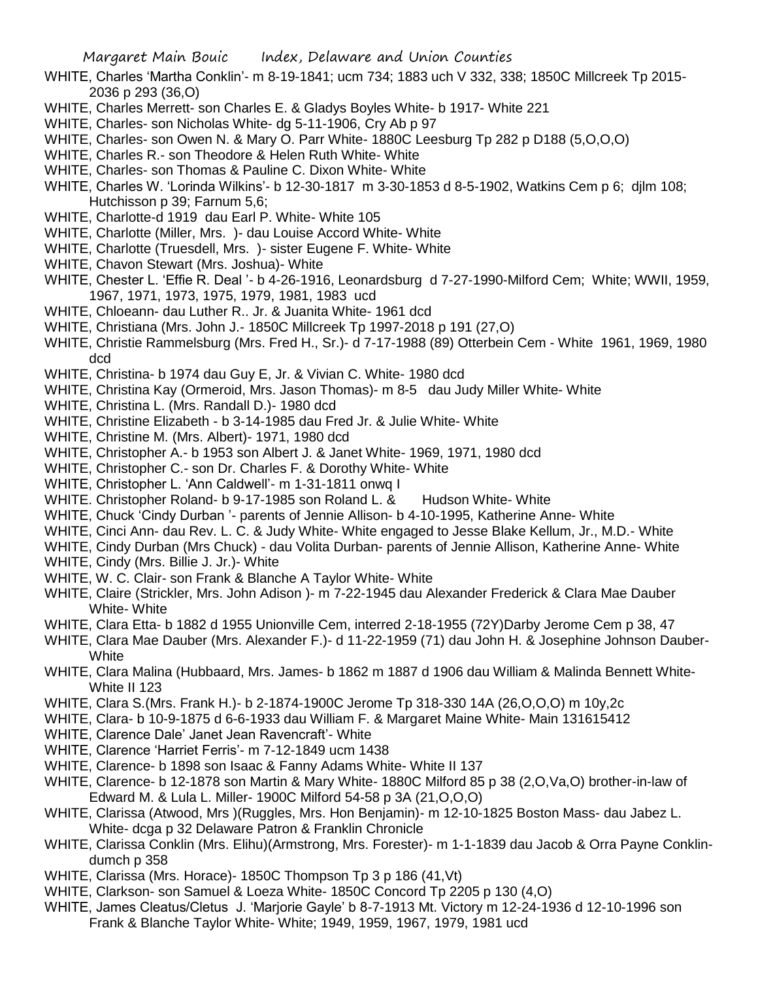- WHITE, Charles 'Martha Conklin'- m 8-19-1841; ucm 734; 1883 uch V 332, 338; 1850C Millcreek Tp 2015- 2036 p 293 (36,O)
- WHITE, Charles Merrett- son Charles E. & Gladys Boyles White- b 1917- White 221
- WHITE, Charles- son Nicholas White- dg 5-11-1906, Cry Ab p 97
- WHITE, Charles- son Owen N. & Mary O. Parr White- 1880C Leesburg Tp 282 p D188 (5,O,O,O)
- WHITE, Charles R.- son Theodore & Helen Ruth White- White
- WHITE, Charles- son Thomas & Pauline C. Dixon White- White
- WHITE, Charles W. 'Lorinda Wilkins'- b 12-30-1817 m 3-30-1853 d 8-5-1902, Watkins Cem p 6; djlm 108; Hutchisson p 39; Farnum 5,6;
- WHITE, Charlotte-d 1919 dau Earl P. White- White 105
- WHITE, Charlotte (Miller, Mrs. )- dau Louise Accord White- White
- WHITE, Charlotte (Truesdell, Mrs. )- sister Eugene F. White- White
- WHITE, Chavon Stewart (Mrs. Joshua)- White
- WHITE, Chester L. 'Effie R. Deal '- b 4-26-1916, Leonardsburg d 7-27-1990-Milford Cem; White; WWII, 1959, 1967, 1971, 1973, 1975, 1979, 1981, 1983 ucd
- WHITE, Chloeann- dau Luther R.. Jr. & Juanita White- 1961 dcd
- WHITE, Christiana (Mrs. John J.- 1850C Millcreek Tp 1997-2018 p 191 (27,O)
- WHITE, Christie Rammelsburg (Mrs. Fred H., Sr.)- d 7-17-1988 (89) Otterbein Cem White 1961, 1969, 1980 dcd
- WHITE, Christina- b 1974 dau Guy E, Jr. & Vivian C. White- 1980 dcd
- WHITE, Christina Kay (Ormeroid, Mrs. Jason Thomas)- m 8-5 dau Judy Miller White- White
- WHITE, Christina L. (Mrs. Randall D.)- 1980 dcd
- WHITE, Christine Elizabeth b 3-14-1985 dau Fred Jr. & Julie White- White
- WHITE, Christine M. (Mrs. Albert)- 1971, 1980 dcd
- WHITE, Christopher A.- b 1953 son Albert J. & Janet White- 1969, 1971, 1980 dcd
- WHITE, Christopher C.- son Dr. Charles F. & Dorothy White- White
- WHITE, Christopher L. 'Ann Caldwell'- m 1-31-1811 onwq I
- WHITE. Christopher Roland- b 9-17-1985 son Roland L, & Hudson White- White
- WHITE, Chuck 'Cindy Durban '- parents of Jennie Allison- b 4-10-1995, Katherine Anne- White
- WHITE, Cinci Ann- dau Rev. L. C. & Judy White- White engaged to Jesse Blake Kellum, Jr., M.D.- White
- WHITE, Cindy Durban (Mrs Chuck) dau Volita Durban- parents of Jennie Allison, Katherine Anne- White
- WHITE, Cindy (Mrs. Billie J. Jr.)- White
- WHITE, W. C. Clair- son Frank & Blanche A Taylor White- White
- WHITE, Claire (Strickler, Mrs. John Adison )- m 7-22-1945 dau Alexander Frederick & Clara Mae Dauber White- White
- WHITE, Clara Etta- b 1882 d 1955 Unionville Cem, interred 2-18-1955 (72Y)Darby Jerome Cem p 38, 47
- WHITE, Clara Mae Dauber (Mrs. Alexander F.)- d 11-22-1959 (71) dau John H. & Josephine Johnson Dauber-White
- WHITE, Clara Malina (Hubbaard, Mrs. James- b 1862 m 1887 d 1906 dau William & Malinda Bennett White-White II 123
- WHITE, Clara S.(Mrs. Frank H.)- b 2-1874-1900C Jerome Tp 318-330 14A (26,O,O,O) m 10y,2c
- WHITE, Clara- b 10-9-1875 d 6-6-1933 dau William F. & Margaret Maine White- Main 131615412
- WHITE, Clarence Dale' Janet Jean Ravencraft'- White
- WHITE, Clarence 'Harriet Ferris'- m 7-12-1849 ucm 1438
- WHITE, Clarence- b 1898 son Isaac & Fanny Adams White- White II 137
- WHITE, Clarence- b 12-1878 son Martin & Mary White- 1880C Milford 85 p 38 (2,O,Va,O) brother-in-law of Edward M. & Lula L. Miller- 1900C Milford 54-58 p 3A (21,O,O,O)
- WHITE, Clarissa (Atwood, Mrs )(Ruggles, Mrs. Hon Benjamin)- m 12-10-1825 Boston Mass- dau Jabez L. White- dcga p 32 Delaware Patron & Franklin Chronicle
- WHITE, Clarissa Conklin (Mrs. Elihu)(Armstrong, Mrs. Forester)- m 1-1-1839 dau Jacob & Orra Payne Conklindumch p 358
- WHITE, Clarissa (Mrs. Horace)- 1850C Thompson Tp 3 p 186 (41,Vt)
- WHITE, Clarkson- son Samuel & Loeza White- 1850C Concord Tp 2205 p 130 (4,O)
- WHITE, James Cleatus/Cletus J. 'Marjorie Gayle' b 8-7-1913 Mt. Victory m 12-24-1936 d 12-10-1996 son Frank & Blanche Taylor White- White; 1949, 1959, 1967, 1979, 1981 ucd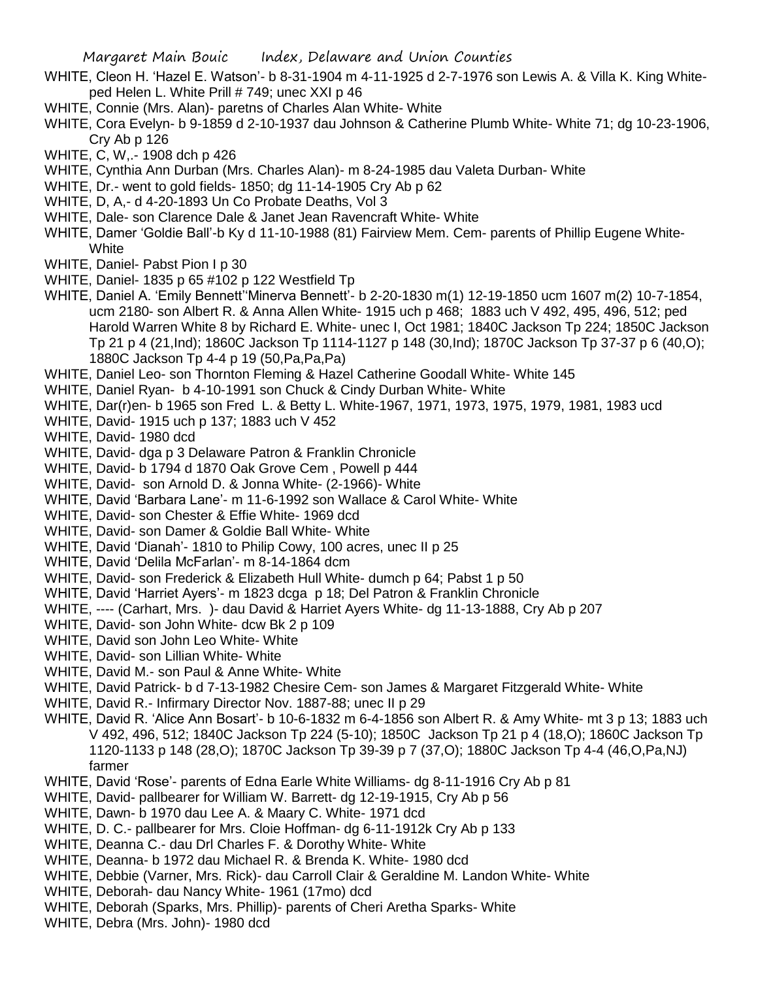- WHITE, Cleon H. 'Hazel E. Watson'- b 8-31-1904 m 4-11-1925 d 2-7-1976 son Lewis A. & Villa K. King Whiteped Helen L. White Prill # 749; unec XXI p 46
- WHITE, Connie (Mrs. Alan)- paretns of Charles Alan White- White
- WHITE, Cora Evelyn- b 9-1859 d 2-10-1937 dau Johnson & Catherine Plumb White- White 71; dg 10-23-1906, Cry Ab p 126
- WHITE, C, W,.- 1908 dch p 426
- WHITE, Cynthia Ann Durban (Mrs. Charles Alan)- m 8-24-1985 dau Valeta Durban- White
- WHITE, Dr.- went to gold fields- 1850; dg 11-14-1905 Cry Ab p 62
- WHITE, D, A,- d 4-20-1893 Un Co Probate Deaths, Vol 3
- WHITE, Dale- son Clarence Dale & Janet Jean Ravencraft White- White
- WHITE, Damer 'Goldie Ball'-b Ky d 11-10-1988 (81) Fairview Mem. Cem- parents of Phillip Eugene White-**White**
- WHITE, Daniel- Pabst Pion I p 30
- WHITE, Daniel- 1835 p 65 #102 p 122 Westfield Tp
- WHITE, Daniel A. 'Emily Bennett''Minerva Bennett'- b 2-20-1830 m(1) 12-19-1850 ucm 1607 m(2) 10-7-1854, ucm 2180- son Albert R. & Anna Allen White- 1915 uch p 468; 1883 uch V 492, 495, 496, 512; ped Harold Warren White 8 by Richard E. White- unec I, Oct 1981; 1840C Jackson Tp 224; 1850C Jackson Tp 21 p 4 (21,Ind); 1860C Jackson Tp 1114-1127 p 148 (30,Ind); 1870C Jackson Tp 37-37 p 6 (40,O); 1880C Jackson Tp 4-4 p 19 (50,Pa,Pa,Pa)
- WHITE, Daniel Leo- son Thornton Fleming & Hazel Catherine Goodall White- White 145
- WHITE, Daniel Ryan- b 4-10-1991 son Chuck & Cindy Durban White- White
- WHITE, Dar(r)en- b 1965 son Fred L. & Betty L. White-1967, 1971, 1973, 1975, 1979, 1981, 1983 ucd
- WHITE, David- 1915 uch p 137; 1883 uch V 452
- WHITE, David- 1980 dcd
- WHITE, David- dga p 3 Delaware Patron & Franklin Chronicle
- WHITE, David- b 1794 d 1870 Oak Grove Cem , Powell p 444
- WHITE, David- son Arnold D. & Jonna White- (2-1966)- White
- WHITE, David 'Barbara Lane'- m 11-6-1992 son Wallace & Carol White- White
- WHITE, David- son Chester & Effie White- 1969 dcd
- WHITE, David- son Damer & Goldie Ball White- White
- WHITE, David 'Dianah'- 1810 to Philip Cowy, 100 acres, unec II p 25
- WHITE, David 'Delila McFarlan'- m 8-14-1864 dcm
- WHITE, David- son Frederick & Elizabeth Hull White- dumch p 64; Pabst 1 p 50
- WHITE, David 'Harriet Ayers'- m 1823 dcga p 18; Del Patron & Franklin Chronicle
- WHITE, ---- (Carhart, Mrs. )- dau David & Harriet Ayers White- dg 11-13-1888, Cry Ab p 207
- WHITE, David- son John White- dcw Bk 2 p 109
- WHITE, David son John Leo White- White
- WHITE, David- son Lillian White- White
- WHITE, David M.- son Paul & Anne White- White
- WHITE, David Patrick- b d 7-13-1982 Chesire Cem- son James & Margaret Fitzgerald White- White
- WHITE, David R.- Infirmary Director Nov. 1887-88; unec II p 29
- WHITE, David R. 'Alice Ann Bosart'- b 10-6-1832 m 6-4-1856 son Albert R. & Amy White- mt 3 p 13; 1883 uch V 492, 496, 512; 1840C Jackson Tp 224 (5-10); 1850C Jackson Tp 21 p 4 (18,O); 1860C Jackson Tp 1120-1133 p 148 (28,O); 1870C Jackson Tp 39-39 p 7 (37,O); 1880C Jackson Tp 4-4 (46,O,Pa,NJ) farmer
- WHITE, David 'Rose'- parents of Edna Earle White Williams- dg 8-11-1916 Cry Ab p 81
- WHITE, David- pallbearer for William W. Barrett- dg 12-19-1915, Cry Ab p 56
- WHITE, Dawn- b 1970 dau Lee A. & Maary C. White- 1971 dcd
- WHITE, D. C.- pallbearer for Mrs. Cloie Hoffman- dg 6-11-1912k Cry Ab p 133
- WHITE, Deanna C.- dau Drl Charles F. & Dorothy White- White
- WHITE, Deanna- b 1972 dau Michael R. & Brenda K. White- 1980 dcd
- WHITE, Debbie (Varner, Mrs. Rick)- dau Carroll Clair & Geraldine M. Landon White- White
- WHITE, Deborah- dau Nancy White- 1961 (17mo) dcd
- WHITE, Deborah (Sparks, Mrs. Phillip)- parents of Cheri Aretha Sparks- White
- WHITE, Debra (Mrs. John)- 1980 dcd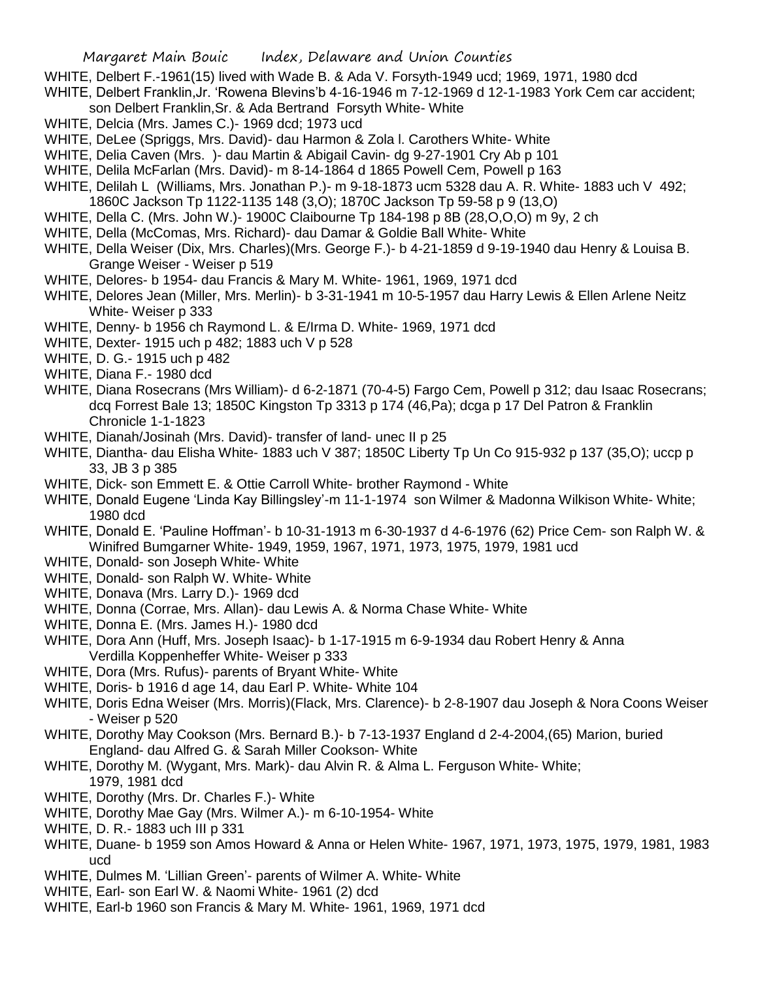- WHITE, Delbert F.-1961(15) lived with Wade B. & Ada V. Forsyth-1949 ucd; 1969, 1971, 1980 dcd
- WHITE, Delbert Franklin,Jr. 'Rowena Blevins'b 4-16-1946 m 7-12-1969 d 12-1-1983 York Cem car accident; son Delbert Franklin,Sr. & Ada Bertrand Forsyth White- White
- WHITE, Delcia (Mrs. James C.)- 1969 dcd; 1973 ucd
- WHITE, DeLee (Spriggs, Mrs. David)- dau Harmon & Zola l. Carothers White- White
- WHITE, Delia Caven (Mrs. )- dau Martin & Abigail Cavin- dg 9-27-1901 Cry Ab p 101
- WHITE, Delila McFarlan (Mrs. David)- m 8-14-1864 d 1865 Powell Cem, Powell p 163
- WHITE, Delilah L (Williams, Mrs. Jonathan P.)- m 9-18-1873 ucm 5328 dau A. R. White- 1883 uch V 492; 1860C Jackson Tp 1122-1135 148 (3,O); 1870C Jackson Tp 59-58 p 9 (13,O)
- WHITE, Della C. (Mrs. John W.)- 1900C Claibourne Tp 184-198 p 8B (28,O,O,O) m 9y, 2 ch
- WHITE, Della (McComas, Mrs. Richard)- dau Damar & Goldie Ball White- White
- WHITE, Della Weiser (Dix, Mrs. Charles)(Mrs. George F.)- b 4-21-1859 d 9-19-1940 dau Henry & Louisa B. Grange Weiser - Weiser p 519
- WHITE, Delores- b 1954- dau Francis & Mary M. White- 1961, 1969, 1971 dcd
- WHITE, Delores Jean (Miller, Mrs. Merlin)- b 3-31-1941 m 10-5-1957 dau Harry Lewis & Ellen Arlene Neitz White- Weiser p 333
- WHITE, Denny- b 1956 ch Raymond L. & E/Irma D. White- 1969, 1971 dcd
- WHITE, Dexter- 1915 uch p 482; 1883 uch V p 528
- WHITE, D. G.- 1915 uch p 482
- WHITE, Diana F.- 1980 dcd
- WHITE, Diana Rosecrans (Mrs William)- d 6-2-1871 (70-4-5) Fargo Cem, Powell p 312; dau Isaac Rosecrans; dcq Forrest Bale 13; 1850C Kingston Tp 3313 p 174 (46,Pa); dcga p 17 Del Patron & Franklin Chronicle 1-1-1823
- WHITE, Dianah/Josinah (Mrs. David)- transfer of land- unec II p 25
- WHITE, Diantha- dau Elisha White- 1883 uch V 387; 1850C Liberty Tp Un Co 915-932 p 137 (35,O); uccp p 33, JB 3 p 385
- WHITE, Dick- son Emmett E. & Ottie Carroll White- brother Raymond White
- WHITE, Donald Eugene 'Linda Kay Billingsley'-m 11-1-1974 son Wilmer & Madonna Wilkison White- White; 1980 dcd
- WHITE, Donald E. 'Pauline Hoffman'- b 10-31-1913 m 6-30-1937 d 4-6-1976 (62) Price Cem- son Ralph W. & Winifred Bumgarner White- 1949, 1959, 1967, 1971, 1973, 1975, 1979, 1981 ucd
- WHITE, Donald- son Joseph White- White
- WHITE, Donald- son Ralph W. White- White
- WHITE, Donava (Mrs. Larry D.)- 1969 dcd
- WHITE, Donna (Corrae, Mrs. Allan)- dau Lewis A. & Norma Chase White- White
- WHITE, Donna E. (Mrs. James H.)- 1980 dcd
- WHITE, Dora Ann (Huff, Mrs. Joseph Isaac)- b 1-17-1915 m 6-9-1934 dau Robert Henry & Anna Verdilla Koppenheffer White- Weiser p 333
- WHITE, Dora (Mrs. Rufus)- parents of Bryant White- White
- WHITE, Doris- b 1916 d age 14, dau Earl P. White- White 104
- WHITE, Doris Edna Weiser (Mrs. Morris)(Flack, Mrs. Clarence)- b 2-8-1907 dau Joseph & Nora Coons Weiser - Weiser p 520
- WHITE, Dorothy May Cookson (Mrs. Bernard B.)- b 7-13-1937 England d 2-4-2004,(65) Marion, buried England- dau Alfred G. & Sarah Miller Cookson- White
- WHITE, Dorothy M. (Wygant, Mrs. Mark)- dau Alvin R. & Alma L. Ferguson White- White; 1979, 1981 dcd
- WHITE, Dorothy (Mrs. Dr. Charles F.)- White
- WHITE, Dorothy Mae Gay (Mrs. Wilmer A.)- m 6-10-1954- White
- WHITE, D. R.- 1883 uch III p 331
- WHITE, Duane- b 1959 son Amos Howard & Anna or Helen White- 1967, 1971, 1973, 1975, 1979, 1981, 1983 ucd
- WHITE, Dulmes M. 'Lillian Green'- parents of Wilmer A. White- White
- WHITE, Earl- son Earl W. & Naomi White- 1961 (2) dcd
- WHITE, Earl-b 1960 son Francis & Mary M. White- 1961, 1969, 1971 dcd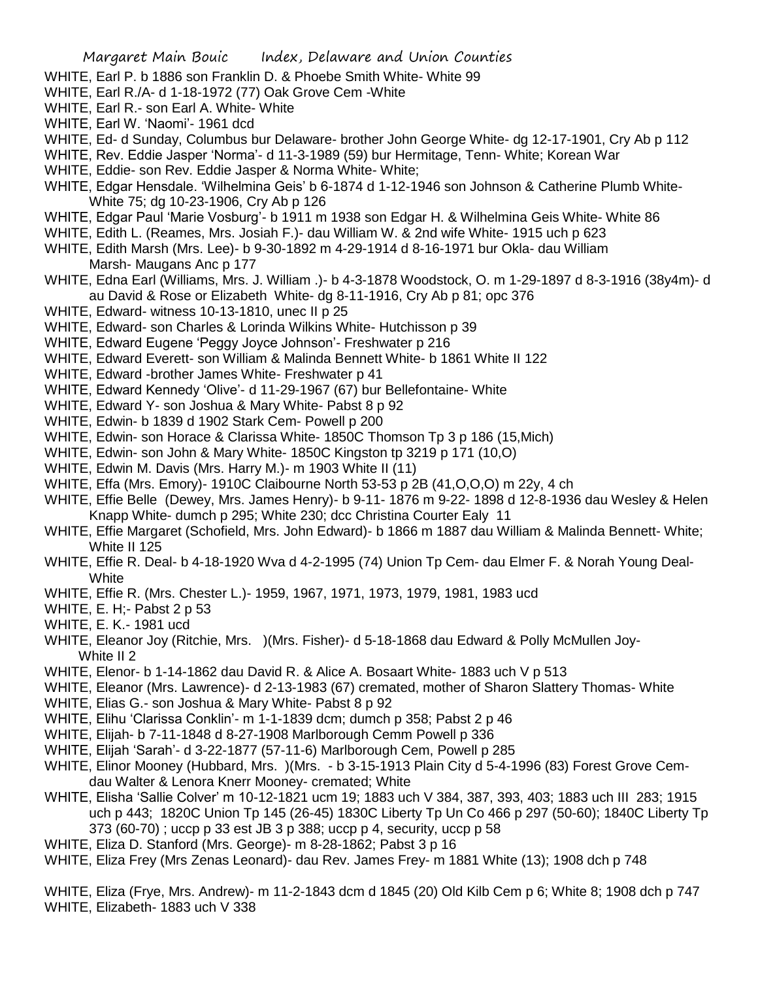- WHITE, Earl P. b 1886 son Franklin D. & Phoebe Smith White- White 99
- WHITE, Earl R./A- d 1-18-1972 (77) Oak Grove Cem -White
- WHITE, Earl R.- son Earl A. White- White
- WHITE, Earl W. 'Naomi'- 1961 dcd
- WHITE, Ed- d Sunday, Columbus bur Delaware- brother John George White- dg 12-17-1901, Cry Ab p 112
- WHITE, Rev. Eddie Jasper 'Norma'- d 11-3-1989 (59) bur Hermitage, Tenn- White; Korean War
- WHITE, Eddie- son Rev. Eddie Jasper & Norma White- White;
- WHITE, Edgar Hensdale. 'Wilhelmina Geis' b 6-1874 d 1-12-1946 son Johnson & Catherine Plumb White-White 75; dg 10-23-1906, Cry Ab p 126
- WHITE, Edgar Paul 'Marie Vosburg'- b 1911 m 1938 son Edgar H. & Wilhelmina Geis White- White 86
- WHITE, Edith L. (Reames, Mrs. Josiah F.)- dau William W. & 2nd wife White- 1915 uch p 623
- WHITE, Edith Marsh (Mrs. Lee)- b 9-30-1892 m 4-29-1914 d 8-16-1971 bur Okla- dau William Marsh- Maugans Anc p 177
- WHITE, Edna Earl (Williams, Mrs. J. William .)- b 4-3-1878 Woodstock, O. m 1-29-1897 d 8-3-1916 (38y4m)- d au David & Rose or Elizabeth White- dg 8-11-1916, Cry Ab p 81; opc 376
- WHITE, Edward- witness 10-13-1810, unec II p 25
- WHITE, Edward- son Charles & Lorinda Wilkins White- Hutchisson p 39
- WHITE, Edward Eugene 'Peggy Joyce Johnson'- Freshwater p 216
- WHITE, Edward Everett- son William & Malinda Bennett White- b 1861 White II 122
- WHITE, Edward -brother James White- Freshwater p 41
- WHITE, Edward Kennedy 'Olive'- d 11-29-1967 (67) bur Bellefontaine- White
- WHITE, Edward Y- son Joshua & Mary White- Pabst 8 p 92
- WHITE, Edwin- b 1839 d 1902 Stark Cem- Powell p 200
- WHITE, Edwin- son Horace & Clarissa White- 1850C Thomson Tp 3 p 186 (15,Mich)
- WHITE, Edwin- son John & Mary White- 1850C Kingston tp 3219 p 171 (10,O)
- WHITE, Edwin M. Davis (Mrs. Harry M.)- m 1903 White II (11)
- WHITE, Effa (Mrs. Emory)- 1910C Claibourne North 53-53 p 2B (41,O,O,O) m 22y, 4 ch
- WHITE, Effie Belle (Dewey, Mrs. James Henry)- b 9-11- 1876 m 9-22- 1898 d 12-8-1936 dau Wesley & Helen Knapp White- dumch p 295; White 230; dcc Christina Courter Ealy 11
- WHITE, Effie Margaret (Schofield, Mrs. John Edward)- b 1866 m 1887 dau William & Malinda Bennett- White; White II 125
- WHITE, Effie R. Deal- b 4-18-1920 Wva d 4-2-1995 (74) Union Tp Cem- dau Elmer F. & Norah Young Deal-**White**
- WHITE, Effie R. (Mrs. Chester L.)- 1959, 1967, 1971, 1973, 1979, 1981, 1983 ucd
- WHITE, E. H;- Pabst 2 p 53
- WHITE, E. K.- 1981 ucd
- WHITE, Eleanor Joy (Ritchie, Mrs. )(Mrs. Fisher)- d 5-18-1868 dau Edward & Polly McMullen Joy- White II 2
- WHITE, Elenor- b 1-14-1862 dau David R. & Alice A. Bosaart White- 1883 uch V p 513
- WHITE, Eleanor (Mrs. Lawrence)- d 2-13-1983 (67) cremated, mother of Sharon Slattery Thomas- White
- WHITE, Elias G.- son Joshua & Mary White- Pabst 8 p 92
- WHITE, Elihu 'Clarissa Conklin'- m 1-1-1839 dcm; dumch p 358; Pabst 2 p 46
- WHITE, Elijah- b 7-11-1848 d 8-27-1908 Marlborough Cemm Powell p 336
- WHITE, Elijah 'Sarah'- d 3-22-1877 (57-11-6) Marlborough Cem, Powell p 285
- WHITE, Elinor Mooney (Hubbard, Mrs. )(Mrs. b 3-15-1913 Plain City d 5-4-1996 (83) Forest Grove Cemdau Walter & Lenora Knerr Mooney- cremated; White
- WHITE, Elisha 'Sallie Colver' m 10-12-1821 ucm 19; 1883 uch V 384, 387, 393, 403; 1883 uch III 283; 1915 uch p 443; 1820C Union Tp 145 (26-45) 1830C Liberty Tp Un Co 466 p 297 (50-60); 1840C Liberty Tp 373 (60-70) ; uccp p 33 est JB 3 p 388; uccp p 4, security, uccp p 58
- WHITE, Eliza D. Stanford (Mrs. George)- m 8-28-1862; Pabst 3 p 16
- WHITE, Eliza Frey (Mrs Zenas Leonard)- dau Rev. James Frey- m 1881 White (13); 1908 dch p 748

WHITE, Eliza (Frye, Mrs. Andrew)- m 11-2-1843 dcm d 1845 (20) Old Kilb Cem p 6; White 8; 1908 dch p 747 WHITE, Elizabeth- 1883 uch V 338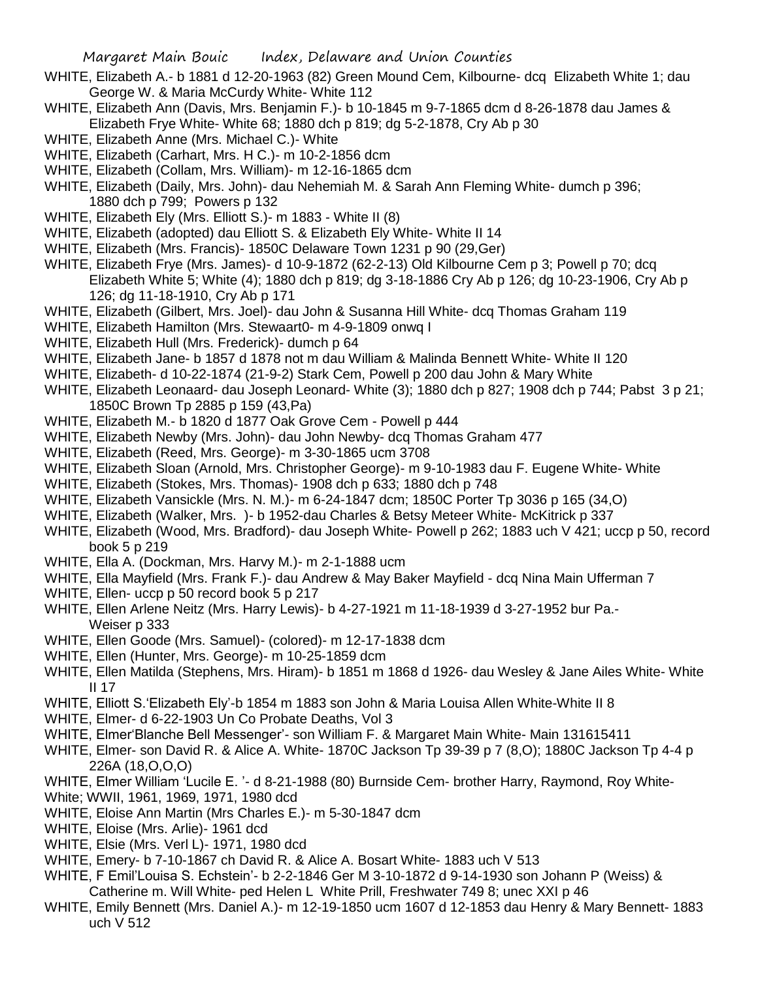- WHITE, Elizabeth A.- b 1881 d 12-20-1963 (82) Green Mound Cem, Kilbourne- dcq Elizabeth White 1; dau George W. & Maria McCurdy White- White 112
- WHITE, Elizabeth Ann (Davis, Mrs. Benjamin F.)- b 10-1845 m 9-7-1865 dcm d 8-26-1878 dau James & Elizabeth Frye White- White 68; 1880 dch p 819; dg 5-2-1878, Cry Ab p 30
- WHITE, Elizabeth Anne (Mrs. Michael C.)- White
- WHITE, Elizabeth (Carhart, Mrs. H C.)- m 10-2-1856 dcm
- WHITE, Elizabeth (Collam, Mrs. William)- m 12-16-1865 dcm
- WHITE, Elizabeth (Daily, Mrs. John)- dau Nehemiah M. & Sarah Ann Fleming White- dumch p 396; 1880 dch p 799; Powers p 132
- WHITE, Elizabeth Ely (Mrs. Elliott S.)- m 1883 White II (8)
- WHITE, Elizabeth (adopted) dau Elliott S. & Elizabeth Ely White- White II 14
- WHITE, Elizabeth (Mrs. Francis)- 1850C Delaware Town 1231 p 90 (29,Ger)
- WHITE, Elizabeth Frye (Mrs. James)- d 10-9-1872 (62-2-13) Old Kilbourne Cem p 3; Powell p 70; dcq Elizabeth White 5; White (4); 1880 dch p 819; dg 3-18-1886 Cry Ab p 126; dg 10-23-1906, Cry Ab p 126; dg 11-18-1910, Cry Ab p 171
- WHITE, Elizabeth (Gilbert, Mrs. Joel)- dau John & Susanna Hill White- dcq Thomas Graham 119
- WHITE, Elizabeth Hamilton (Mrs. Stewaart0- m 4-9-1809 onwq I
- WHITE, Elizabeth Hull (Mrs. Frederick)- dumch p 64
- WHITE, Elizabeth Jane- b 1857 d 1878 not m dau William & Malinda Bennett White- White II 120
- WHITE, Elizabeth- d 10-22-1874 (21-9-2) Stark Cem, Powell p 200 dau John & Mary White
- WHITE, Elizabeth Leonaard- dau Joseph Leonard- White (3); 1880 dch p 827; 1908 dch p 744; Pabst 3 p 21; 1850C Brown Tp 2885 p 159 (43,Pa)
- WHITE, Elizabeth M.- b 1820 d 1877 Oak Grove Cem Powell p 444
- WHITE, Elizabeth Newby (Mrs. John)- dau John Newby- dcq Thomas Graham 477
- WHITE, Elizabeth (Reed, Mrs. George)- m 3-30-1865 ucm 3708
- WHITE, Elizabeth Sloan (Arnold, Mrs. Christopher George)- m 9-10-1983 dau F. Eugene White- White
- WHITE, Elizabeth (Stokes, Mrs. Thomas)- 1908 dch p 633; 1880 dch p 748
- WHITE, Elizabeth Vansickle (Mrs. N. M.)- m 6-24-1847 dcm; 1850C Porter Tp 3036 p 165 (34,O)
- WHITE, Elizabeth (Walker, Mrs. )- b 1952-dau Charles & Betsy Meteer White- McKitrick p 337
- WHITE, Elizabeth (Wood, Mrs. Bradford)- dau Joseph White- Powell p 262; 1883 uch V 421; uccp p 50, record book 5 p 219
- WHITE, Ella A. (Dockman, Mrs. Harvy M.)- m 2-1-1888 ucm
- WHITE, Ella Mayfield (Mrs. Frank F.)- dau Andrew & May Baker Mayfield dcq Nina Main Ufferman 7
- WHITE, Ellen- uccp p 50 record book 5 p 217
- WHITE, Ellen Arlene Neitz (Mrs. Harry Lewis)- b 4-27-1921 m 11-18-1939 d 3-27-1952 bur Pa.- Weiser p 333
- WHITE, Ellen Goode (Mrs. Samuel)- (colored)- m 12-17-1838 dcm
- WHITE, Ellen (Hunter, Mrs. George)- m 10-25-1859 dcm
- WHITE, Ellen Matilda (Stephens, Mrs. Hiram)- b 1851 m 1868 d 1926- dau Wesley & Jane Ailes White- White II 17
- WHITE, Elliott S.'Elizabeth Ely'-b 1854 m 1883 son John & Maria Louisa Allen White-White II 8
- WHITE, Elmer- d 6-22-1903 Un Co Probate Deaths, Vol 3
- WHITE, Elmer'Blanche Bell Messenger'- son William F. & Margaret Main White- Main 131615411
- WHITE, Elmer- son David R. & Alice A. White- 1870C Jackson Tp 39-39 p 7 (8,O); 1880C Jackson Tp 4-4 p 226A (18,O,O,O)
- WHITE, Elmer William 'Lucile E. '- d 8-21-1988 (80) Burnside Cem- brother Harry, Raymond, Roy White-
- White; WWII, 1961, 1969, 1971, 1980 dcd
- WHITE, Eloise Ann Martin (Mrs Charles E.)- m 5-30-1847 dcm
- WHITE, Eloise (Mrs. Arlie)- 1961 dcd
- WHITE, Elsie (Mrs. Verl L)- 1971, 1980 dcd
- WHITE, Emery- b 7-10-1867 ch David R. & Alice A. Bosart White- 1883 uch V 513
- WHITE, F Emil'Louisa S. Echstein'- b 2-2-1846 Ger M 3-10-1872 d 9-14-1930 son Johann P (Weiss) &
- Catherine m. Will White- ped Helen L White Prill, Freshwater 749 8; unec XXI p 46
- WHITE, Emily Bennett (Mrs. Daniel A.)- m 12-19-1850 ucm 1607 d 12-1853 dau Henry & Mary Bennett- 1883 uch V 512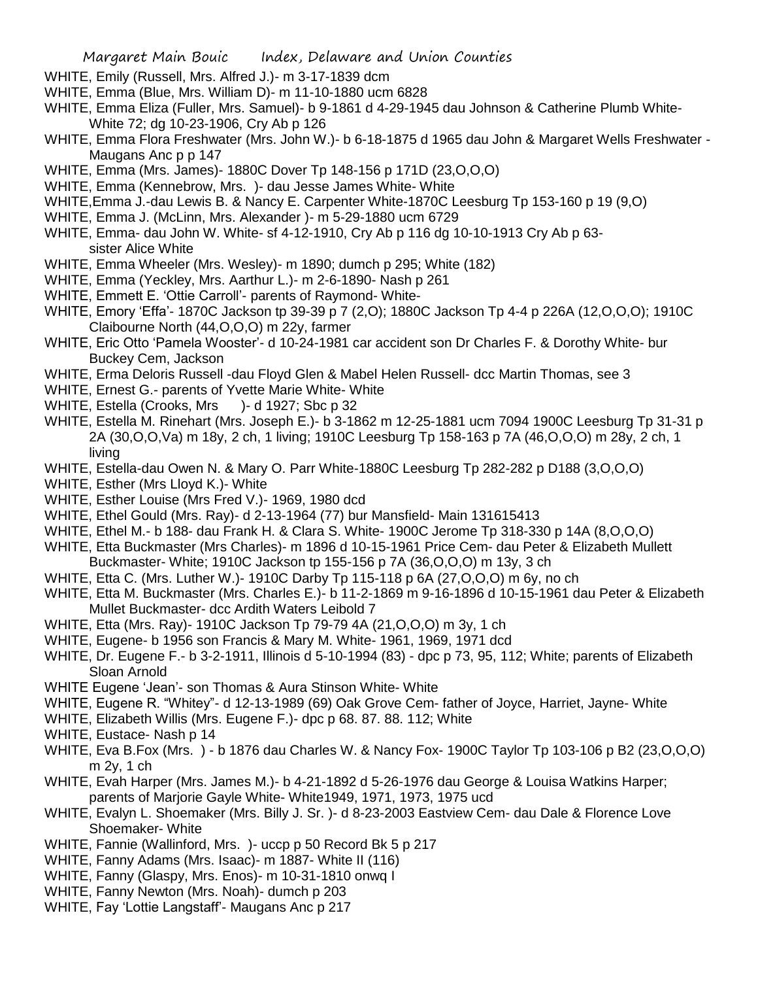- WHITE, Emily (Russell, Mrs. Alfred J.)- m 3-17-1839 dcm
- WHITE, Emma (Blue, Mrs. William D)- m 11-10-1880 ucm 6828
- WHITE, Emma Eliza (Fuller, Mrs. Samuel)- b 9-1861 d 4-29-1945 dau Johnson & Catherine Plumb White-White 72; dg 10-23-1906, Cry Ab p 126
- WHITE, Emma Flora Freshwater (Mrs. John W.)- b 6-18-1875 d 1965 dau John & Margaret Wells Freshwater Maugans Anc p p 147
- WHITE, Emma (Mrs. James)- 1880C Dover Tp 148-156 p 171D (23,O,O,O)
- WHITE, Emma (Kennebrow, Mrs. )- dau Jesse James White- White
- WHITE,Emma J.-dau Lewis B. & Nancy E. Carpenter White-1870C Leesburg Tp 153-160 p 19 (9,O)
- WHITE, Emma J. (McLinn, Mrs. Alexander )- m 5-29-1880 ucm 6729
- WHITE, Emma- dau John W. White- sf 4-12-1910, Cry Ab p 116 dg 10-10-1913 Cry Ab p 63 sister Alice White
- WHITE, Emma Wheeler (Mrs. Wesley)- m 1890; dumch p 295; White (182)
- WHITE, Emma (Yeckley, Mrs. Aarthur L.)- m 2-6-1890- Nash p 261
- WHITE, Emmett E. 'Ottie Carroll'- parents of Raymond- White-
- WHITE, Emory 'Effa'- 1870C Jackson tp 39-39 p 7 (2,O); 1880C Jackson Tp 4-4 p 226A (12,O,O,O); 1910C Claibourne North (44,O,O,O) m 22y, farmer
- WHITE, Eric Otto 'Pamela Wooster'- d 10-24-1981 car accident son Dr Charles F. & Dorothy White- bur Buckey Cem, Jackson
- WHITE, Erma Deloris Russell -dau Floyd Glen & Mabel Helen Russell- dcc Martin Thomas, see 3
- WHITE, Ernest G.- parents of Yvette Marie White- White
- WHITE, Estella (Crooks, Mrs )- d 1927; Sbc p 32
- WHITE, Estella M. Rinehart (Mrs. Joseph E.)- b 3-1862 m 12-25-1881 ucm 7094 1900C Leesburg Tp 31-31 p 2A (30,O,O,Va) m 18y, 2 ch, 1 living; 1910C Leesburg Tp 158-163 p 7A (46,O,O,O) m 28y, 2 ch, 1 living
- WHITE, Estella-dau Owen N. & Mary O. Parr White-1880C Leesburg Tp 282-282 p D188 (3,O,O,O)
- WHITE, Esther (Mrs Lloyd K.)- White
- WHITE, Esther Louise (Mrs Fred V.)- 1969, 1980 dcd
- WHITE, Ethel Gould (Mrs. Ray)- d 2-13-1964 (77) bur Mansfield- Main 131615413
- WHITE, Ethel M.- b 188- dau Frank H. & Clara S. White- 1900C Jerome Tp 318-330 p 14A (8,O,O,O)
- WHITE, Etta Buckmaster (Mrs Charles)- m 1896 d 10-15-1961 Price Cem- dau Peter & Elizabeth Mullett Buckmaster- White; 1910C Jackson tp 155-156 p 7A (36,O,O,O) m 13y, 3 ch
- WHITE, Etta C. (Mrs. Luther W.)- 1910C Darby Tp 115-118 p 6A (27,O,O,O) m 6y, no ch
- WHITE, Etta M. Buckmaster (Mrs. Charles E.)- b 11-2-1869 m 9-16-1896 d 10-15-1961 dau Peter & Elizabeth Mullet Buckmaster- dcc Ardith Waters Leibold 7
- WHITE, Etta (Mrs. Ray)- 1910C Jackson Tp 79-79 4A (21,O,O,O) m 3y, 1 ch
- WHITE, Eugene- b 1956 son Francis & Mary M. White- 1961, 1969, 1971 dcd
- WHITE, Dr. Eugene F.- b 3-2-1911, Illinois d 5-10-1994 (83) dpc p 73, 95, 112; White; parents of Elizabeth Sloan Arnold
- WHITE Eugene 'Jean'- son Thomas & Aura Stinson White- White
- WHITE, Eugene R. "Whitey"- d 12-13-1989 (69) Oak Grove Cem- father of Joyce, Harriet, Jayne- White
- WHITE, Elizabeth Willis (Mrs. Eugene F.)- dpc p 68. 87. 88. 112; White
- WHITE, Eustace- Nash p 14
- WHITE, Eva B.Fox (Mrs. ) b 1876 dau Charles W. & Nancy Fox- 1900C Taylor Tp 103-106 p B2 (23,O,O,O) m 2y, 1 ch
- WHITE, Evah Harper (Mrs. James M.)- b 4-21-1892 d 5-26-1976 dau George & Louisa Watkins Harper; parents of Marjorie Gayle White- White1949, 1971, 1973, 1975 ucd
- WHITE, Evalyn L. Shoemaker (Mrs. Billy J. Sr. )- d 8-23-2003 Eastview Cem- dau Dale & Florence Love Shoemaker- White
- WHITE, Fannie (Wallinford, Mrs. )- uccp p 50 Record Bk 5 p 217
- WHITE, Fanny Adams (Mrs. Isaac)- m 1887- White II (116)
- WHITE, Fanny (Glaspy, Mrs. Enos)- m 10-31-1810 onwq I
- WHITE, Fanny Newton (Mrs. Noah)- dumch p 203
- WHITE, Fay 'Lottie Langstaff'- Maugans Anc p 217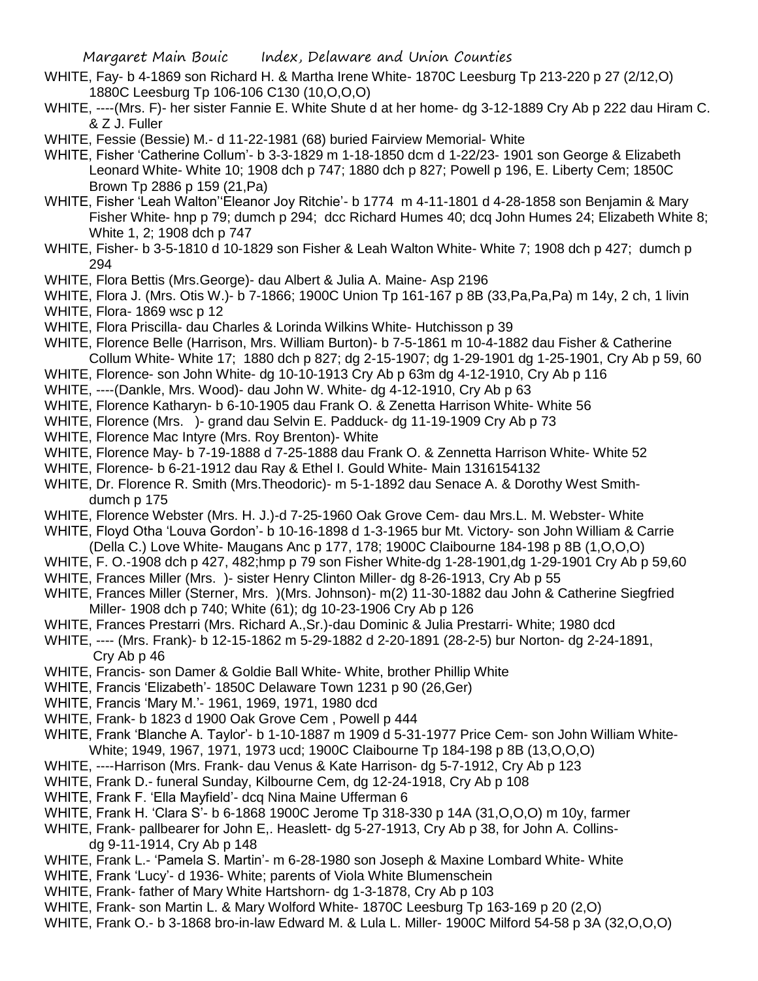- WHITE, Fay- b 4-1869 son Richard H. & Martha Irene White- 1870C Leesburg Tp 213-220 p 27 (2/12,O) 1880C Leesburg Tp 106-106 C130 (10,O,O,O)
- WHITE, ----(Mrs. F)- her sister Fannie E. White Shute d at her home- dg 3-12-1889 Cry Ab p 222 dau Hiram C. & Z J. Fuller
- WHITE, Fessie (Bessie) M.- d 11-22-1981 (68) buried Fairview Memorial- White
- WHITE, Fisher 'Catherine Collum'- b 3-3-1829 m 1-18-1850 dcm d 1-22/23- 1901 son George & Elizabeth Leonard White- White 10; 1908 dch p 747; 1880 dch p 827; Powell p 196, E. Liberty Cem; 1850C Brown Tp 2886 p 159 (21,Pa)
- WHITE, Fisher 'Leah Walton''Eleanor Joy Ritchie'- b 1774 m 4-11-1801 d 4-28-1858 son Benjamin & Mary Fisher White- hnp p 79; dumch p 294; dcc Richard Humes 40; dcq John Humes 24; Elizabeth White 8; White 1, 2; 1908 dch p 747
- WHITE, Fisher- b 3-5-1810 d 10-1829 son Fisher & Leah Walton White- White 7; 1908 dch p 427; dumch p 294
- WHITE, Flora Bettis (Mrs.George)- dau Albert & Julia A. Maine- Asp 2196
- WHITE, Flora J. (Mrs. Otis W.)- b 7-1866; 1900C Union Tp 161-167 p 8B (33,Pa,Pa,Pa) m 14y, 2 ch, 1 livin
- WHITE, Flora- 1869 wsc p 12
- WHITE, Flora Priscilla- dau Charles & Lorinda Wilkins White- Hutchisson p 39
- WHITE, Florence Belle (Harrison, Mrs. William Burton)- b 7-5-1861 m 10-4-1882 dau Fisher & Catherine Collum White- White 17; 1880 dch p 827; dg 2-15-1907; dg 1-29-1901 dg 1-25-1901, Cry Ab p 59, 60
- WHITE, Florence- son John White- dg 10-10-1913 Cry Ab p 63m dg 4-12-1910, Cry Ab p 116
- WHITE, ----(Dankle, Mrs. Wood)- dau John W. White- dg 4-12-1910, Cry Ab p 63
- WHITE, Florence Katharyn- b 6-10-1905 dau Frank O. & Zenetta Harrison White- White 56
- WHITE, Florence (Mrs. )- grand dau Selvin E. Padduck- dg 11-19-1909 Cry Ab p 73
- WHITE, Florence Mac Intyre (Mrs. Roy Brenton)- White
- WHITE, Florence May- b 7-19-1888 d 7-25-1888 dau Frank O. & Zennetta Harrison White- White 52
- WHITE, Florence- b 6-21-1912 dau Ray & Ethel I. Gould White- Main 1316154132
- WHITE, Dr. Florence R. Smith (Mrs.Theodoric)- m 5-1-1892 dau Senace A. & Dorothy West Smithdumch p 175
- WHITE, Florence Webster (Mrs. H. J.)-d 7-25-1960 Oak Grove Cem- dau Mrs.L. M. Webster- White
- WHITE, Floyd Otha 'Louva Gordon'- b 10-16-1898 d 1-3-1965 bur Mt. Victory- son John William & Carrie (Della C.) Love White- Maugans Anc p 177, 178; 1900C Claibourne 184-198 p 8B (1,O,O,O)
- WHITE, F. O.-1908 dch p 427, 482;hmp p 79 son Fisher White-dg 1-28-1901,dg 1-29-1901 Cry Ab p 59,60
- WHITE, Frances Miller (Mrs. )- sister Henry Clinton Miller- dg 8-26-1913, Cry Ab p 55
- WHITE, Frances Miller (Sterner, Mrs. )(Mrs. Johnson)- m(2) 11-30-1882 dau John & Catherine Siegfried Miller- 1908 dch p 740; White (61); dg 10-23-1906 Cry Ab p 126
- WHITE, Frances Prestarri (Mrs. Richard A.,Sr.)-dau Dominic & Julia Prestarri- White; 1980 dcd
- WHITE, ---- (Mrs. Frank)- b 12-15-1862 m 5-29-1882 d 2-20-1891 (28-2-5) bur Norton- dg 2-24-1891, Cry Ab p 46
- WHITE, Francis- son Damer & Goldie Ball White- White, brother Phillip White
- WHITE, Francis 'Elizabeth'- 1850C Delaware Town 1231 p 90 (26,Ger)
- WHITE, Francis 'Mary M.'- 1961, 1969, 1971, 1980 dcd
- WHITE, Frank- b 1823 d 1900 Oak Grove Cem , Powell p 444
- WHITE, Frank 'Blanche A. Taylor'- b 1-10-1887 m 1909 d 5-31-1977 Price Cem- son John William White-White; 1949, 1967, 1971, 1973 ucd; 1900C Claibourne Tp 184-198 p 8B (13,O,O,O)
- WHITE, ----Harrison (Mrs. Frank- dau Venus & Kate Harrison- dg 5-7-1912, Cry Ab p 123
- WHITE, Frank D.- funeral Sunday, Kilbourne Cem, dg 12-24-1918, Cry Ab p 108
- WHITE, Frank F. 'Ella Mayfield'- dcq Nina Maine Ufferman 6
- WHITE, Frank H. 'Clara S'- b 6-1868 1900C Jerome Tp 318-330 p 14A (31,O,O,O) m 10y, farmer
- WHITE, Frank- pallbearer for John E,. Heaslett- dg 5-27-1913, Cry Ab p 38, for John A. Collinsdg 9-11-1914, Cry Ab p 148
- WHITE, Frank L.- 'Pamela S. Martin'- m 6-28-1980 son Joseph & Maxine Lombard White- White
- WHITE, Frank 'Lucy'- d 1936- White; parents of Viola White Blumenschein
- WHITE, Frank- father of Mary White Hartshorn- dg 1-3-1878, Cry Ab p 103
- WHITE, Frank- son Martin L. & Mary Wolford White- 1870C Leesburg Tp 163-169 p 20 (2,O)
- WHITE, Frank O.- b 3-1868 bro-in-law Edward M. & Lula L. Miller- 1900C Milford 54-58 p 3A (32,O,O,O)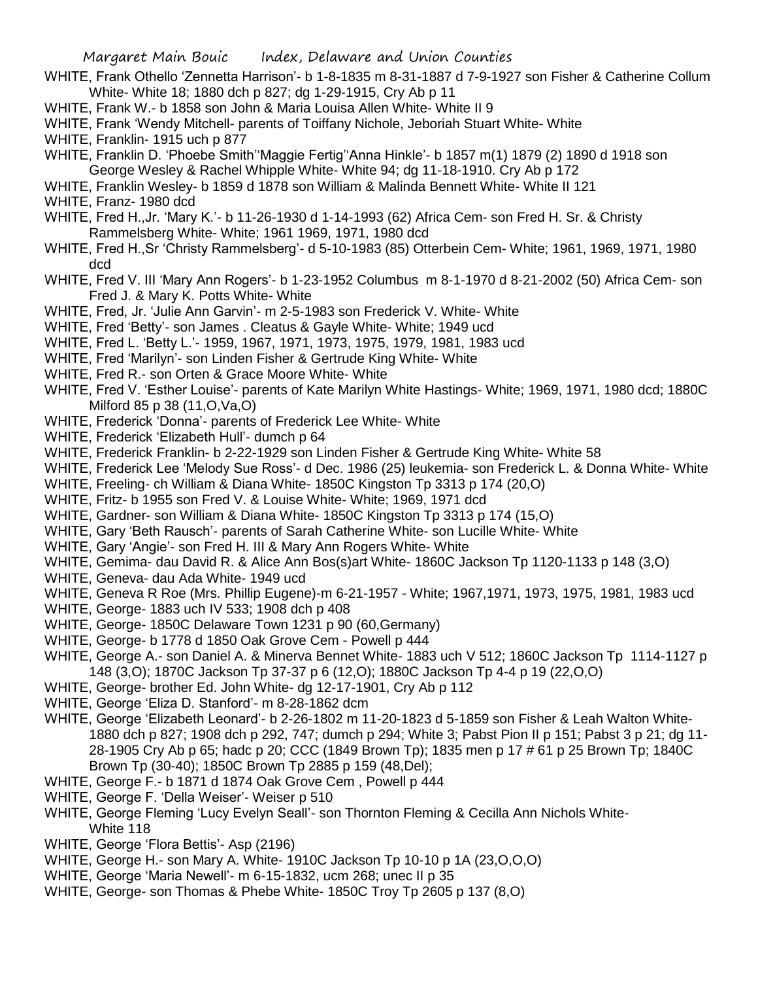- WHITE, Frank Othello 'Zennetta Harrison'- b 1-8-1835 m 8-31-1887 d 7-9-1927 son Fisher & Catherine Collum White- White 18; 1880 dch p 827; dg 1-29-1915, Cry Ab p 11
- WHITE, Frank W.- b 1858 son John & Maria Louisa Allen White- White II 9
- WHITE, Frank 'Wendy Mitchell- parents of Toiffany Nichole, Jeboriah Stuart White- White
- WHITE, Franklin- 1915 uch p 877
- WHITE, Franklin D. 'Phoebe Smith''Maggie Fertig''Anna Hinkle'- b 1857 m(1) 1879 (2) 1890 d 1918 son George Wesley & Rachel Whipple White- White 94; dg 11-18-1910. Cry Ab p 172
- WHITE, Franklin Wesley- b 1859 d 1878 son William & Malinda Bennett White- White II 121
- WHITE, Franz- 1980 dcd
- WHITE, Fred H.,Jr. 'Mary K.'- b 11-26-1930 d 1-14-1993 (62) Africa Cem- son Fred H. Sr. & Christy Rammelsberg White- White; 1961 1969, 1971, 1980 dcd
- WHITE, Fred H.,Sr 'Christy Rammelsberg'- d 5-10-1983 (85) Otterbein Cem- White; 1961, 1969, 1971, 1980 dcd
- WHITE, Fred V. III 'Mary Ann Rogers'- b 1-23-1952 Columbus m 8-1-1970 d 8-21-2002 (50) Africa Cem- son Fred J. & Mary K. Potts White- White
- WHITE, Fred, Jr. 'Julie Ann Garvin'- m 2-5-1983 son Frederick V. White- White
- WHITE, Fred 'Betty'- son James . Cleatus & Gayle White- White; 1949 ucd
- WHITE, Fred L. 'Betty L.'- 1959, 1967, 1971, 1973, 1975, 1979, 1981, 1983 ucd
- WHITE, Fred 'Marilyn'- son Linden Fisher & Gertrude King White- White
- WHITE, Fred R.- son Orten & Grace Moore White- White
- WHITE, Fred V. 'Esther Louise'- parents of Kate Marilyn White Hastings- White; 1969, 1971, 1980 dcd; 1880C Milford 85 p 38 (11,O,Va,O)
- WHITE, Frederick 'Donna'- parents of Frederick Lee White- White
- WHITE, Frederick 'Elizabeth Hull'- dumch p 64
- WHITE, Frederick Franklin- b 2-22-1929 son Linden Fisher & Gertrude King White- White 58
- WHITE, Frederick Lee 'Melody Sue Ross'- d Dec. 1986 (25) leukemia- son Frederick L. & Donna White- White
- WHITE, Freeling- ch William & Diana White- 1850C Kingston Tp 3313 p 174 (20,O)
- WHITE, Fritz- b 1955 son Fred V. & Louise White- White; 1969, 1971 dcd
- WHITE, Gardner- son William & Diana White- 1850C Kingston Tp 3313 p 174 (15,O)
- WHITE, Gary 'Beth Rausch'- parents of Sarah Catherine White- son Lucille White- White
- WHITE, Gary 'Angie'- son Fred H. III & Mary Ann Rogers White- White
- WHITE, Gemima- dau David R. & Alice Ann Bos(s)art White- 1860C Jackson Tp 1120-1133 p 148 (3,O)
- WHITE, Geneva- dau Ada White- 1949 ucd
- WHITE, Geneva R Roe (Mrs. Phillip Eugene)-m 6-21-1957 White; 1967,1971, 1973, 1975, 1981, 1983 ucd
- WHITE, George- 1883 uch IV 533; 1908 dch p 408
- WHITE, George- 1850C Delaware Town 1231 p 90 (60,Germany)
- WHITE, George- b 1778 d 1850 Oak Grove Cem Powell p 444
- WHITE, George A.- son Daniel A. & Minerva Bennet White- 1883 uch V 512; 1860C Jackson Tp 1114-1127 p 148 (3,O); 1870C Jackson Tp 37-37 p 6 (12,O); 1880C Jackson Tp 4-4 p 19 (22,O,O)
- WHITE, George- brother Ed. John White- dg 12-17-1901, Cry Ab p 112
- WHITE, George 'Eliza D. Stanford'- m 8-28-1862 dcm
- WHITE, George 'Elizabeth Leonard'- b 2-26-1802 m 11-20-1823 d 5-1859 son Fisher & Leah Walton White-1880 dch p 827; 1908 dch p 292, 747; dumch p 294; White 3; Pabst Pion II p 151; Pabst 3 p 21; dg 11- 28-1905 Cry Ab p 65; hadc p 20; CCC (1849 Brown Tp); 1835 men p 17 # 61 p 25 Brown Tp; 1840C Brown Tp (30-40); 1850C Brown Tp 2885 p 159 (48,Del);
- WHITE, George F.- b 1871 d 1874 Oak Grove Cem , Powell p 444
- WHITE, George F. 'Della Weiser'- Weiser p 510
- WHITE, George Fleming 'Lucy Evelyn Seall'- son Thornton Fleming & Cecilla Ann Nichols White-White 118
- WHITE, George 'Flora Bettis'- Asp (2196)
- WHITE, George H.- son Mary A. White- 1910C Jackson Tp 10-10 p 1A (23,O,O,O)
- WHITE, George 'Maria Newell'- m 6-15-1832, ucm 268; unec II p 35
- WHITE, George- son Thomas & Phebe White- 1850C Troy Tp 2605 p 137 (8,O)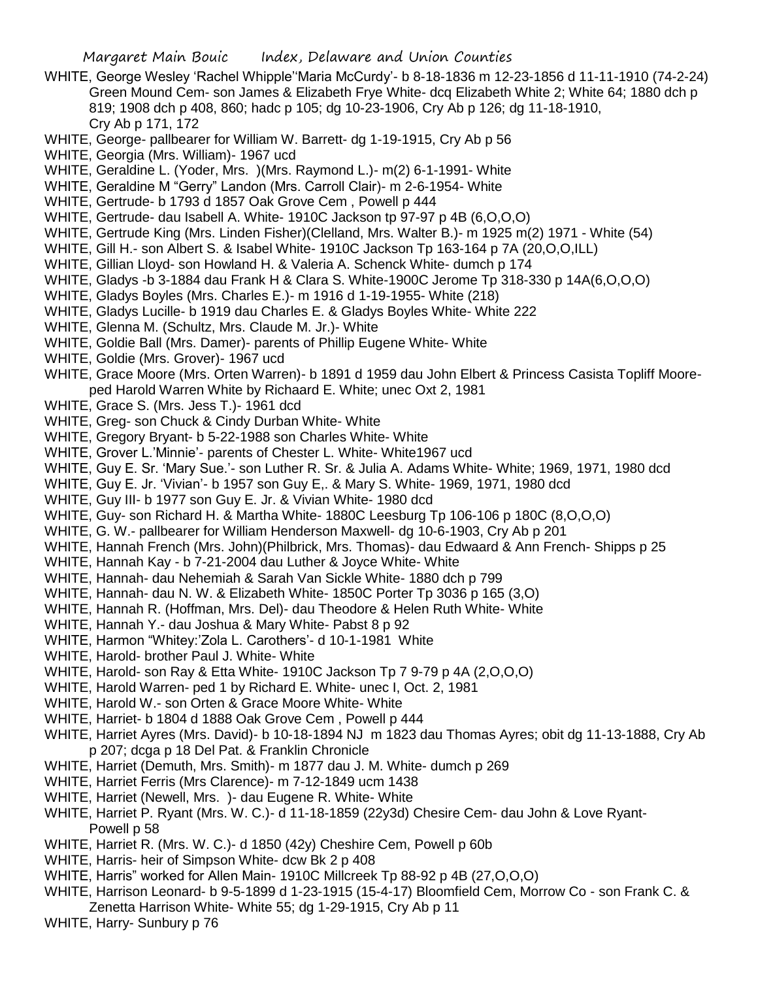- WHITE, George Wesley 'Rachel Whipple''Maria McCurdy'- b 8-18-1836 m 12-23-1856 d 11-11-1910 (74-2-24) Green Mound Cem- son James & Elizabeth Frye White- dcq Elizabeth White 2; White 64; 1880 dch p 819; 1908 dch p 408, 860; hadc p 105; dg 10-23-1906, Cry Ab p 126; dg 11-18-1910, Cry Ab p 171, 172
- WHITE, George- pallbearer for William W. Barrett- dg 1-19-1915, Cry Ab p 56
- WHITE, Georgia (Mrs. William)- 1967 ucd
- WHITE, Geraldine L. (Yoder, Mrs. )(Mrs. Raymond L.)- m(2) 6-1-1991- White
- WHITE, Geraldine M "Gerry" Landon (Mrs. Carroll Clair)- m 2-6-1954- White
- WHITE, Gertrude- b 1793 d 1857 Oak Grove Cem , Powell p 444
- WHITE, Gertrude- dau Isabell A. White- 1910C Jackson tp 97-97 p 4B (6,O,O,O)
- WHITE, Gertrude King (Mrs. Linden Fisher)(Clelland, Mrs. Walter B.)- m 1925 m(2) 1971 White (54)
- WHITE, Gill H.- son Albert S. & Isabel White- 1910C Jackson Tp 163-164 p 7A (20,O,O,ILL)
- WHITE, Gillian Lloyd- son Howland H. & Valeria A. Schenck White- dumch p 174
- WHITE, Gladys -b 3-1884 dau Frank H & Clara S. White-1900C Jerome Tp 318-330 p 14A(6,O,O,O)
- WHITE, Gladys Boyles (Mrs. Charles E.)- m 1916 d 1-19-1955- White (218)
- WHITE, Gladys Lucille- b 1919 dau Charles E. & Gladys Boyles White- White 222
- WHITE, Glenna M. (Schultz, Mrs. Claude M. Jr.)- White
- WHITE, Goldie Ball (Mrs. Damer)- parents of Phillip Eugene White- White
- WHITE, Goldie (Mrs. Grover)- 1967 ucd
- WHITE, Grace Moore (Mrs. Orten Warren)- b 1891 d 1959 dau John Elbert & Princess Casista Topliff Mooreped Harold Warren White by Richaard E. White; unec Oxt 2, 1981
- WHITE, Grace S. (Mrs. Jess T.)- 1961 dcd
- WHITE, Greg- son Chuck & Cindy Durban White- White
- WHITE, Gregory Bryant- b 5-22-1988 son Charles White- White
- WHITE, Grover L.'Minnie'- parents of Chester L. White- White1967 ucd
- WHITE, Guy E. Sr. 'Mary Sue.'- son Luther R. Sr. & Julia A. Adams White- White; 1969, 1971, 1980 dcd
- WHITE, Guy E. Jr. 'Vivian'- b 1957 son Guy E,. & Mary S. White- 1969, 1971, 1980 dcd
- WHITE, Guy III- b 1977 son Guy E. Jr. & Vivian White- 1980 dcd
- WHITE, Guy- son Richard H. & Martha White- 1880C Leesburg Tp 106-106 p 180C (8,O,O,O)
- WHITE, G. W.- pallbearer for William Henderson Maxwell- dg 10-6-1903, Cry Ab p 201
- WHITE, Hannah French (Mrs. John)(Philbrick, Mrs. Thomas)- dau Edwaard & Ann French- Shipps p 25
- WHITE, Hannah Kay b 7-21-2004 dau Luther & Joyce White- White
- WHITE, Hannah- dau Nehemiah & Sarah Van Sickle White- 1880 dch p 799
- WHITE, Hannah- dau N. W. & Elizabeth White- 1850C Porter Tp 3036 p 165 (3,O)
- WHITE, Hannah R. (Hoffman, Mrs. Del)- dau Theodore & Helen Ruth White- White
- WHITE, Hannah Y.- dau Joshua & Mary White- Pabst 8 p 92
- WHITE, Harmon "Whitey:'Zola L. Carothers'- d 10-1-1981 White
- WHITE, Harold- brother Paul J. White- White
- WHITE, Harold- son Ray & Etta White- 1910C Jackson Tp 7 9-79 p 4A (2,O,O,O)
- WHITE, Harold Warren- ped 1 by Richard E. White- unec I, Oct. 2, 1981
- WHITE, Harold W.- son Orten & Grace Moore White- White
- WHITE, Harriet- b 1804 d 1888 Oak Grove Cem , Powell p 444
- WHITE, Harriet Ayres (Mrs. David)- b 10-18-1894 NJ m 1823 dau Thomas Ayres; obit dg 11-13-1888, Cry Ab p 207; dcga p 18 Del Pat. & Franklin Chronicle
- WHITE, Harriet (Demuth, Mrs. Smith)- m 1877 dau J. M. White- dumch p 269
- WHITE, Harriet Ferris (Mrs Clarence)- m 7-12-1849 ucm 1438
- WHITE, Harriet (Newell, Mrs. )- dau Eugene R. White- White
- WHITE, Harriet P. Ryant (Mrs. W. C.)- d 11-18-1859 (22y3d) Chesire Cem- dau John & Love Ryant-Powell p 58
- WHITE, Harriet R. (Mrs. W. C.)- d 1850 (42y) Cheshire Cem, Powell p 60b
- WHITE, Harris- heir of Simpson White- dcw Bk 2 p 408
- WHITE, Harris" worked for Allen Main- 1910C Millcreek Tp 88-92 p 4B (27,O,O,O)
- WHITE, Harrison Leonard- b 9-5-1899 d 1-23-1915 (15-4-17) Bloomfield Cem, Morrow Co son Frank C. &
- Zenetta Harrison White- White 55; dg 1-29-1915, Cry Ab p 11
- WHITE, Harry- Sunbury p 76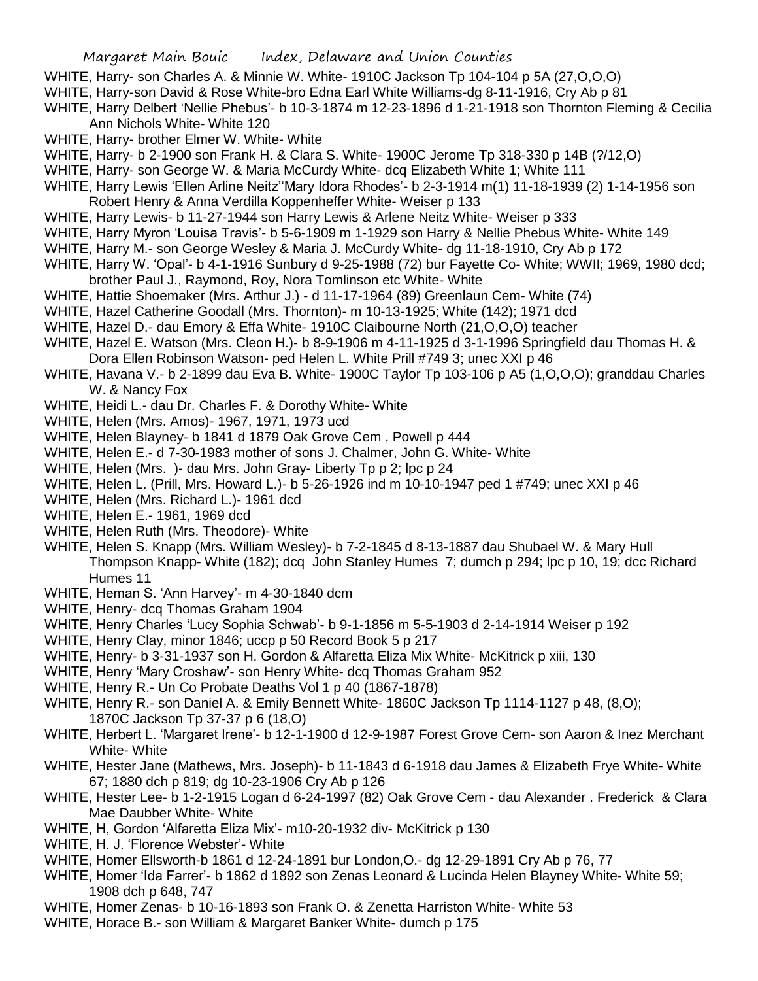- WHITE, Harry- son Charles A. & Minnie W. White- 1910C Jackson Tp 104-104 p 5A (27,O,O,O)
- WHITE, Harry-son David & Rose White-bro Edna Earl White Williams-dg 8-11-1916, Cry Ab p 81
- WHITE, Harry Delbert 'Nellie Phebus'- b 10-3-1874 m 12-23-1896 d 1-21-1918 son Thornton Fleming & Cecilia Ann Nichols White- White 120
- WHITE, Harry- brother Elmer W. White- White
- WHITE, Harry- b 2-1900 son Frank H. & Clara S. White- 1900C Jerome Tp 318-330 p 14B (?/12,O)
- WHITE, Harry- son George W. & Maria McCurdy White- dcq Elizabeth White 1; White 111
- WHITE, Harry Lewis 'Ellen Arline Neitz''Mary Idora Rhodes'- b 2-3-1914 m(1) 11-18-1939 (2) 1-14-1956 son Robert Henry & Anna Verdilla Koppenheffer White- Weiser p 133
- WHITE, Harry Lewis- b 11-27-1944 son Harry Lewis & Arlene Neitz White- Weiser p 333
- WHITE, Harry Myron 'Louisa Travis'- b 5-6-1909 m 1-1929 son Harry & Nellie Phebus White- White 149
- WHITE, Harry M.- son George Wesley & Maria J. McCurdy White- dg 11-18-1910, Cry Ab p 172
- WHITE, Harry W. 'Opal'- b 4-1-1916 Sunbury d 9-25-1988 (72) bur Fayette Co- White; WWII; 1969, 1980 dcd; brother Paul J., Raymond, Roy, Nora Tomlinson etc White- White
- WHITE, Hattie Shoemaker (Mrs. Arthur J.) d 11-17-1964 (89) Greenlaun Cem- White (74)
- WHITE, Hazel Catherine Goodall (Mrs. Thornton)- m 10-13-1925; White (142); 1971 dcd
- WHITE, Hazel D.- dau Emory & Effa White- 1910C Claibourne North (21,O,O,O) teacher
- WHITE, Hazel E. Watson (Mrs. Cleon H.)- b 8-9-1906 m 4-11-1925 d 3-1-1996 Springfield dau Thomas H. & Dora Ellen Robinson Watson- ped Helen L. White Prill #749 3; unec XXI p 46
- WHITE, Havana V.- b 2-1899 dau Eva B. White- 1900C Taylor Tp 103-106 p A5 (1,O,O,O); granddau Charles W. & Nancy Fox
- WHITE, Heidi L.- dau Dr. Charles F. & Dorothy White- White
- WHITE, Helen (Mrs. Amos)- 1967, 1971, 1973 ucd
- WHITE, Helen Blayney- b 1841 d 1879 Oak Grove Cem , Powell p 444
- WHITE, Helen E.- d 7-30-1983 mother of sons J. Chalmer, John G. White- White
- WHITE, Helen (Mrs. )- dau Mrs. John Gray- Liberty Tp p 2; lpc p 24
- WHITE, Helen L. (Prill, Mrs. Howard L.)- b 5-26-1926 ind m 10-10-1947 ped 1 #749; unec XXI p 46
- WHITE, Helen (Mrs. Richard L.)- 1961 dcd
- WHITE, Helen E.- 1961, 1969 dcd
- WHITE, Helen Ruth (Mrs. Theodore)- White
- WHITE, Helen S. Knapp (Mrs. William Wesley)- b 7-2-1845 d 8-13-1887 dau Shubael W. & Mary Hull Thompson Knapp- White (182); dcq John Stanley Humes 7; dumch p 294; lpc p 10, 19; dcc Richard Humes 11
- WHITE, Heman S. 'Ann Harvey'- m 4-30-1840 dcm
- WHITE, Henry- dcq Thomas Graham 1904
- WHITE, Henry Charles 'Lucy Sophia Schwab'- b 9-1-1856 m 5-5-1903 d 2-14-1914 Weiser p 192
- WHITE, Henry Clay, minor 1846; uccp p 50 Record Book 5 p 217
- WHITE, Henry- b 3-31-1937 son H. Gordon & Alfaretta Eliza Mix White- McKitrick p xiii, 130
- WHITE, Henry 'Mary Croshaw'- son Henry White- dcq Thomas Graham 952
- WHITE, Henry R.- Un Co Probate Deaths Vol 1 p 40 (1867-1878)
- WHITE, Henry R.- son Daniel A. & Emily Bennett White- 1860C Jackson Tp 1114-1127 p 48, (8,O); 1870C Jackson Tp 37-37 p 6 (18,O)
- WHITE, Herbert L. 'Margaret Irene'- b 12-1-1900 d 12-9-1987 Forest Grove Cem- son Aaron & Inez Merchant White- White
- WHITE, Hester Jane (Mathews, Mrs. Joseph)- b 11-1843 d 6-1918 dau James & Elizabeth Frye White- White 67; 1880 dch p 819; dg 10-23-1906 Cry Ab p 126
- WHITE, Hester Lee- b 1-2-1915 Logan d 6-24-1997 (82) Oak Grove Cem dau Alexander . Frederick & Clara Mae Daubber White- White
- WHITE, H, Gordon 'Alfaretta Eliza Mix'- m10-20-1932 div- McKitrick p 130
- WHITE, H. J. 'Florence Webster'- White
- WHITE, Homer Ellsworth-b 1861 d 12-24-1891 bur London,O.- dg 12-29-1891 Cry Ab p 76, 77
- WHITE, Homer 'Ida Farrer'- b 1862 d 1892 son Zenas Leonard & Lucinda Helen Blayney White- White 59; 1908 dch p 648, 747
- WHITE, Homer Zenas- b 10-16-1893 son Frank O. & Zenetta Harriston White- White 53
- WHITE, Horace B.- son William & Margaret Banker White- dumch p 175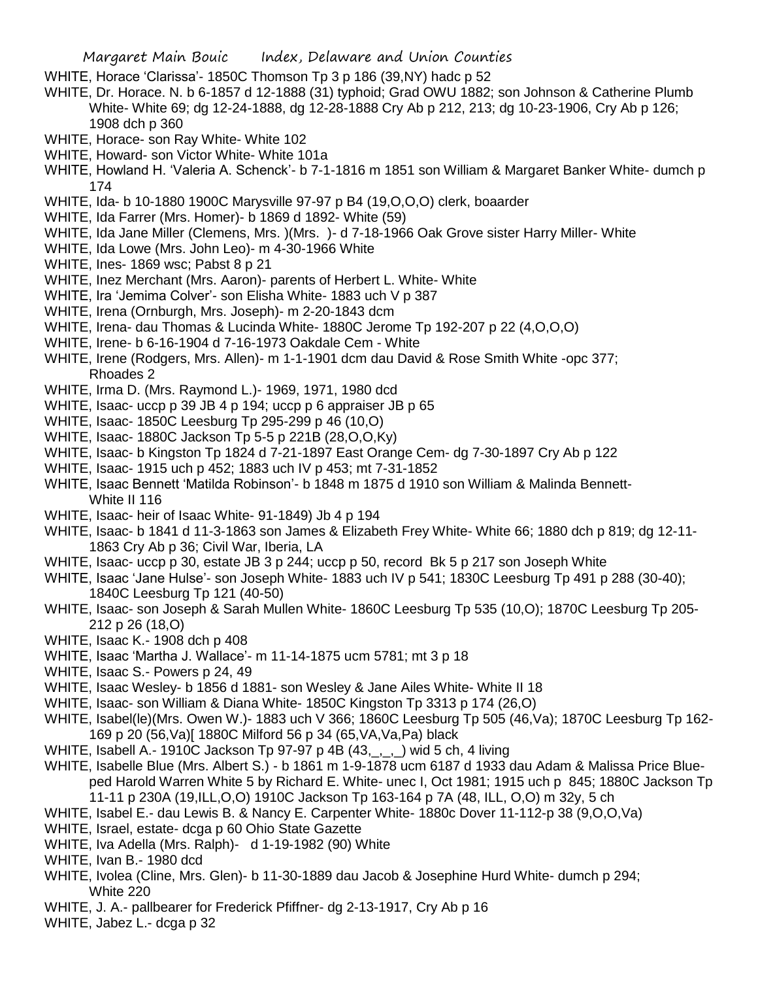- WHITE, Horace 'Clarissa'- 1850C Thomson Tp 3 p 186 (39,NY) hadc p 52
- WHITE, Dr. Horace. N. b 6-1857 d 12-1888 (31) typhoid; Grad OWU 1882; son Johnson & Catherine Plumb White- White 69; dg 12-24-1888, dg 12-28-1888 Cry Ab p 212, 213; dg 10-23-1906, Cry Ab p 126; 1908 dch p 360
- WHITE, Horace- son Ray White- White 102
- WHITE, Howard- son Victor White- White 101a
- WHITE, Howland H. 'Valeria A. Schenck'- b 7-1-1816 m 1851 son William & Margaret Banker White- dumch p 174
- WHITE, Ida- b 10-1880 1900C Marysville 97-97 p B4 (19,O,O,O) clerk, boaarder
- WHITE, Ida Farrer (Mrs. Homer)- b 1869 d 1892- White (59)
- WHITE, Ida Jane Miller (Clemens, Mrs. )(Mrs. )- d 7-18-1966 Oak Grove sister Harry Miller- White
- WHITE, Ida Lowe (Mrs. John Leo)- m 4-30-1966 White
- WHITE, Ines- 1869 wsc; Pabst 8 p 21
- WHITE, Inez Merchant (Mrs. Aaron)- parents of Herbert L. White- White
- WHITE, Ira 'Jemima Colver'- son Elisha White- 1883 uch V p 387
- WHITE, Irena (Ornburgh, Mrs. Joseph)- m 2-20-1843 dcm
- WHITE, Irena- dau Thomas & Lucinda White- 1880C Jerome Tp 192-207 p 22 (4,O,O,O)
- WHITE, Irene- b 6-16-1904 d 7-16-1973 Oakdale Cem White
- WHITE, Irene (Rodgers, Mrs. Allen)- m 1-1-1901 dcm dau David & Rose Smith White -opc 377; Rhoades 2
- WHITE, Irma D. (Mrs. Raymond L.)- 1969, 1971, 1980 dcd
- WHITE, Isaac- uccp p 39 JB 4 p 194; uccp p 6 appraiser JB p 65
- WHITE, Isaac- 1850C Leesburg Tp 295-299 p 46 (10,O)
- WHITE, Isaac- 1880C Jackson Tp 5-5 p 221B (28,O,O,Ky)
- WHITE, Isaac- b Kingston Tp 1824 d 7-21-1897 East Orange Cem- dg 7-30-1897 Cry Ab p 122
- WHITE, Isaac- 1915 uch p 452; 1883 uch IV p 453; mt 7-31-1852
- WHITE, Isaac Bennett 'Matilda Robinson'- b 1848 m 1875 d 1910 son William & Malinda Bennett-White II 116
- WHITE, Isaac- heir of Isaac White- 91-1849) Jb 4 p 194
- WHITE, Isaac- b 1841 d 11-3-1863 son James & Elizabeth Frey White- White 66; 1880 dch p 819; dg 12-11- 1863 Cry Ab p 36; Civil War, Iberia, LA
- WHITE, Isaac- uccp p 30, estate JB 3 p 244; uccp p 50, record Bk 5 p 217 son Joseph White
- WHITE, Isaac 'Jane Hulse'- son Joseph White- 1883 uch IV p 541; 1830C Leesburg Tp 491 p 288 (30-40); 1840C Leesburg Tp 121 (40-50)
- WHITE, Isaac- son Joseph & Sarah Mullen White- 1860C Leesburg Tp 535 (10,O); 1870C Leesburg Tp 205- 212 p 26 (18,O)
- WHITE, Isaac K.- 1908 dch p 408
- WHITE, Isaac 'Martha J. Wallace'- m 11-14-1875 ucm 5781; mt 3 p 18
- WHITE, Isaac S.- Powers p 24, 49
- WHITE, Isaac Wesley- b 1856 d 1881- son Wesley & Jane Ailes White- White II 18
- WHITE, Isaac- son William & Diana White- 1850C Kingston Tp 3313 p 174 (26,O)
- WHITE, Isabel(le)(Mrs. Owen W.)- 1883 uch V 366; 1860C Leesburg Tp 505 (46,Va); 1870C Leesburg Tp 162- 169 p 20 (56,Va)[ 1880C Milford 56 p 34 (65,VA,Va,Pa) black
- WHITE, Isabell A.- 1910C Jackson Tp 97-97 p 4B (43, , , ) wid 5 ch, 4 living
- WHITE, Isabelle Blue (Mrs. Albert S.) b 1861 m 1-9-1878 ucm 6187 d 1933 dau Adam & Malissa Price Blueped Harold Warren White 5 by Richard E. White- unec I, Oct 1981; 1915 uch p 845; 1880C Jackson Tp 11-11 p 230A (19,ILL,O,O) 1910C Jackson Tp 163-164 p 7A (48, ILL, O,O) m 32y, 5 ch
- WHITE, Isabel E.- dau Lewis B. & Nancy E. Carpenter White- 1880c Dover 11-112-p 38 (9,O,O,Va)
- WHITE, Israel, estate- dcga p 60 Ohio State Gazette
- WHITE, Iva Adella (Mrs. Ralph)- d 1-19-1982 (90) White
- WHITE, Ivan B.- 1980 dcd
- WHITE, Ivolea (Cline, Mrs. Glen)- b 11-30-1889 dau Jacob & Josephine Hurd White- dumch p 294; White 220
- WHITE, J. A.- pallbearer for Frederick Pfiffner- dg 2-13-1917, Cry Ab p 16
- WHITE, Jabez L.- dcga p 32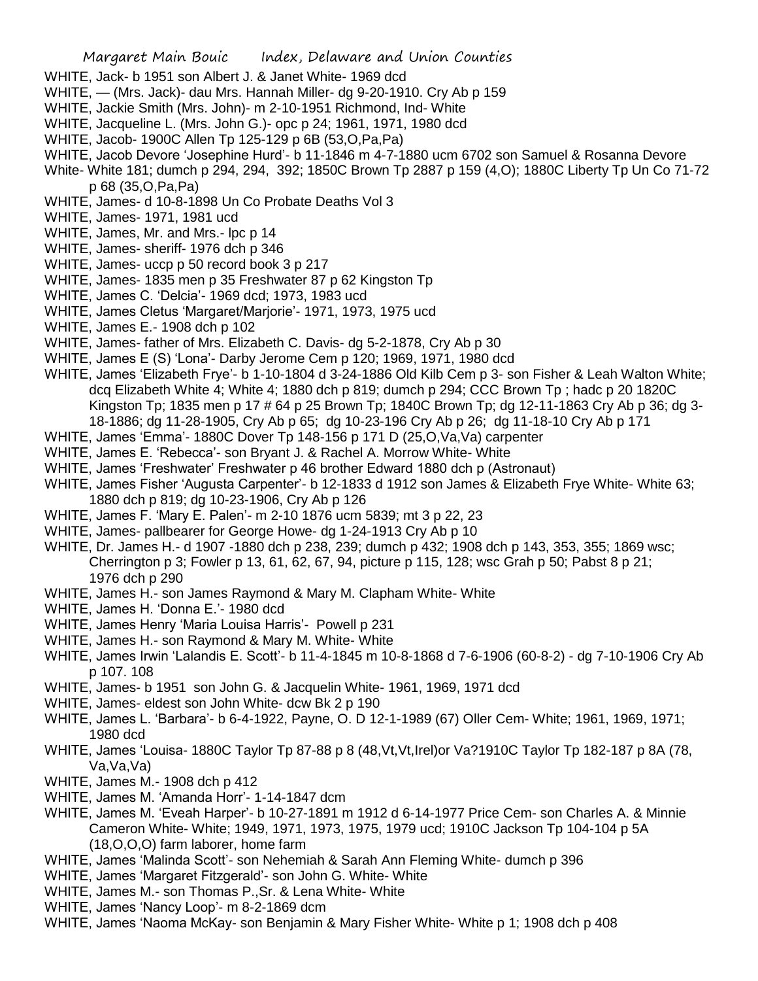- WHITE, Jack- b 1951 son Albert J. & Janet White- 1969 dcd
- WHITE, (Mrs. Jack)- dau Mrs. Hannah Miller- dg 9-20-1910. Cry Ab p 159
- WHITE, Jackie Smith (Mrs. John)- m 2-10-1951 Richmond, Ind- White
- WHITE, Jacqueline L. (Mrs. John G.)- opc p 24; 1961, 1971, 1980 dcd
- WHITE, Jacob- 1900C Allen Tp 125-129 p 6B (53,O,Pa,Pa)
- WHITE, Jacob Devore 'Josephine Hurd'- b 11-1846 m 4-7-1880 ucm 6702 son Samuel & Rosanna Devore

White- White 181; dumch p 294, 294, 392; 1850C Brown Tp 2887 p 159 (4,O); 1880C Liberty Tp Un Co 71-72 p 68 (35,O,Pa,Pa)

- WHITE, James- d 10-8-1898 Un Co Probate Deaths Vol 3
- WHITE, James- 1971, 1981 ucd
- WHITE, James, Mr. and Mrs.- lpc p 14
- WHITE, James- sheriff- 1976 dch p 346
- WHITE, James- uccp p 50 record book 3 p 217
- WHITE, James- 1835 men p 35 Freshwater 87 p 62 Kingston Tp
- WHITE, James C. 'Delcia'- 1969 dcd; 1973, 1983 ucd
- WHITE, James Cletus 'Margaret/Marjorie'- 1971, 1973, 1975 ucd
- WHITE, James E.- 1908 dch p 102
- WHITE, James- father of Mrs. Elizabeth C. Davis- dg 5-2-1878, Cry Ab p 30
- WHITE, James E (S) 'Lona'- Darby Jerome Cem p 120; 1969, 1971, 1980 dcd
- WHITE, James 'Elizabeth Frye'- b 1-10-1804 d 3-24-1886 Old Kilb Cem p 3- son Fisher & Leah Walton White; dcq Elizabeth White 4; White 4; 1880 dch p 819; dumch p 294; CCC Brown Tp ; hadc p 20 1820C Kingston Tp; 1835 men p 17 # 64 p 25 Brown Tp; 1840C Brown Tp; dg 12-11-1863 Cry Ab p 36; dg 3- 18-1886; dg 11-28-1905, Cry Ab p 65; dg 10-23-196 Cry Ab p 26; dg 11-18-10 Cry Ab p 171
- WHITE, James 'Emma'- 1880C Dover Tp 148-156 p 171 D (25,O,Va,Va) carpenter
- WHITE, James E. 'Rebecca'- son Bryant J. & Rachel A. Morrow White- White
- WHITE, James 'Freshwater' Freshwater p 46 brother Edward 1880 dch p (Astronaut)
- WHITE, James Fisher 'Augusta Carpenter'- b 12-1833 d 1912 son James & Elizabeth Frye White- White 63; 1880 dch p 819; dg 10-23-1906, Cry Ab p 126
- WHITE, James F. 'Mary E. Palen'- m 2-10 1876 ucm 5839; mt 3 p 22, 23
- WHITE, James- pallbearer for George Howe- dg 1-24-1913 Cry Ab p 10
- WHITE, Dr. James H.- d 1907 -1880 dch p 238, 239; dumch p 432; 1908 dch p 143, 353, 355; 1869 wsc; Cherrington p 3; Fowler p 13, 61, 62, 67, 94, picture p 115, 128; wsc Grah p 50; Pabst 8 p 21; 1976 dch p 290
- WHITE, James H.- son James Raymond & Mary M. Clapham White- White
- WHITE, James H. 'Donna E.'- 1980 dcd
- WHITE, James Henry 'Maria Louisa Harris'- Powell p 231
- WHITE, James H.- son Raymond & Mary M. White- White
- WHITE, James Irwin 'Lalandis E. Scott'- b 11-4-1845 m 10-8-1868 d 7-6-1906 (60-8-2) dg 7-10-1906 Cry Ab p 107. 108
- WHITE, James- b 1951 son John G. & Jacquelin White- 1961, 1969, 1971 dcd
- WHITE, James- eldest son John White- dcw Bk 2 p 190
- WHITE, James L. 'Barbara'- b 6-4-1922, Payne, O. D 12-1-1989 (67) Oller Cem- White; 1961, 1969, 1971; 1980 dcd
- WHITE, James 'Louisa- 1880C Taylor Tp 87-88 p 8 (48, Vt, Vt, Irel) or Va?1910C Taylor Tp 182-187 p 8A (78, Va,Va,Va)
- WHITE, James M.- 1908 dch p 412
- WHITE, James M. 'Amanda Horr'- 1-14-1847 dcm
- WHITE, James M. 'Eveah Harper'- b 10-27-1891 m 1912 d 6-14-1977 Price Cem- son Charles A. & Minnie Cameron White- White; 1949, 1971, 1973, 1975, 1979 ucd; 1910C Jackson Tp 104-104 p 5A (18,O,O,O) farm laborer, home farm
- WHITE, James 'Malinda Scott'- son Nehemiah & Sarah Ann Fleming White- dumch p 396
- WHITE, James 'Margaret Fitzgerald'- son John G. White- White
- WHITE, James M.- son Thomas P.,Sr. & Lena White- White
- WHITE, James 'Nancy Loop'- m 8-2-1869 dcm
- WHITE, James 'Naoma McKay- son Benjamin & Mary Fisher White- White p 1; 1908 dch p 408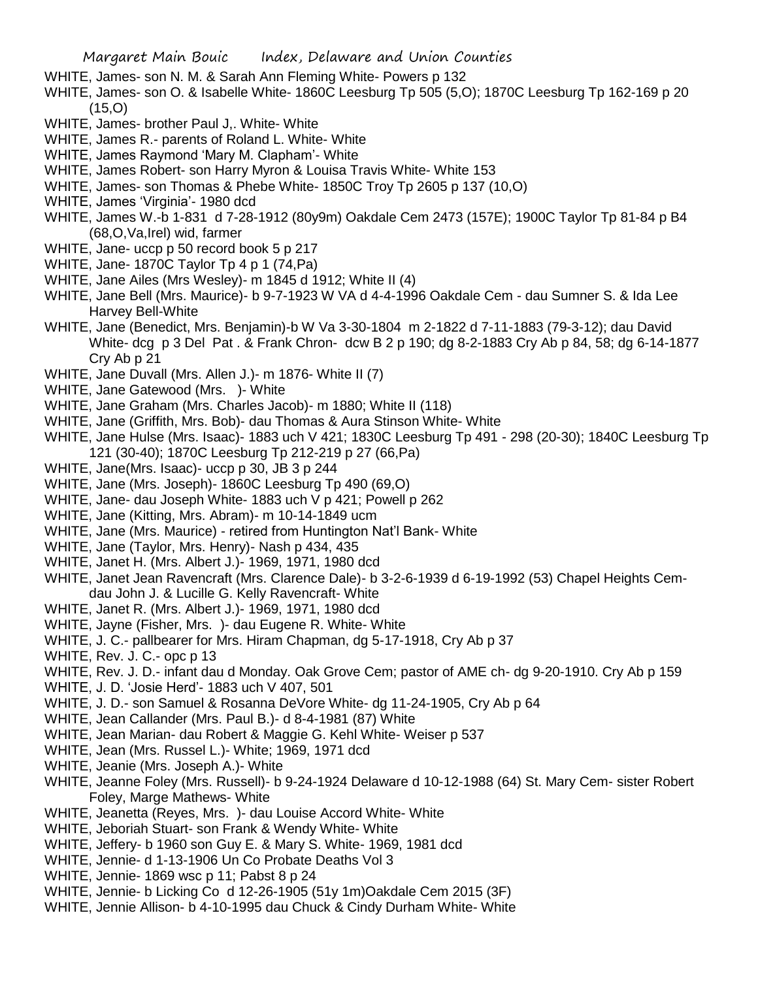- WHITE, James- son N. M. & Sarah Ann Fleming White- Powers p 132
- WHITE, James- son O. & Isabelle White- 1860C Leesburg Tp 505 (5,O); 1870C Leesburg Tp 162-169 p 20 (15,O)
- WHITE, James- brother Paul J,. White- White
- WHITE, James R.- parents of Roland L. White- White
- WHITE, James Raymond 'Mary M. Clapham'- White
- WHITE, James Robert- son Harry Myron & Louisa Travis White- White 153
- WHITE, James- son Thomas & Phebe White- 1850C Troy Tp 2605 p 137 (10,O)
- WHITE, James 'Virginia'- 1980 dcd
- WHITE, James W.-b 1-831 d 7-28-1912 (80y9m) Oakdale Cem 2473 (157E); 1900C Taylor Tp 81-84 p B4 (68,O,Va,Irel) wid, farmer
- WHITE, Jane- uccp p 50 record book 5 p 217
- WHITE, Jane- 1870C Taylor Tp 4 p 1 (74,Pa)
- WHITE, Jane Ailes (Mrs Wesley)- m 1845 d 1912; White II (4)
- WHITE, Jane Bell (Mrs. Maurice)- b 9-7-1923 W VA d 4-4-1996 Oakdale Cem dau Sumner S. & Ida Lee Harvey Bell-White
- WHITE, Jane (Benedict, Mrs. Benjamin)-b W Va 3-30-1804 m 2-1822 d 7-11-1883 (79-3-12); dau David White- dcg p 3 Del Pat . & Frank Chron- dcw B 2 p 190; dg 8-2-1883 Cry Ab p 84, 58; dg 6-14-1877 Cry Ab p 21
- WHITE, Jane Duvall (Mrs. Allen J.)- m 1876- White II (7)
- WHITE, Jane Gatewood (Mrs. )- White
- WHITE, Jane Graham (Mrs. Charles Jacob)- m 1880; White II (118)
- WHITE, Jane (Griffith, Mrs. Bob)- dau Thomas & Aura Stinson White- White
- WHITE, Jane Hulse (Mrs. Isaac)- 1883 uch V 421; 1830C Leesburg Tp 491 298 (20-30); 1840C Leesburg Tp 121 (30-40); 1870C Leesburg Tp 212-219 p 27 (66,Pa)
- WHITE, Jane(Mrs. Isaac)- uccp p 30, JB 3 p 244
- WHITE, Jane (Mrs. Joseph)- 1860C Leesburg Tp 490 (69,O)
- WHITE, Jane- dau Joseph White- 1883 uch V p 421; Powell p 262
- WHITE, Jane (Kitting, Mrs. Abram)- m 10-14-1849 ucm
- WHITE, Jane (Mrs. Maurice) retired from Huntington Nat'l Bank- White
- WHITE, Jane (Taylor, Mrs. Henry)- Nash p 434, 435
- WHITE, Janet H. (Mrs. Albert J.)- 1969, 1971, 1980 dcd
- WHITE, Janet Jean Ravencraft (Mrs. Clarence Dale)- b 3-2-6-1939 d 6-19-1992 (53) Chapel Heights Cemdau John J. & Lucille G. Kelly Ravencraft- White
- WHITE, Janet R. (Mrs. Albert J.)- 1969, 1971, 1980 dcd
- WHITE, Jayne (Fisher, Mrs. )- dau Eugene R. White- White
- WHITE, J. C.- pallbearer for Mrs. Hiram Chapman, dg 5-17-1918, Cry Ab p 37
- WHITE, Rev. J. C.- opc p 13
- WHITE, Rev. J. D.- infant dau d Monday. Oak Grove Cem; pastor of AME ch- dg 9-20-1910. Cry Ab p 159
- WHITE, J. D. 'Josie Herd'- 1883 uch V 407, 501
- WHITE, J. D.- son Samuel & Rosanna DeVore White- dg 11-24-1905, Cry Ab p 64
- WHITE, Jean Callander (Mrs. Paul B.)- d 8-4-1981 (87) White
- WHITE, Jean Marian- dau Robert & Maggie G. Kehl White- Weiser p 537
- WHITE, Jean (Mrs. Russel L.)- White; 1969, 1971 dcd
- WHITE, Jeanie (Mrs. Joseph A.)- White
- WHITE, Jeanne Foley (Mrs. Russell)- b 9-24-1924 Delaware d 10-12-1988 (64) St. Mary Cem- sister Robert Foley, Marge Mathews- White
- WHITE, Jeanetta (Reyes, Mrs. )- dau Louise Accord White- White
- WHITE, Jeboriah Stuart- son Frank & Wendy White- White
- WHITE, Jeffery- b 1960 son Guy E. & Mary S. White- 1969, 1981 dcd
- WHITE, Jennie- d 1-13-1906 Un Co Probate Deaths Vol 3
- WHITE, Jennie- 1869 wsc p 11; Pabst 8 p 24
- WHITE, Jennie- b Licking Co d 12-26-1905 (51y 1m)Oakdale Cem 2015 (3F)
- WHITE, Jennie Allison- b 4-10-1995 dau Chuck & Cindy Durham White- White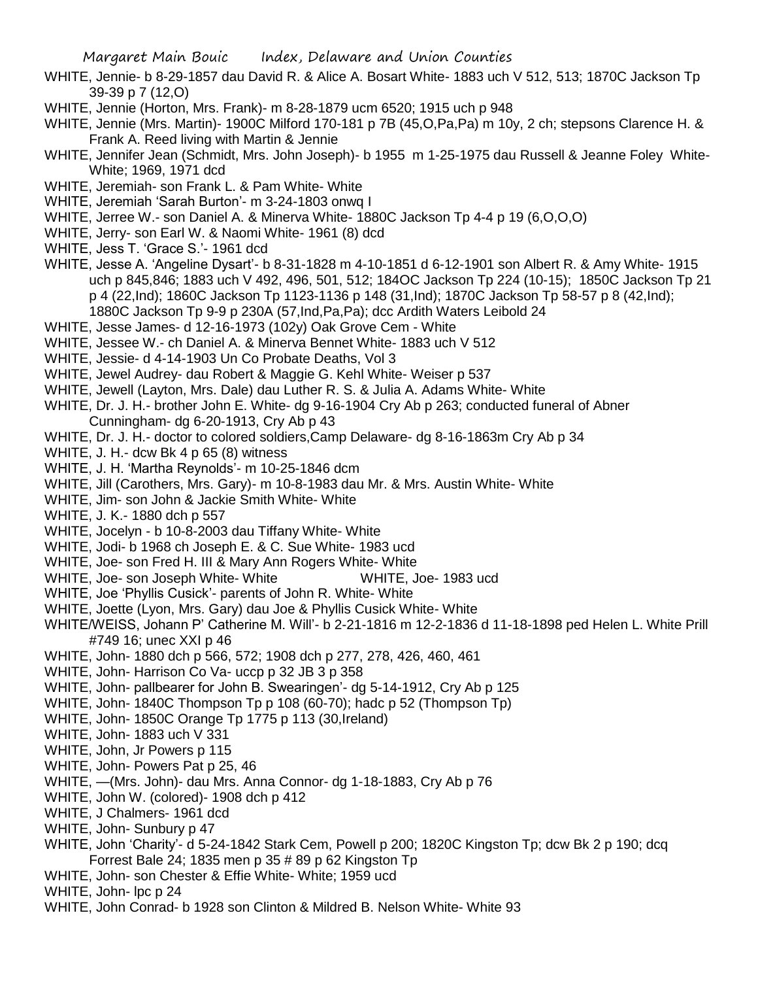- WHITE, Jennie- b 8-29-1857 dau David R. & Alice A. Bosart White- 1883 uch V 512, 513; 1870C Jackson Tp 39-39 p 7 (12,O)
- WHITE, Jennie (Horton, Mrs. Frank)- m 8-28-1879 ucm 6520; 1915 uch p 948
- WHITE, Jennie (Mrs. Martin)- 1900C Milford 170-181 p 7B (45,O,Pa,Pa) m 10y, 2 ch; stepsons Clarence H. & Frank A. Reed living with Martin & Jennie
- WHITE, Jennifer Jean (Schmidt, Mrs. John Joseph)- b 1955 m 1-25-1975 dau Russell & Jeanne Foley White-White; 1969, 1971 dcd
- WHITE, Jeremiah- son Frank L. & Pam White- White
- WHITE, Jeremiah 'Sarah Burton'- m 3-24-1803 onwq I
- WHITE, Jerree W.- son Daniel A. & Minerva White- 1880C Jackson Tp 4-4 p 19 (6,O,O,O)
- WHITE, Jerry- son Earl W. & Naomi White- 1961 (8) dcd
- WHITE, Jess T. 'Grace S.'- 1961 dcd
- WHITE, Jesse A. 'Angeline Dysart'- b 8-31-1828 m 4-10-1851 d 6-12-1901 son Albert R. & Amy White- 1915 uch p 845,846; 1883 uch V 492, 496, 501, 512; 184OC Jackson Tp 224 (10-15); 1850C Jackson Tp 21 p 4 (22,Ind); 1860C Jackson Tp 1123-1136 p 148 (31,Ind); 1870C Jackson Tp 58-57 p 8 (42,Ind); 1880C Jackson Tp 9-9 p 230A (57,Ind,Pa,Pa); dcc Ardith Waters Leibold 24
- WHITE, Jesse James- d 12-16-1973 (102y) Oak Grove Cem White
- WHITE, Jessee W.- ch Daniel A. & Minerva Bennet White- 1883 uch V 512
- WHITE, Jessie- d 4-14-1903 Un Co Probate Deaths, Vol 3
- WHITE, Jewel Audrey- dau Robert & Maggie G. Kehl White- Weiser p 537
- WHITE, Jewell (Layton, Mrs. Dale) dau Luther R. S. & Julia A. Adams White- White
- WHITE, Dr. J. H.- brother John E. White- dg 9-16-1904 Cry Ab p 263; conducted funeral of Abner
	- Cunningham- dg 6-20-1913, Cry Ab p 43
- WHITE, Dr. J. H.- doctor to colored soldiers,Camp Delaware- dg 8-16-1863m Cry Ab p 34
- WHITE, J. H.- dcw Bk 4 p 65 (8) witness
- WHITE, J. H. 'Martha Reynolds'- m 10-25-1846 dcm
- WHITE, Jill (Carothers, Mrs. Gary)- m 10-8-1983 dau Mr. & Mrs. Austin White- White
- WHITE, Jim- son John & Jackie Smith White- White
- WHITE, J. K.- 1880 dch p 557
- WHITE, Jocelyn b 10-8-2003 dau Tiffany White- White
- WHITE, Jodi- b 1968 ch Joseph E. & C. Sue White- 1983 ucd
- WHITE, Joe- son Fred H. III & Mary Ann Rogers White- White
- WHITE, Joe- son Joseph White- White White WHITE, Joe- 1983 ucd
- WHITE, Joe 'Phyllis Cusick'- parents of John R. White- White
- WHITE, Joette (Lyon, Mrs. Gary) dau Joe & Phyllis Cusick White- White
- WHITE/WEISS, Johann P' Catherine M. Will'- b 2-21-1816 m 12-2-1836 d 11-18-1898 ped Helen L. White Prill #749 16; unec XXI p 46
- WHITE, John- 1880 dch p 566, 572; 1908 dch p 277, 278, 426, 460, 461
- WHITE, John- Harrison Co Va- uccp p 32 JB 3 p 358
- WHITE, John- pallbearer for John B. Swearingen'- dg 5-14-1912, Cry Ab p 125
- WHITE, John- 1840C Thompson Tp p 108 (60-70); hadc p 52 (Thompson Tp)
- WHITE, John- 1850C Orange Tp 1775 p 113 (30,Ireland)
- WHITE, John- 1883 uch V 331
- WHITE, John, Jr Powers p 115
- WHITE, John- Powers Pat p 25, 46
- WHITE, —(Mrs. John)- dau Mrs. Anna Connor- dg 1-18-1883, Cry Ab p 76
- WHITE, John W. (colored)- 1908 dch p 412
- WHITE, J Chalmers- 1961 dcd
- WHITE, John- Sunbury p 47
- WHITE, John 'Charity'- d 5-24-1842 Stark Cem, Powell p 200; 1820C Kingston Tp; dcw Bk 2 p 190; dcq Forrest Bale 24; 1835 men p 35 # 89 p 62 Kingston Tp
- WHITE, John- son Chester & Effie White- White; 1959 ucd
- WHITE, John- lpc p 24
- WHITE, John Conrad- b 1928 son Clinton & Mildred B. Nelson White- White 93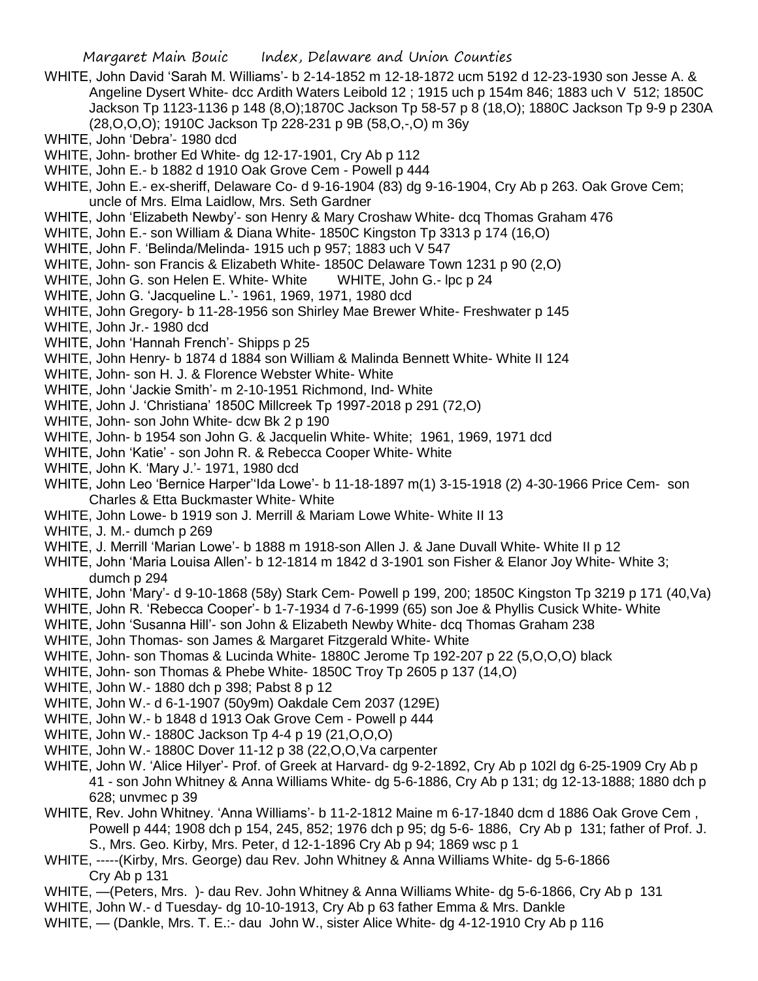- WHITE, John David 'Sarah M. Williams'- b 2-14-1852 m 12-18-1872 ucm 5192 d 12-23-1930 son Jesse A. & Angeline Dysert White- dcc Ardith Waters Leibold 12 ; 1915 uch p 154m 846; 1883 uch V 512; 1850C Jackson Tp 1123-1136 p 148 (8,O);1870C Jackson Tp 58-57 p 8 (18,O); 1880C Jackson Tp 9-9 p 230A (28,O,O,O); 1910C Jackson Tp 228-231 p 9B (58,O,-,O) m 36y
- WHITE, John 'Debra'- 1980 dcd
- WHITE, John- brother Ed White- dg 12-17-1901, Cry Ab p 112
- WHITE, John E.- b 1882 d 1910 Oak Grove Cem Powell p 444
- WHITE, John E.- ex-sheriff, Delaware Co- d 9-16-1904 (83) dg 9-16-1904, Cry Ab p 263. Oak Grove Cem; uncle of Mrs. Elma Laidlow, Mrs. Seth Gardner
- WHITE, John 'Elizabeth Newby'- son Henry & Mary Croshaw White- dcq Thomas Graham 476
- WHITE, John E.- son William & Diana White- 1850C Kingston Tp 3313 p 174 (16,O)
- WHITE, John F. 'Belinda/Melinda- 1915 uch p 957; 1883 uch V 547
- WHITE, John- son Francis & Elizabeth White- 1850C Delaware Town 1231 p 90 (2,O)
- WHITE, John G. son Helen E. White- White WHITE, John G.- lpc p 24
- WHITE, John G. 'Jacqueline L.'- 1961, 1969, 1971, 1980 dcd
- WHITE, John Gregory- b 11-28-1956 son Shirley Mae Brewer White- Freshwater p 145
- WHITE, John Jr.- 1980 dcd
- WHITE, John 'Hannah French'- Shipps p 25
- WHITE, John Henry- b 1874 d 1884 son William & Malinda Bennett White- White II 124
- WHITE, John- son H. J. & Florence Webster White- White
- WHITE, John 'Jackie Smith'- m 2-10-1951 Richmond, Ind- White
- WHITE, John J. 'Christiana' 1850C Millcreek Tp 1997-2018 p 291 (72,O)
- WHITE, John- son John White- dcw Bk 2 p 190
- WHITE, John- b 1954 son John G. & Jacquelin White- White; 1961, 1969, 1971 dcd
- WHITE, John 'Katie' son John R. & Rebecca Cooper White- White
- WHITE, John K. 'Mary J.'- 1971, 1980 dcd
- WHITE, John Leo 'Bernice Harper''Ida Lowe'- b 11-18-1897 m(1) 3-15-1918 (2) 4-30-1966 Price Cem- son Charles & Etta Buckmaster White- White
- WHITE, John Lowe- b 1919 son J. Merrill & Mariam Lowe White- White II 13
- WHITE, J. M.- dumch p 269
- WHITE, J. Merrill 'Marian Lowe'- b 1888 m 1918-son Allen J. & Jane Duvall White- White II p 12
- WHITE, John 'Maria Louisa Allen'- b 12-1814 m 1842 d 3-1901 son Fisher & Elanor Joy White- White 3; dumch p 294
- WHITE, John 'Mary'- d 9-10-1868 (58y) Stark Cem- Powell p 199, 200; 1850C Kingston Tp 3219 p 171 (40,Va)
- WHITE, John R. 'Rebecca Cooper'- b 1-7-1934 d 7-6-1999 (65) son Joe & Phyllis Cusick White- White
- WHITE, John 'Susanna Hill'- son John & Elizabeth Newby White- dcq Thomas Graham 238
- WHITE, John Thomas- son James & Margaret Fitzgerald White- White
- WHITE, John- son Thomas & Lucinda White- 1880C Jerome Tp 192-207 p 22 (5,O,O,O) black
- WHITE, John- son Thomas & Phebe White- 1850C Troy Tp 2605 p 137 (14,O)
- WHITE, John W.- 1880 dch p 398; Pabst 8 p 12
- WHITE, John W.- d 6-1-1907 (50y9m) Oakdale Cem 2037 (129E)
- WHITE, John W.- b 1848 d 1913 Oak Grove Cem Powell p 444
- WHITE, John W.- 1880C Jackson Tp 4-4 p 19 (21,O,O,O)
- WHITE, John W.- 1880C Dover 11-12 p 38 (22,O,O,Va carpenter
- WHITE, John W. 'Alice Hilyer'- Prof. of Greek at Harvard- dg 9-2-1892, Cry Ab p 102l dg 6-25-1909 Cry Ab p 41 - son John Whitney & Anna Williams White- dg 5-6-1886, Cry Ab p 131; dg 12-13-1888; 1880 dch p 628; unvmec p 39
- WHITE, Rev. John Whitney. 'Anna Williams'- b 11-2-1812 Maine m 6-17-1840 dcm d 1886 Oak Grove Cem , Powell p 444; 1908 dch p 154, 245, 852; 1976 dch p 95; dg 5-6- 1886, Cry Ab p 131; father of Prof. J. S., Mrs. Geo. Kirby, Mrs. Peter, d 12-1-1896 Cry Ab p 94; 1869 wsc p 1
- WHITE, -----(Kirby, Mrs. George) dau Rev. John Whitney & Anna Williams White- dg 5-6-1866 Cry Ab p 131
- WHITE, —(Peters, Mrs. )- dau Rev. John Whitney & Anna Williams White- dg 5-6-1866, Cry Ab p 131
- WHITE, John W.- d Tuesday- dg 10-10-1913, Cry Ab p 63 father Emma & Mrs. Dankle
- WHITE, (Dankle, Mrs. T. E.:- dau John W., sister Alice White- dg 4-12-1910 Cry Ab p 116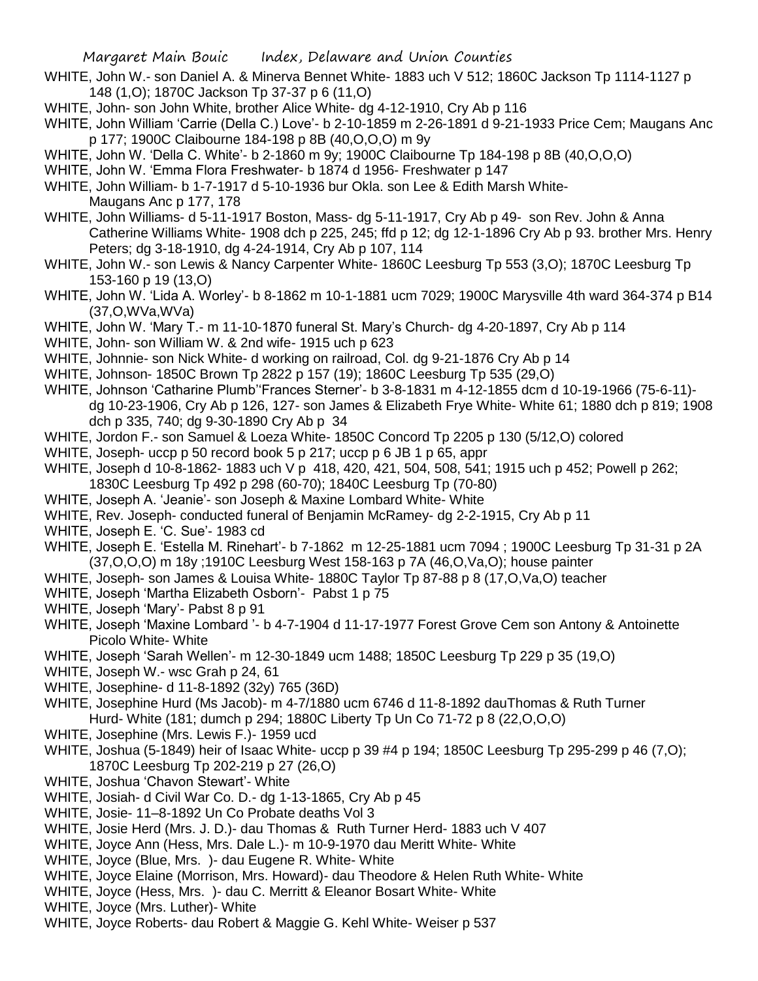- WHITE, John W.- son Daniel A. & Minerva Bennet White- 1883 uch V 512; 1860C Jackson Tp 1114-1127 p 148 (1,O); 1870C Jackson Tp 37-37 p 6 (11,O)
- WHITE, John- son John White, brother Alice White- dg 4-12-1910, Cry Ab p 116
- WHITE, John William 'Carrie (Della C.) Love'- b 2-10-1859 m 2-26-1891 d 9-21-1933 Price Cem; Maugans Anc p 177; 1900C Claibourne 184-198 p 8B (40,O,O,O) m 9y
- WHITE, John W. 'Della C. White'- b 2-1860 m 9y; 1900C Claibourne Tp 184-198 p 8B (40,O,O,O)
- WHITE, John W. 'Emma Flora Freshwater- b 1874 d 1956- Freshwater p 147
- WHITE, John William- b 1-7-1917 d 5-10-1936 bur Okla. son Lee & Edith Marsh White-Maugans Anc p 177, 178
- WHITE, John Williams- d 5-11-1917 Boston, Mass- dg 5-11-1917, Cry Ab p 49- son Rev. John & Anna Catherine Williams White- 1908 dch p 225, 245; ffd p 12; dg 12-1-1896 Cry Ab p 93. brother Mrs. Henry Peters; dg 3-18-1910, dg 4-24-1914, Cry Ab p 107, 114
- WHITE, John W.- son Lewis & Nancy Carpenter White- 1860C Leesburg Tp 553 (3,O); 1870C Leesburg Tp 153-160 p 19 (13,O)
- WHITE, John W. 'Lida A. Worley'- b 8-1862 m 10-1-1881 ucm 7029; 1900C Marysville 4th ward 364-374 p B14 (37,O,WVa,WVa)
- WHITE, John W. 'Mary T.- m 11-10-1870 funeral St. Mary's Church- dg 4-20-1897, Cry Ab p 114
- WHITE, John- son William W. & 2nd wife- 1915 uch p 623
- WHITE, Johnnie- son Nick White- d working on railroad, Col. dg 9-21-1876 Cry Ab p 14
- WHITE, Johnson- 1850C Brown Tp 2822 p 157 (19); 1860C Leesburg Tp 535 (29,O)
- WHITE, Johnson 'Catharine Plumb''Frances Sterner'- b 3-8-1831 m 4-12-1855 dcm d 10-19-1966 (75-6-11) dg 10-23-1906, Cry Ab p 126, 127- son James & Elizabeth Frye White- White 61; 1880 dch p 819; 1908 dch p 335, 740; dg 9-30-1890 Cry Ab p 34
- WHITE, Jordon F.- son Samuel & Loeza White- 1850C Concord Tp 2205 p 130 (5/12,O) colored
- WHITE, Joseph- uccp p 50 record book 5 p 217; uccp p 6 JB 1 p 65, appr
- WHITE, Joseph d 10-8-1862- 1883 uch V p 418, 420, 421, 504, 508, 541; 1915 uch p 452; Powell p 262; 1830C Leesburg Tp 492 p 298 (60-70); 1840C Leesburg Tp (70-80)
- WHITE, Joseph A. 'Jeanie'- son Joseph & Maxine Lombard White- White
- WHITE, Rev. Joseph- conducted funeral of Benjamin McRamey- dg 2-2-1915, Cry Ab p 11
- WHITE, Joseph E. 'C. Sue'- 1983 cd
- WHITE, Joseph E. 'Estella M. Rinehart'- b 7-1862 m 12-25-1881 ucm 7094 ; 1900C Leesburg Tp 31-31 p 2A (37,O,O,O) m 18y ;1910C Leesburg West 158-163 p 7A (46,O,Va,O); house painter
- WHITE, Joseph- son James & Louisa White- 1880C Taylor Tp 87-88 p 8 (17, O, Va, O) teacher
- WHITE, Joseph 'Martha Elizabeth Osborn'- Pabst 1 p 75
- WHITE, Joseph 'Mary'- Pabst 8 p 91
- WHITE, Joseph 'Maxine Lombard '- b 4-7-1904 d 11-17-1977 Forest Grove Cem son Antony & Antoinette Picolo White- White
- WHITE, Joseph 'Sarah Wellen'- m 12-30-1849 ucm 1488; 1850C Leesburg Tp 229 p 35 (19,O)
- WHITE, Joseph W.- wsc Grah p 24, 61
- WHITE, Josephine- d 11-8-1892 (32y) 765 (36D)
- WHITE, Josephine Hurd (Ms Jacob)- m 4-7/1880 ucm 6746 d 11-8-1892 dauThomas & Ruth Turner Hurd- White (181; dumch p 294; 1880C Liberty Tp Un Co 71-72 p 8 (22,O,O,O)
- WHITE, Josephine (Mrs. Lewis F.)- 1959 ucd
- WHITE, Joshua (5-1849) heir of Isaac White- uccp p 39 #4 p 194; 1850C Leesburg Tp 295-299 p 46 (7,O); 1870C Leesburg Tp 202-219 p 27 (26,O)
- WHITE, Joshua 'Chavon Stewart'- White
- WHITE, Josiah- d Civil War Co. D.- dg 1-13-1865, Cry Ab p 45
- WHITE, Josie- 11–8-1892 Un Co Probate deaths Vol 3
- WHITE, Josie Herd (Mrs. J. D.)- dau Thomas & Ruth Turner Herd- 1883 uch V 407
- WHITE, Joyce Ann (Hess, Mrs. Dale L.)- m 10-9-1970 dau Meritt White- White
- WHITE, Joyce (Blue, Mrs. )- dau Eugene R. White- White
- WHITE, Joyce Elaine (Morrison, Mrs. Howard)- dau Theodore & Helen Ruth White- White
- WHITE, Joyce (Hess, Mrs. )- dau C. Merritt & Eleanor Bosart White- White
- WHITE, Joyce (Mrs. Luther)- White
- WHITE, Joyce Roberts- dau Robert & Maggie G. Kehl White- Weiser p 537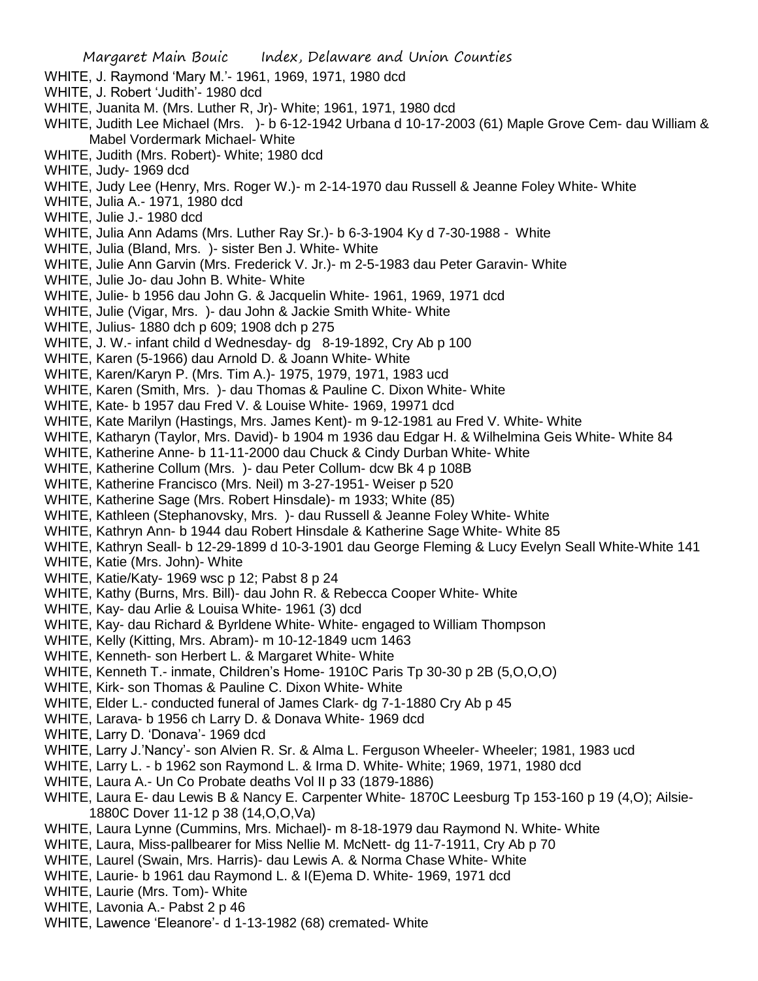- WHITE, J. Raymond 'Mary M.'- 1961, 1969, 1971, 1980 dcd
- WHITE, J. Robert 'Judith'- 1980 dcd
- WHITE, Juanita M. (Mrs. Luther R, Jr)- White; 1961, 1971, 1980 dcd
- WHITE, Judith Lee Michael (Mrs. )- b 6-12-1942 Urbana d 10-17-2003 (61) Maple Grove Cem- dau William & Mabel Vordermark Michael- White
- WHITE, Judith (Mrs. Robert)- White; 1980 dcd
- WHITE, Judy- 1969 dcd
- WHITE, Judy Lee (Henry, Mrs. Roger W.)- m 2-14-1970 dau Russell & Jeanne Foley White- White
- WHITE, Julia A.- 1971, 1980 dcd
- WHITE, Julie J.- 1980 dcd
- WHITE, Julia Ann Adams (Mrs. Luther Ray Sr.)- b 6-3-1904 Ky d 7-30-1988 White
- WHITE, Julia (Bland, Mrs. )- sister Ben J. White- White
- WHITE, Julie Ann Garvin (Mrs. Frederick V. Jr.)- m 2-5-1983 dau Peter Garavin- White
- WHITE, Julie Jo- dau John B. White- White
- WHITE, Julie- b 1956 dau John G. & Jacquelin White- 1961, 1969, 1971 dcd
- WHITE, Julie (Vigar, Mrs. )- dau John & Jackie Smith White- White
- WHITE, Julius- 1880 dch p 609; 1908 dch p 275
- WHITE, J. W.- infant child d Wednesday- dg 8-19-1892, Cry Ab p 100
- WHITE, Karen (5-1966) dau Arnold D. & Joann White- White
- WHITE, Karen/Karyn P. (Mrs. Tim A.)- 1975, 1979, 1971, 1983 ucd
- WHITE, Karen (Smith, Mrs. )- dau Thomas & Pauline C. Dixon White- White
- WHITE, Kate- b 1957 dau Fred V. & Louise White- 1969, 19971 dcd
- WHITE, Kate Marilyn (Hastings, Mrs. James Kent)- m 9-12-1981 au Fred V. White- White
- WHITE, Katharyn (Taylor, Mrs. David)- b 1904 m 1936 dau Edgar H. & Wilhelmina Geis White- White 84
- WHITE, Katherine Anne- b 11-11-2000 dau Chuck & Cindy Durban White- White
- WHITE, Katherine Collum (Mrs. )- dau Peter Collum- dcw Bk 4 p 108B
- WHITE, Katherine Francisco (Mrs. Neil) m 3-27-1951- Weiser p 520
- WHITE, Katherine Sage (Mrs. Robert Hinsdale)- m 1933; White (85)
- WHITE, Kathleen (Stephanovsky, Mrs. )- dau Russell & Jeanne Foley White- White
- WHITE, Kathryn Ann- b 1944 dau Robert Hinsdale & Katherine Sage White- White 85
- WHITE, Kathryn Seall- b 12-29-1899 d 10-3-1901 dau George Fleming & Lucy Evelyn Seall White-White 141
- WHITE, Katie (Mrs. John)- White
- WHITE, Katie/Katy- 1969 wsc p 12; Pabst 8 p 24
- WHITE, Kathy (Burns, Mrs. Bill)- dau John R. & Rebecca Cooper White- White
- WHITE, Kay- dau Arlie & Louisa White- 1961 (3) dcd
- WHITE, Kay- dau Richard & Byrldene White- White- engaged to William Thompson
- WHITE, Kelly (Kitting, Mrs. Abram)- m 10-12-1849 ucm 1463
- WHITE, Kenneth- son Herbert L. & Margaret White- White
- WHITE, Kenneth T.- inmate, Children's Home- 1910C Paris Tp 30-30 p 2B (5,O,O,O)
- WHITE, Kirk- son Thomas & Pauline C. Dixon White- White
- WHITE, Elder L.- conducted funeral of James Clark- dg 7-1-1880 Cry Ab p 45
- WHITE, Larava- b 1956 ch Larry D. & Donava White- 1969 dcd
- WHITE, Larry D. 'Donava'- 1969 dcd
- WHITE, Larry J.'Nancy'- son Alvien R. Sr. & Alma L. Ferguson Wheeler- Wheeler; 1981, 1983 ucd
- WHITE, Larry L. b 1962 son Raymond L. & Irma D. White- White; 1969, 1971, 1980 dcd
- WHITE, Laura A.- Un Co Probate deaths Vol II p 33 (1879-1886)
- WHITE, Laura E- dau Lewis B & Nancy E. Carpenter White- 1870C Leesburg Tp 153-160 p 19 (4,O); Ailsie-1880C Dover 11-12 p 38 (14,O,O,Va)
- WHITE, Laura Lynne (Cummins, Mrs. Michael)- m 8-18-1979 dau Raymond N. White- White
- WHITE, Laura, Miss-pallbearer for Miss Nellie M. McNett- dg 11-7-1911, Cry Ab p 70
- WHITE, Laurel (Swain, Mrs. Harris)- dau Lewis A. & Norma Chase White- White
- WHITE, Laurie- b 1961 dau Raymond L. & I(E)ema D. White- 1969, 1971 dcd
- WHITE, Laurie (Mrs. Tom)- White
- WHITE, Lavonia A.- Pabst 2 p 46
- WHITE, Lawence 'Eleanore'- d 1-13-1982 (68) cremated- White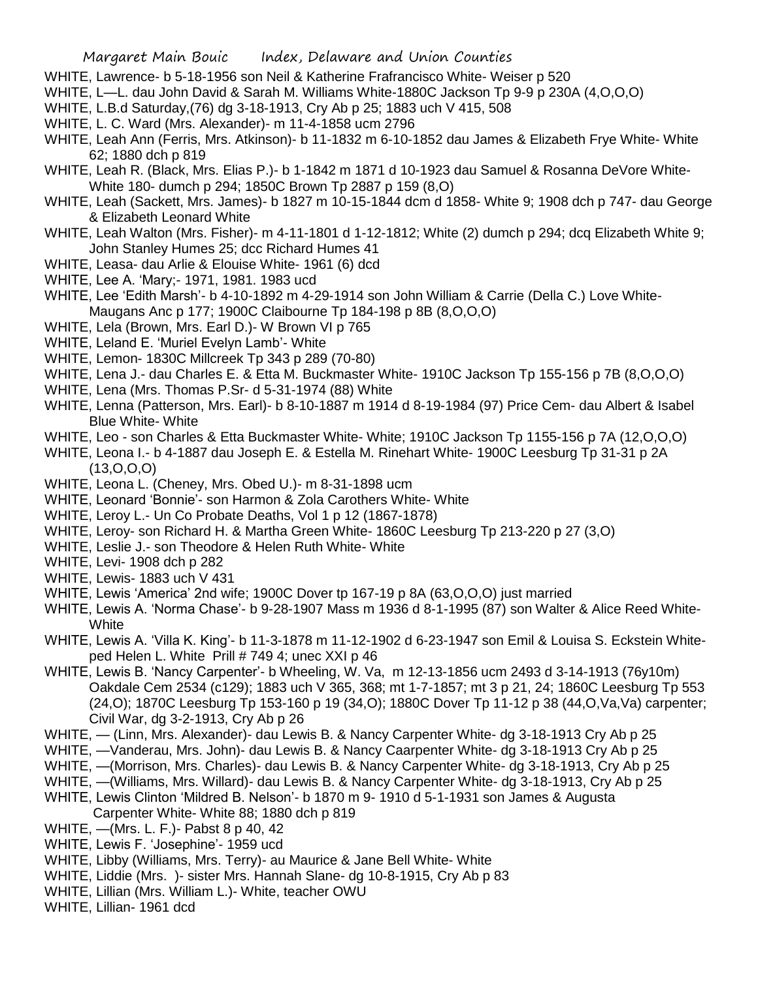- WHITE, Lawrence- b 5-18-1956 son Neil & Katherine Frafrancisco White- Weiser p 520
- WHITE, L—L. dau John David & Sarah M. Williams White-1880C Jackson Tp 9-9 p 230A (4,O,O,O)
- WHITE, L.B.d Saturday,(76) dg 3-18-1913, Cry Ab p 25; 1883 uch V 415, 508
- WHITE, L. C. Ward (Mrs. Alexander)- m 11-4-1858 ucm 2796
- WHITE, Leah Ann (Ferris, Mrs. Atkinson)- b 11-1832 m 6-10-1852 dau James & Elizabeth Frye White- White 62; 1880 dch p 819
- WHITE, Leah R. (Black, Mrs. Elias P.)- b 1-1842 m 1871 d 10-1923 dau Samuel & Rosanna DeVore White-White 180- dumch p 294; 1850C Brown Tp 2887 p 159 (8,O)
- WHITE, Leah (Sackett, Mrs. James)- b 1827 m 10-15-1844 dcm d 1858- White 9; 1908 dch p 747- dau George & Elizabeth Leonard White
- WHITE, Leah Walton (Mrs. Fisher)- m 4-11-1801 d 1-12-1812; White (2) dumch p 294; dcq Elizabeth White 9; John Stanley Humes 25; dcc Richard Humes 41
- WHITE, Leasa- dau Arlie & Elouise White- 1961 (6) dcd
- WHITE, Lee A. 'Mary;- 1971, 1981. 1983 ucd
- WHITE, Lee 'Edith Marsh'- b 4-10-1892 m 4-29-1914 son John William & Carrie (Della C.) Love White-Maugans Anc p 177; 1900C Claibourne Tp 184-198 p 8B (8,O,O,O)
- WHITE, Lela (Brown, Mrs. Earl D.)- W Brown VI p 765
- WHITE, Leland E. 'Muriel Evelyn Lamb'- White
- WHITE, Lemon- 1830C Millcreek Tp 343 p 289 (70-80)
- WHITE, Lena J.- dau Charles E. & Etta M. Buckmaster White- 1910C Jackson Tp 155-156 p 7B (8,O,O,O)
- WHITE, Lena (Mrs. Thomas P.Sr- d 5-31-1974 (88) White
- WHITE, Lenna (Patterson, Mrs. Earl)- b 8-10-1887 m 1914 d 8-19-1984 (97) Price Cem- dau Albert & Isabel Blue White- White
- WHITE, Leo son Charles & Etta Buckmaster White- White; 1910C Jackson Tp 1155-156 p 7A (12,O,O,O)
- WHITE, Leona I.- b 4-1887 dau Joseph E. & Estella M. Rinehart White- 1900C Leesburg Tp 31-31 p 2A  $(13,0,0,0)$
- WHITE, Leona L. (Cheney, Mrs. Obed U.)- m 8-31-1898 ucm
- WHITE, Leonard 'Bonnie'- son Harmon & Zola Carothers White- White
- WHITE, Leroy L.- Un Co Probate Deaths, Vol 1 p 12 (1867-1878)
- WHITE, Leroy- son Richard H. & Martha Green White- 1860C Leesburg Tp 213-220 p 27 (3,O)
- WHITE, Leslie J.- son Theodore & Helen Ruth White- White
- WHITE, Levi- 1908 dch p 282
- WHITE, Lewis- 1883 uch V 431
- WHITE, Lewis 'America' 2nd wife; 1900C Dover tp 167-19 p 8A (63,O,O,O) just married
- WHITE, Lewis A. 'Norma Chase'- b 9-28-1907 Mass m 1936 d 8-1-1995 (87) son Walter & Alice Reed White-**White**
- WHITE, Lewis A. 'Villa K. King'- b 11-3-1878 m 11-12-1902 d 6-23-1947 son Emil & Louisa S. Eckstein Whiteped Helen L. White Prill # 749 4; unec XXI p 46
- WHITE, Lewis B. 'Nancy Carpenter'- b Wheeling, W. Va, m 12-13-1856 ucm 2493 d 3-14-1913 (76y10m) Oakdale Cem 2534 (c129); 1883 uch V 365, 368; mt 1-7-1857; mt 3 p 21, 24; 1860C Leesburg Tp 553 (24,O); 1870C Leesburg Tp 153-160 p 19 (34,O); 1880C Dover Tp 11-12 p 38 (44,O,Va,Va) carpenter; Civil War, dg 3-2-1913, Cry Ab p 26
- WHITE, (Linn, Mrs. Alexander)- dau Lewis B. & Nancy Carpenter White- dg 3-18-1913 Cry Ab p 25
- WHITE, —Vanderau, Mrs. John)- dau Lewis B. & Nancy Caarpenter White- dg 3-18-1913 Cry Ab p 25
- WHITE, —(Morrison, Mrs. Charles)- dau Lewis B. & Nancy Carpenter White- dg 3-18-1913, Cry Ab p 25
- WHITE, —(Williams, Mrs. Willard)- dau Lewis B. & Nancy Carpenter White- dg 3-18-1913, Cry Ab p 25
- WHITE, Lewis Clinton 'Mildred B. Nelson'- b 1870 m 9- 1910 d 5-1-1931 son James & Augusta Carpenter White- White 88; 1880 dch p 819
- WHITE, —(Mrs. L. F.)- Pabst 8 p 40, 42
- WHITE, Lewis F. 'Josephine'- 1959 ucd
- WHITE, Libby (Williams, Mrs. Terry)- au Maurice & Jane Bell White- White
- WHITE, Liddie (Mrs. )- sister Mrs. Hannah Slane- dg 10-8-1915, Cry Ab p 83
- WHITE, Lillian (Mrs. William L.)- White, teacher OWU
- WHITE, Lillian- 1961 dcd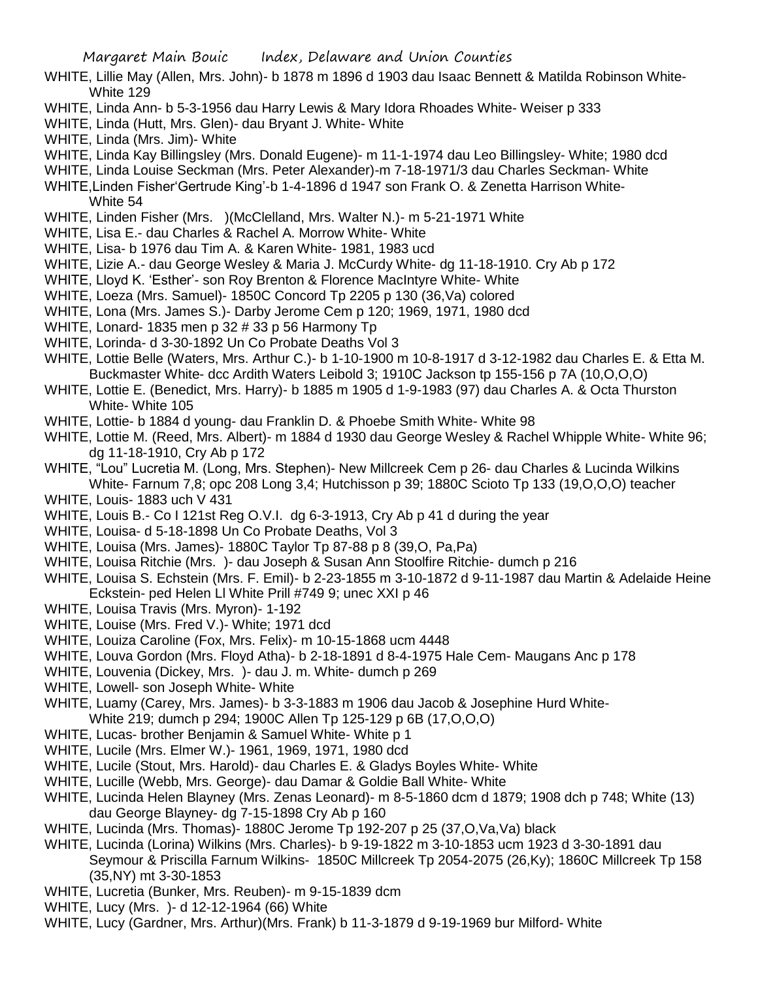- WHITE, Lillie May (Allen, Mrs. John)- b 1878 m 1896 d 1903 dau Isaac Bennett & Matilda Robinson White-White 129
- WHITE, Linda Ann- b 5-3-1956 dau Harry Lewis & Mary Idora Rhoades White- Weiser p 333
- WHITE, Linda (Hutt, Mrs. Glen)- dau Bryant J. White- White
- WHITE, Linda (Mrs. Jim)- White
- WHITE, Linda Kay Billingsley (Mrs. Donald Eugene)- m 11-1-1974 dau Leo Billingsley- White; 1980 dcd
- WHITE, Linda Louise Seckman (Mrs. Peter Alexander)-m 7-18-1971/3 dau Charles Seckman- White
- WHITE,Linden Fisher'Gertrude King'-b 1-4-1896 d 1947 son Frank O. & Zenetta Harrison White-White 54
- WHITE, Linden Fisher (Mrs. )(McClelland, Mrs. Walter N.)- m 5-21-1971 White
- WHITE, Lisa E.- dau Charles & Rachel A. Morrow White- White
- WHITE, Lisa- b 1976 dau Tim A. & Karen White- 1981, 1983 ucd
- WHITE, Lizie A.- dau George Wesley & Maria J. McCurdy White- dg 11-18-1910. Cry Ab p 172
- WHITE, Lloyd K. 'Esther'- son Roy Brenton & Florence MacIntyre White- White
- WHITE, Loeza (Mrs. Samuel)- 1850C Concord Tp 2205 p 130 (36,Va) colored
- WHITE, Lona (Mrs. James S.)- Darby Jerome Cem p 120; 1969, 1971, 1980 dcd
- WHITE, Lonard- 1835 men p 32 # 33 p 56 Harmony Tp
- WHITE, Lorinda- d 3-30-1892 Un Co Probate Deaths Vol 3
- WHITE, Lottie Belle (Waters, Mrs. Arthur C.)- b 1-10-1900 m 10-8-1917 d 3-12-1982 dau Charles E. & Etta M. Buckmaster White- dcc Ardith Waters Leibold 3; 1910C Jackson tp 155-156 p 7A (10,O,O,O)
- WHITE, Lottie E. (Benedict, Mrs. Harry)- b 1885 m 1905 d 1-9-1983 (97) dau Charles A. & Octa Thurston White- White 105
- WHITE, Lottie- b 1884 d young- dau Franklin D. & Phoebe Smith White- White 98
- WHITE, Lottie M. (Reed, Mrs. Albert)- m 1884 d 1930 dau George Wesley & Rachel Whipple White- White 96; dg 11-18-1910, Cry Ab p 172
- WHITE, "Lou" Lucretia M. (Long, Mrs. Stephen)- New Millcreek Cem p 26- dau Charles & Lucinda Wilkins White- Farnum 7,8; opc 208 Long 3,4; Hutchisson p 39; 1880C Scioto Tp 133 (19,O,O,O) teacher
- WHITE, Louis- 1883 uch V 431
- WHITE, Louis B.- Co I 121st Reg O.V.I. dg 6-3-1913, Cry Ab p 41 d during the year
- WHITE, Louisa- d 5-18-1898 Un Co Probate Deaths, Vol 3
- WHITE, Louisa (Mrs. James)- 1880C Taylor Tp 87-88 p 8 (39,O, Pa,Pa)
- WHITE, Louisa Ritchie (Mrs. )- dau Joseph & Susan Ann Stoolfire Ritchie- dumch p 216
- WHITE, Louisa S. Echstein (Mrs. F. Emil)- b 2-23-1855 m 3-10-1872 d 9-11-1987 dau Martin & Adelaide Heine Eckstein- ped Helen Ll White Prill #749 9; unec XXI p 46
- WHITE, Louisa Travis (Mrs. Myron)- 1-192
- WHITE, Louise (Mrs. Fred V.)- White; 1971 dcd
- WHITE, Louiza Caroline (Fox, Mrs. Felix)- m 10-15-1868 ucm 4448
- WHITE, Louva Gordon (Mrs. Floyd Atha)- b 2-18-1891 d 8-4-1975 Hale Cem- Maugans Anc p 178
- WHITE, Louvenia (Dickey, Mrs. )- dau J. m. White- dumch p 269
- WHITE, Lowell- son Joseph White- White
- WHITE, Luamy (Carey, Mrs. James)- b 3-3-1883 m 1906 dau Jacob & Josephine Hurd White-White 219; dumch p 294; 1900C Allen Tp 125-129 p 6B (17,O,O,O)
- WHITE, Lucas- brother Benjamin & Samuel White- White p 1
- WHITE, Lucile (Mrs. Elmer W.)- 1961, 1969, 1971, 1980 dcd
- WHITE, Lucile (Stout, Mrs. Harold)- dau Charles E. & Gladys Boyles White- White
- WHITE, Lucille (Webb, Mrs. George)- dau Damar & Goldie Ball White- White
- WHITE, Lucinda Helen Blayney (Mrs. Zenas Leonard)- m 8-5-1860 dcm d 1879; 1908 dch p 748; White (13) dau George Blayney- dg 7-15-1898 Cry Ab p 160
- WHITE, Lucinda (Mrs. Thomas)- 1880C Jerome Tp 192-207 p 25 (37,O,Va,Va) black
- WHITE, Lucinda (Lorina) Wilkins (Mrs. Charles)- b 9-19-1822 m 3-10-1853 ucm 1923 d 3-30-1891 dau Seymour & Priscilla Farnum Wilkins- 1850C Millcreek Tp 2054-2075 (26,Ky); 1860C Millcreek Tp 158 (35,NY) mt 3-30-1853
- WHITE, Lucretia (Bunker, Mrs. Reuben)- m 9-15-1839 dcm
- WHITE, Lucy (Mrs. )- d 12-12-1964 (66) White
- WHITE, Lucy (Gardner, Mrs. Arthur)(Mrs. Frank) b 11-3-1879 d 9-19-1969 bur Milford- White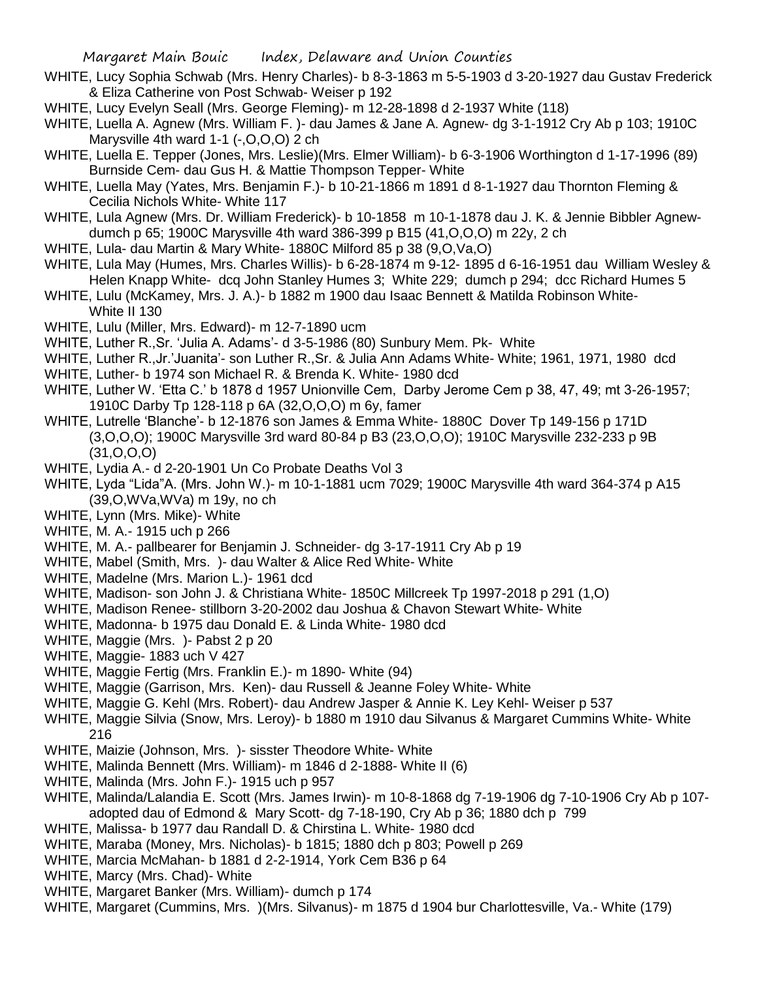- WHITE, Lucy Sophia Schwab (Mrs. Henry Charles)- b 8-3-1863 m 5-5-1903 d 3-20-1927 dau Gustav Frederick & Eliza Catherine von Post Schwab- Weiser p 192
- WHITE, Lucy Evelyn Seall (Mrs. George Fleming)- m 12-28-1898 d 2-1937 White (118)
- WHITE, Luella A. Agnew (Mrs. William F. )- dau James & Jane A. Agnew- dg 3-1-1912 Cry Ab p 103; 1910C Marysville 4th ward 1-1 (-, O, O, O) 2 ch
- WHITE, Luella E. Tepper (Jones, Mrs. Leslie)(Mrs. Elmer William)- b 6-3-1906 Worthington d 1-17-1996 (89) Burnside Cem- dau Gus H. & Mattie Thompson Tepper- White
- WHITE, Luella May (Yates, Mrs. Benjamin F.)- b 10-21-1866 m 1891 d 8-1-1927 dau Thornton Fleming & Cecilia Nichols White- White 117
- WHITE, Lula Agnew (Mrs. Dr. William Frederick)- b 10-1858 m 10-1-1878 dau J. K. & Jennie Bibbler Agnewdumch p 65; 1900C Marysville 4th ward 386-399 p B15 (41,O,O,O) m 22y, 2 ch
- WHITE, Lula- dau Martin & Mary White- 1880C Milford 85 p 38 (9,O,Va,O)
- WHITE, Lula May (Humes, Mrs. Charles Willis)- b 6-28-1874 m 9-12- 1895 d 6-16-1951 dau William Wesley & Helen Knapp White- dcq John Stanley Humes 3; White 229; dumch p 294; dcc Richard Humes 5
- WHITE, Lulu (McKamey, Mrs. J. A.)- b 1882 m 1900 dau Isaac Bennett & Matilda Robinson White-White II 130
- WHITE, Lulu (Miller, Mrs. Edward)- m 12-7-1890 ucm
- WHITE, Luther R.,Sr. 'Julia A. Adams'- d 3-5-1986 (80) Sunbury Mem. Pk- White
- WHITE, Luther R.,Jr.'Juanita'- son Luther R.,Sr. & Julia Ann Adams White- White; 1961, 1971, 1980 dcd
- WHITE, Luther- b 1974 son Michael R. & Brenda K. White- 1980 dcd
- WHITE, Luther W. 'Etta C.' b 1878 d 1957 Unionville Cem, Darby Jerome Cem p 38, 47, 49; mt 3-26-1957; 1910C Darby Tp 128-118 p 6A (32,O,O,O) m 6y, famer
- WHITE, Lutrelle 'Blanche'- b 12-1876 son James & Emma White- 1880C Dover Tp 149-156 p 171D (3,O,O,O); 1900C Marysville 3rd ward 80-84 p B3 (23,O,O,O); 1910C Marysville 232-233 p 9B (31,O,O,O)
- WHITE, Lydia A.- d 2-20-1901 Un Co Probate Deaths Vol 3
- WHITE, Lyda "Lida"A. (Mrs. John W.)- m 10-1-1881 ucm 7029; 1900C Marysville 4th ward 364-374 p A15 (39,O,WVa,WVa) m 19y, no ch
- WHITE, Lynn (Mrs. Mike)- White
- WHITE, M. A.- 1915 uch p 266
- WHITE, M. A.- pallbearer for Benjamin J. Schneider- dg 3-17-1911 Cry Ab p 19
- WHITE, Mabel (Smith, Mrs. )- dau Walter & Alice Red White- White
- WHITE, Madelne (Mrs. Marion L.)- 1961 dcd
- WHITE, Madison- son John J. & Christiana White- 1850C Millcreek Tp 1997-2018 p 291 (1,O)
- WHITE, Madison Renee- stillborn 3-20-2002 dau Joshua & Chavon Stewart White- White
- WHITE, Madonna- b 1975 dau Donald E. & Linda White- 1980 dcd
- WHITE, Maggie (Mrs. )- Pabst 2 p 20
- WHITE, Maggie- 1883 uch V 427
- WHITE, Maggie Fertig (Mrs. Franklin E.)- m 1890- White (94)
- WHITE, Maggie (Garrison, Mrs. Ken)- dau Russell & Jeanne Foley White- White
- WHITE, Maggie G. Kehl (Mrs. Robert)- dau Andrew Jasper & Annie K. Ley Kehl- Weiser p 537
- WHITE, Maggie Silvia (Snow, Mrs. Leroy)- b 1880 m 1910 dau Silvanus & Margaret Cummins White- White 216
- WHITE, Maizie (Johnson, Mrs. )- sisster Theodore White- White
- WHITE, Malinda Bennett (Mrs. William)- m 1846 d 2-1888- White II (6)
- WHITE, Malinda (Mrs. John F.)- 1915 uch p 957
- WHITE, Malinda/Lalandia E. Scott (Mrs. James Irwin)- m 10-8-1868 dg 7-19-1906 dg 7-10-1906 Cry Ab p 107 adopted dau of Edmond & Mary Scott- dg 7-18-190, Cry Ab p 36; 1880 dch p 799
- WHITE, Malissa- b 1977 dau Randall D. & Chirstina L. White- 1980 dcd
- WHITE, Maraba (Money, Mrs. Nicholas)- b 1815; 1880 dch p 803; Powell p 269
- WHITE, Marcia McMahan- b 1881 d 2-2-1914, York Cem B36 p 64
- WHITE, Marcy (Mrs. Chad)- White
- WHITE, Margaret Banker (Mrs. William)- dumch p 174
- WHITE, Margaret (Cummins, Mrs. )(Mrs. Silvanus)- m 1875 d 1904 bur Charlottesville, Va.- White (179)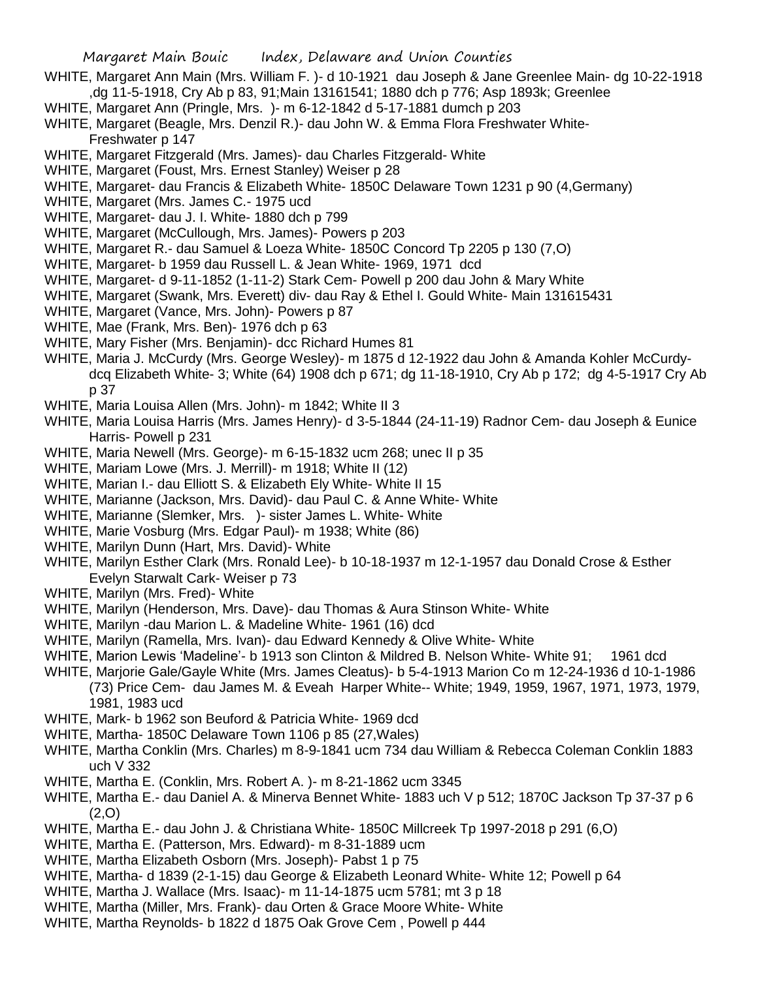- WHITE, Margaret Ann Main (Mrs. William F. )- d 10-1921 dau Joseph & Jane Greenlee Main- dg 10-22-1918 ,dg 11-5-1918, Cry Ab p 83, 91;Main 13161541; 1880 dch p 776; Asp 1893k; Greenlee
- WHITE, Margaret Ann (Pringle, Mrs. )- m 6-12-1842 d 5-17-1881 dumch p 203
- WHITE, Margaret (Beagle, Mrs. Denzil R.)- dau John W. & Emma Flora Freshwater White-Freshwater p 147
- WHITE, Margaret Fitzgerald (Mrs. James)- dau Charles Fitzgerald- White
- WHITE, Margaret (Foust, Mrs. Ernest Stanley) Weiser p 28
- WHITE, Margaret- dau Francis & Elizabeth White- 1850C Delaware Town 1231 p 90 (4,Germany)
- WHITE, Margaret (Mrs. James C.- 1975 ucd
- WHITE, Margaret- dau J. I. White- 1880 dch p 799
- WHITE, Margaret (McCullough, Mrs. James)- Powers p 203
- WHITE, Margaret R.- dau Samuel & Loeza White- 1850C Concord Tp 2205 p 130 (7,O)
- WHITE, Margaret- b 1959 dau Russell L. & Jean White- 1969, 1971 dcd
- WHITE, Margaret- d 9-11-1852 (1-11-2) Stark Cem- Powell p 200 dau John & Mary White
- WHITE, Margaret (Swank, Mrs. Everett) div- dau Ray & Ethel I. Gould White- Main 131615431
- WHITE, Margaret (Vance, Mrs. John)- Powers p 87
- WHITE, Mae (Frank, Mrs. Ben)- 1976 dch p 63
- WHITE, Mary Fisher (Mrs. Benjamin)- dcc Richard Humes 81
- WHITE, Maria J. McCurdy (Mrs. George Wesley)- m 1875 d 12-1922 dau John & Amanda Kohler McCurdydcq Elizabeth White- 3; White (64) 1908 dch p 671; dg 11-18-1910, Cry Ab p 172; dg 4-5-1917 Cry Ab p 37
- WHITE, Maria Louisa Allen (Mrs. John)- m 1842; White II 3
- WHITE, Maria Louisa Harris (Mrs. James Henry)- d 3-5-1844 (24-11-19) Radnor Cem- dau Joseph & Eunice Harris- Powell p 231
- WHITE, Maria Newell (Mrs. George)- m 6-15-1832 ucm 268; unec II p 35
- WHITE, Mariam Lowe (Mrs. J. Merrill)- m 1918; White II (12)
- WHITE, Marian I .- dau Elliott S. & Elizabeth Ely White- White II 15
- WHITE, Marianne (Jackson, Mrs. David)- dau Paul C. & Anne White- White
- WHITE, Marianne (Slemker, Mrs. )- sister James L. White- White
- WHITE, Marie Vosburg (Mrs. Edgar Paul)- m 1938; White (86)
- WHITE, Marilyn Dunn (Hart, Mrs. David)- White
- WHITE, Marilyn Esther Clark (Mrs. Ronald Lee)- b 10-18-1937 m 12-1-1957 dau Donald Crose & Esther Evelyn Starwalt Cark- Weiser p 73
- WHITE, Marilyn (Mrs. Fred)- White
- WHITE, Marilyn (Henderson, Mrs. Dave)- dau Thomas & Aura Stinson White- White
- WHITE, Marilyn -dau Marion L. & Madeline White- 1961 (16) dcd
- WHITE, Marilyn (Ramella, Mrs. Ivan)- dau Edward Kennedy & Olive White- White
- WHITE, Marion Lewis 'Madeline'- b 1913 son Clinton & Mildred B. Nelson White- White 91; 1961 dcd
- WHITE, Marjorie Gale/Gayle White (Mrs. James Cleatus)- b 5-4-1913 Marion Co m 12-24-1936 d 10-1-1986 (73) Price Cem- dau James M. & Eveah Harper White-- White; 1949, 1959, 1967, 1971, 1973, 1979, 1981, 1983 ucd
- WHITE, Mark- b 1962 son Beuford & Patricia White- 1969 dcd
- WHITE, Martha- 1850C Delaware Town 1106 p 85 (27,Wales)
- WHITE, Martha Conklin (Mrs. Charles) m 8-9-1841 ucm 734 dau William & Rebecca Coleman Conklin 1883 uch V 332
- WHITE, Martha E. (Conklin, Mrs. Robert A. )- m 8-21-1862 ucm 3345
- WHITE, Martha E.- dau Daniel A. & Minerva Bennet White- 1883 uch V p 512; 1870C Jackson Tp 37-37 p 6 (2,O)
- WHITE, Martha E.- dau John J. & Christiana White- 1850C Millcreek Tp 1997-2018 p 291 (6,O)
- WHITE, Martha E. (Patterson, Mrs. Edward)- m 8-31-1889 ucm
- WHITE, Martha Elizabeth Osborn (Mrs. Joseph)- Pabst 1 p 75
- WHITE, Martha- d 1839 (2-1-15) dau George & Elizabeth Leonard White- White 12; Powell p 64
- WHITE, Martha J. Wallace (Mrs. Isaac)- m 11-14-1875 ucm 5781; mt 3 p 18
- WHITE, Martha (Miller, Mrs. Frank)- dau Orten & Grace Moore White- White
- WHITE, Martha Reynolds- b 1822 d 1875 Oak Grove Cem , Powell p 444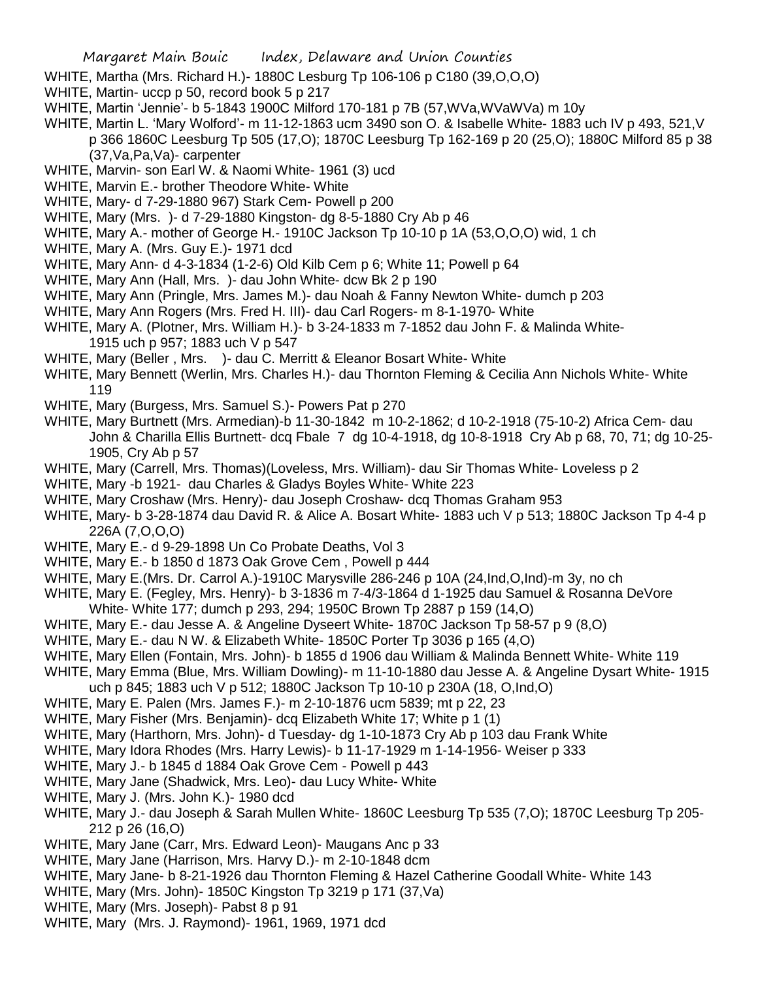- WHITE, Martha (Mrs. Richard H.)- 1880C Lesburg Tp 106-106 p C180 (39,O,O,O)
- WHITE, Martin- uccp p 50, record book 5 p 217
- WHITE, Martin 'Jennie'- b 5-1843 1900C Milford 170-181 p 7B (57,WVa,WVaWVa) m 10y
- WHITE, Martin L. 'Mary Wolford'- m 11-12-1863 ucm 3490 son O. & Isabelle White- 1883 uch IV p 493, 521,V p 366 1860C Leesburg Tp 505 (17,O); 1870C Leesburg Tp 162-169 p 20 (25,O); 1880C Milford 85 p 38 (37,Va,Pa,Va)- carpenter
- WHITE, Marvin- son Earl W. & Naomi White- 1961 (3) ucd
- WHITE, Marvin E.- brother Theodore White- White
- WHITE, Mary- d 7-29-1880 967) Stark Cem- Powell p 200
- WHITE, Mary (Mrs. )- d 7-29-1880 Kingston- dg 8-5-1880 Cry Ab p 46
- WHITE, Mary A.- mother of George H.- 1910C Jackson Tp 10-10 p 1A (53,O,O,O) wid, 1 ch
- WHITE, Mary A. (Mrs. Guy E.)- 1971 dcd
- WHITE, Mary Ann- d 4-3-1834 (1-2-6) Old Kilb Cem p 6; White 11; Powell p 64
- WHITE, Mary Ann (Hall, Mrs. )- dau John White- dcw Bk 2 p 190
- WHITE, Mary Ann (Pringle, Mrs. James M.)- dau Noah & Fanny Newton White- dumch p 203
- WHITE, Mary Ann Rogers (Mrs. Fred H. III)- dau Carl Rogers- m 8-1-1970- White
- WHITE, Mary A. (Plotner, Mrs. William H.)- b 3-24-1833 m 7-1852 dau John F. & Malinda White-1915 uch p 957; 1883 uch V p 547
- WHITE, Mary (Beller, Mrs. )- dau C. Merritt & Eleanor Bosart White- White
- WHITE, Mary Bennett (Werlin, Mrs. Charles H.)- dau Thornton Fleming & Cecilia Ann Nichols White- White 119
- WHITE, Mary (Burgess, Mrs. Samuel S.)- Powers Pat p 270
- WHITE, Mary Burtnett (Mrs. Armedian)-b 11-30-1842 m 10-2-1862; d 10-2-1918 (75-10-2) Africa Cem- dau John & Charilla Ellis Burtnett- dcq Fbale 7 dg 10-4-1918, dg 10-8-1918 Cry Ab p 68, 70, 71; dg 10-25- 1905, Cry Ab p 57
- WHITE, Mary (Carrell, Mrs. Thomas)(Loveless, Mrs. William)- dau Sir Thomas White- Loveless p 2
- WHITE, Mary -b 1921- dau Charles & Gladys Boyles White- White 223
- WHITE, Mary Croshaw (Mrs. Henry)- dau Joseph Croshaw- dcq Thomas Graham 953
- WHITE, Mary- b 3-28-1874 dau David R. & Alice A. Bosart White- 1883 uch V p 513; 1880C Jackson Tp 4-4 p 226A (7,O,O,O)
- WHITE, Mary E.- d 9-29-1898 Un Co Probate Deaths, Vol 3
- WHITE, Mary E.- b 1850 d 1873 Oak Grove Cem , Powell p 444
- WHITE, Mary E.(Mrs. Dr. Carrol A.)-1910C Marysville 286-246 p 10A (24,Ind,O,Ind)-m 3y, no ch
- WHITE, Mary E. (Fegley, Mrs. Henry)- b 3-1836 m 7-4/3-1864 d 1-1925 dau Samuel & Rosanna DeVore White- White 177; dumch p 293, 294; 1950C Brown Tp 2887 p 159 (14,O)
- WHITE, Mary E.- dau Jesse A. & Angeline Dyseert White- 1870C Jackson Tp 58-57 p 9 (8,O)
- WHITE, Mary E.- dau N W. & Elizabeth White- 1850C Porter Tp 3036 p 165 (4,O)
- WHITE, Mary Ellen (Fontain, Mrs. John)- b 1855 d 1906 dau William & Malinda Bennett White- White 119
- WHITE, Mary Emma (Blue, Mrs. William Dowling)- m 11-10-1880 dau Jesse A. & Angeline Dysart White- 1915
- uch p 845; 1883 uch V p 512; 1880C Jackson Tp 10-10 p 230A (18, O,Ind,O)
- WHITE, Mary E. Palen (Mrs. James F.)- m 2-10-1876 ucm 5839; mt p 22, 23
- WHITE, Mary Fisher (Mrs. Benjamin)- dcq Elizabeth White 17; White p 1 (1)
- WHITE, Mary (Harthorn, Mrs. John)- d Tuesday- dg 1-10-1873 Cry Ab p 103 dau Frank White
- WHITE, Mary Idora Rhodes (Mrs. Harry Lewis)- b 11-17-1929 m 1-14-1956- Weiser p 333
- WHITE, Mary J.- b 1845 d 1884 Oak Grove Cem Powell p 443
- WHITE, Mary Jane (Shadwick, Mrs. Leo)- dau Lucy White- White
- WHITE, Mary J. (Mrs. John K.)- 1980 dcd
- WHITE, Mary J.- dau Joseph & Sarah Mullen White- 1860C Leesburg Tp 535 (7,O); 1870C Leesburg Tp 205- 212 p 26 (16,O)
- WHITE, Mary Jane (Carr, Mrs. Edward Leon)- Maugans Anc p 33
- WHITE, Mary Jane (Harrison, Mrs. Harvy D.)- m 2-10-1848 dcm
- WHITE, Mary Jane- b 8-21-1926 dau Thornton Fleming & Hazel Catherine Goodall White- White 143
- WHITE, Mary (Mrs. John)- 1850C Kingston Tp 3219 p 171 (37,Va)
- WHITE, Mary (Mrs. Joseph)- Pabst 8 p 91
- WHITE, Mary (Mrs. J. Raymond)- 1961, 1969, 1971 dcd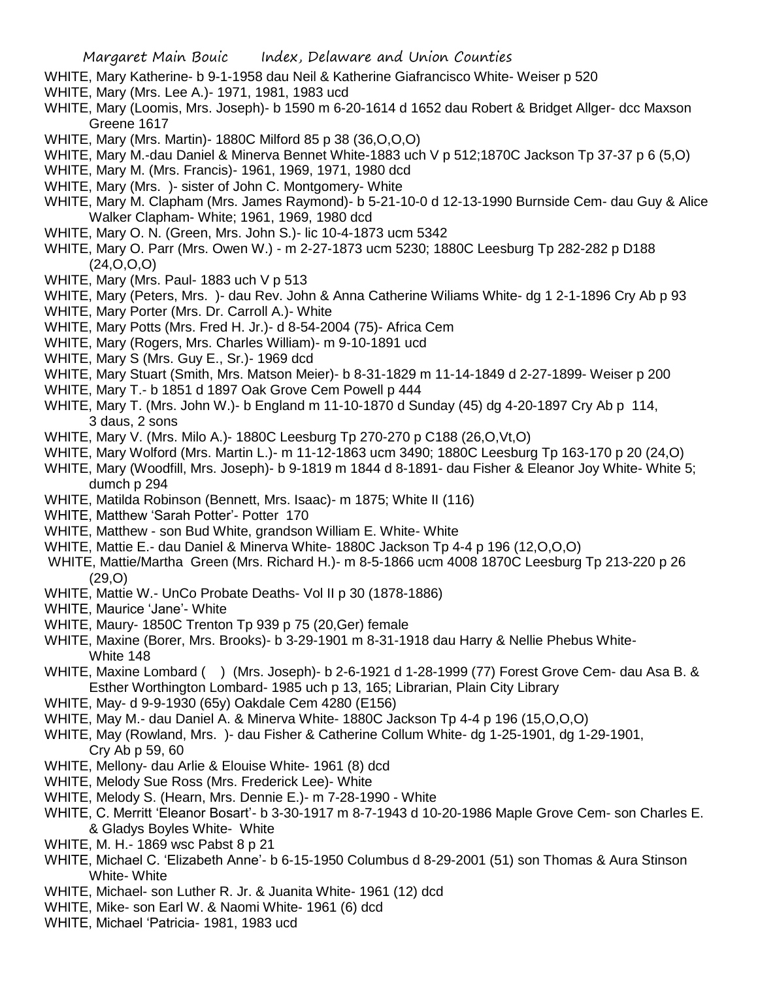- WHITE, Mary Katherine- b 9-1-1958 dau Neil & Katherine Giafrancisco White- Weiser p 520
- WHITE, Mary (Mrs. Lee A.)- 1971, 1981, 1983 ucd
- WHITE, Mary (Loomis, Mrs. Joseph)- b 1590 m 6-20-1614 d 1652 dau Robert & Bridget Allger- dcc Maxson Greene 1617
- WHITE, Mary (Mrs. Martin)- 1880C Milford 85 p 38 (36,O,O,O)
- WHITE, Mary M.-dau Daniel & Minerva Bennet White-1883 uch V p 512;1870C Jackson Tp 37-37 p 6 (5,O)
- WHITE, Mary M. (Mrs. Francis)- 1961, 1969, 1971, 1980 dcd
- WHITE, Mary (Mrs. )- sister of John C. Montgomery- White
- WHITE, Mary M. Clapham (Mrs. James Raymond)- b 5-21-10-0 d 12-13-1990 Burnside Cem- dau Guy & Alice Walker Clapham- White; 1961, 1969, 1980 dcd
- WHITE, Mary O. N. (Green, Mrs. John S.)- lic 10-4-1873 ucm 5342
- WHITE, Mary O. Parr (Mrs. Owen W.) m 2-27-1873 ucm 5230; 1880C Leesburg Tp 282-282 p D188 (24,O,O,O)
- WHITE, Mary (Mrs. Paul- 1883 uch V p 513
- WHITE, Mary (Peters, Mrs. )- dau Rev. John & Anna Catherine Wiliams White- dg 1 2-1-1896 Cry Ab p 93
- WHITE, Mary Porter (Mrs. Dr. Carroll A.)- White
- WHITE, Mary Potts (Mrs. Fred H. Jr.)- d 8-54-2004 (75)- Africa Cem
- WHITE, Mary (Rogers, Mrs. Charles William)- m 9-10-1891 ucd
- WHITE, Mary S (Mrs. Guy E., Sr.)- 1969 dcd
- WHITE, Mary Stuart (Smith, Mrs. Matson Meier)- b 8-31-1829 m 11-14-1849 d 2-27-1899- Weiser p 200
- WHITE, Mary T.- b 1851 d 1897 Oak Grove Cem Powell p 444
- WHITE, Mary T. (Mrs. John W.)- b England m 11-10-1870 d Sunday (45) dg 4-20-1897 Cry Ab p 114, 3 daus, 2 sons
- WHITE, Mary V. (Mrs. Milo A.)- 1880C Leesburg Tp 270-270 p C188 (26,O,Vt,O)
- WHITE, Mary Wolford (Mrs. Martin L.)- m 11-12-1863 ucm 3490; 1880C Leesburg Tp 163-170 p 20 (24,O)
- WHITE, Mary (Woodfill, Mrs. Joseph)- b 9-1819 m 1844 d 8-1891- dau Fisher & Eleanor Joy White- White 5; dumch p 294
- WHITE, Matilda Robinson (Bennett, Mrs. Isaac)- m 1875; White II (116)
- WHITE, Matthew 'Sarah Potter'- Potter 170
- WHITE, Matthew son Bud White, grandson William E. White- White
- WHITE, Mattie E.- dau Daniel & Minerva White- 1880C Jackson Tp 4-4 p 196 (12,O,O,O)
- WHITE, Mattie/Martha Green (Mrs. Richard H.)- m 8-5-1866 ucm 4008 1870C Leesburg Tp 213-220 p 26 (29,O)
- WHITE, Mattie W.- UnCo Probate Deaths- Vol II p 30 (1878-1886)
- WHITE, Maurice 'Jane'- White
- WHITE, Maury- 1850C Trenton Tp 939 p 75 (20,Ger) female
- WHITE, Maxine (Borer, Mrs. Brooks)- b 3-29-1901 m 8-31-1918 dau Harry & Nellie Phebus White-White 148
- WHITE, Maxine Lombard () (Mrs. Joseph)- b 2-6-1921 d 1-28-1999 (77) Forest Grove Cem- dau Asa B. & Esther Worthington Lombard- 1985 uch p 13, 165; Librarian, Plain City Library
- WHITE, May- d 9-9-1930 (65y) Oakdale Cem 4280 (E156)
- WHITE, May M.- dau Daniel A. & Minerva White- 1880C Jackson Tp 4-4 p 196 (15,O,O,O)
- WHITE, May (Rowland, Mrs. )- dau Fisher & Catherine Collum White- dg 1-25-1901, dg 1-29-1901, Cry Ab p 59, 60
- WHITE, Mellony- dau Arlie & Elouise White- 1961 (8) dcd
- WHITE, Melody Sue Ross (Mrs. Frederick Lee)- White
- WHITE, Melody S. (Hearn, Mrs. Dennie E.)- m 7-28-1990 White
- WHITE, C. Merritt 'Eleanor Bosart'- b 3-30-1917 m 8-7-1943 d 10-20-1986 Maple Grove Cem- son Charles E. & Gladys Boyles White- White
- WHITE, M. H.- 1869 wsc Pabst 8 p 21
- WHITE, Michael C. 'Elizabeth Anne'- b 6-15-1950 Columbus d 8-29-2001 (51) son Thomas & Aura Stinson White- White
- WHITE, Michael- son Luther R. Jr. & Juanita White- 1961 (12) dcd
- WHITE, Mike- son Earl W. & Naomi White- 1961 (6) dcd
- WHITE, Michael 'Patricia- 1981, 1983 ucd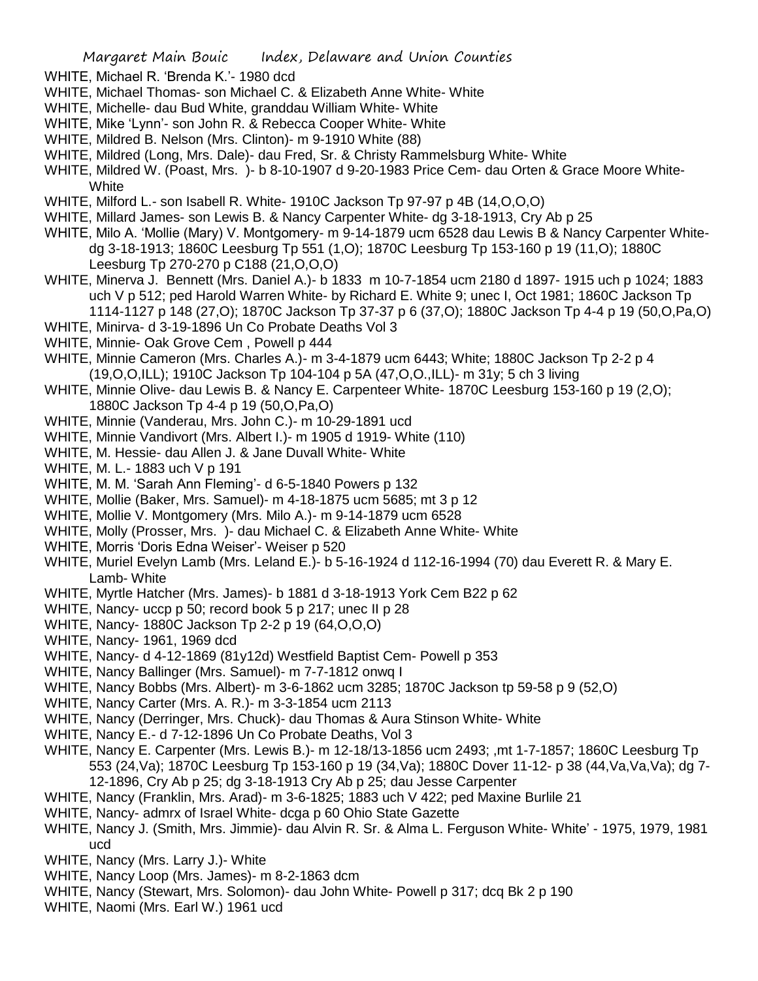- WHITE, Michael R. 'Brenda K.'- 1980 dcd
- WHITE, Michael Thomas- son Michael C. & Elizabeth Anne White- White
- WHITE, Michelle- dau Bud White, granddau William White- White
- WHITE, Mike 'Lynn'- son John R. & Rebecca Cooper White- White
- WHITE, Mildred B. Nelson (Mrs. Clinton)- m 9-1910 White (88)
- WHITE, Mildred (Long, Mrs. Dale)- dau Fred, Sr. & Christy Rammelsburg White- White
- WHITE, Mildred W. (Poast, Mrs. )- b 8-10-1907 d 9-20-1983 Price Cem- dau Orten & Grace Moore White-**White**
- WHITE, Milford L.- son Isabell R. White- 1910C Jackson Tp 97-97 p 4B (14, O, O, O)
- WHITE, Millard James- son Lewis B. & Nancy Carpenter White- dg 3-18-1913, Cry Ab p 25
- WHITE, Milo A. 'Mollie (Mary) V. Montgomery- m 9-14-1879 ucm 6528 dau Lewis B & Nancy Carpenter Whitedg 3-18-1913; 1860C Leesburg Tp 551 (1,O); 1870C Leesburg Tp 153-160 p 19 (11,O); 1880C Leesburg Tp 270-270 p C188 (21,O,O,O)
- WHITE, Minerva J. Bennett (Mrs. Daniel A.)- b 1833 m 10-7-1854 ucm 2180 d 1897- 1915 uch p 1024; 1883 uch V p 512; ped Harold Warren White- by Richard E. White 9; unec I, Oct 1981; 1860C Jackson Tp 1114-1127 p 148 (27,O); 1870C Jackson Tp 37-37 p 6 (37,O); 1880C Jackson Tp 4-4 p 19 (50,O,Pa,O)
- WHITE, Minirva- d 3-19-1896 Un Co Probate Deaths Vol 3
- WHITE, Minnie- Oak Grove Cem , Powell p 444
- WHITE, Minnie Cameron (Mrs. Charles A.)- m 3-4-1879 ucm 6443; White; 1880C Jackson Tp 2-2 p 4 (19,O,O,ILL); 1910C Jackson Tp 104-104 p 5A (47,O,O.,ILL)- m 31y; 5 ch 3 living
- WHITE, Minnie Olive- dau Lewis B. & Nancy E. Carpenteer White- 1870C Leesburg 153-160 p 19 (2,O); 1880C Jackson Tp 4-4 p 19 (50,O,Pa,O)
- WHITE, Minnie (Vanderau, Mrs. John C.)- m 10-29-1891 ucd
- WHITE, Minnie Vandivort (Mrs. Albert I.)- m 1905 d 1919- White (110)
- WHITE, M. Hessie- dau Allen J. & Jane Duvall White- White
- WHITE, M. L.- 1883 uch V p 191
- WHITE, M. M. 'Sarah Ann Fleming'- d 6-5-1840 Powers p 132
- WHITE, Mollie (Baker, Mrs. Samuel)- m 4-18-1875 ucm 5685; mt 3 p 12
- WHITE, Mollie V. Montgomery (Mrs. Milo A.)- m 9-14-1879 ucm 6528
- WHITE, Molly (Prosser, Mrs. )- dau Michael C. & Elizabeth Anne White- White
- WHITE, Morris 'Doris Edna Weiser'- Weiser p 520
- WHITE, Muriel Evelyn Lamb (Mrs. Leland E.)- b 5-16-1924 d 112-16-1994 (70) dau Everett R. & Mary E. Lamb- White
- WHITE, Myrtle Hatcher (Mrs. James)- b 1881 d 3-18-1913 York Cem B22 p 62
- WHITE, Nancy- uccp p 50; record book 5 p 217; unec II p 28
- WHITE, Nancy- 1880C Jackson Tp 2-2 p 19 (64,O,O,O)
- WHITE, Nancy- 1961, 1969 dcd
- WHITE, Nancy- d 4-12-1869 (81y12d) Westfield Baptist Cem- Powell p 353
- WHITE, Nancy Ballinger (Mrs. Samuel)- m 7-7-1812 onwq I
- WHITE, Nancy Bobbs (Mrs. Albert)- m 3-6-1862 ucm 3285; 1870C Jackson tp 59-58 p 9 (52,O)
- WHITE, Nancy Carter (Mrs. A. R.)- m 3-3-1854 ucm 2113
- WHITE, Nancy (Derringer, Mrs. Chuck)- dau Thomas & Aura Stinson White- White
- WHITE, Nancy E.- d 7-12-1896 Un Co Probate Deaths, Vol 3
- WHITE, Nancy E. Carpenter (Mrs. Lewis B.)- m 12-18/13-1856 ucm 2493; ,mt 1-7-1857; 1860C Leesburg Tp 553 (24,Va); 1870C Leesburg Tp 153-160 p 19 (34,Va); 1880C Dover 11-12- p 38 (44,Va,Va,Va); dg 7- 12-1896, Cry Ab p 25; dg 3-18-1913 Cry Ab p 25; dau Jesse Carpenter
- WHITE, Nancy (Franklin, Mrs. Arad)- m 3-6-1825; 1883 uch V 422; ped Maxine Burlile 21
- WHITE, Nancy- admrx of Israel White- dcga p 60 Ohio State Gazette
- WHITE, Nancy J. (Smith, Mrs. Jimmie)- dau Alvin R. Sr. & Alma L. Ferguson White- White' 1975, 1979, 1981 ucd
- WHITE, Nancy (Mrs. Larry J.)- White
- WHITE, Nancy Loop (Mrs. James)- m 8-2-1863 dcm
- WHITE, Nancy (Stewart, Mrs. Solomon)- dau John White- Powell p 317; dcq Bk 2 p 190
- WHITE, Naomi (Mrs. Earl W.) 1961 ucd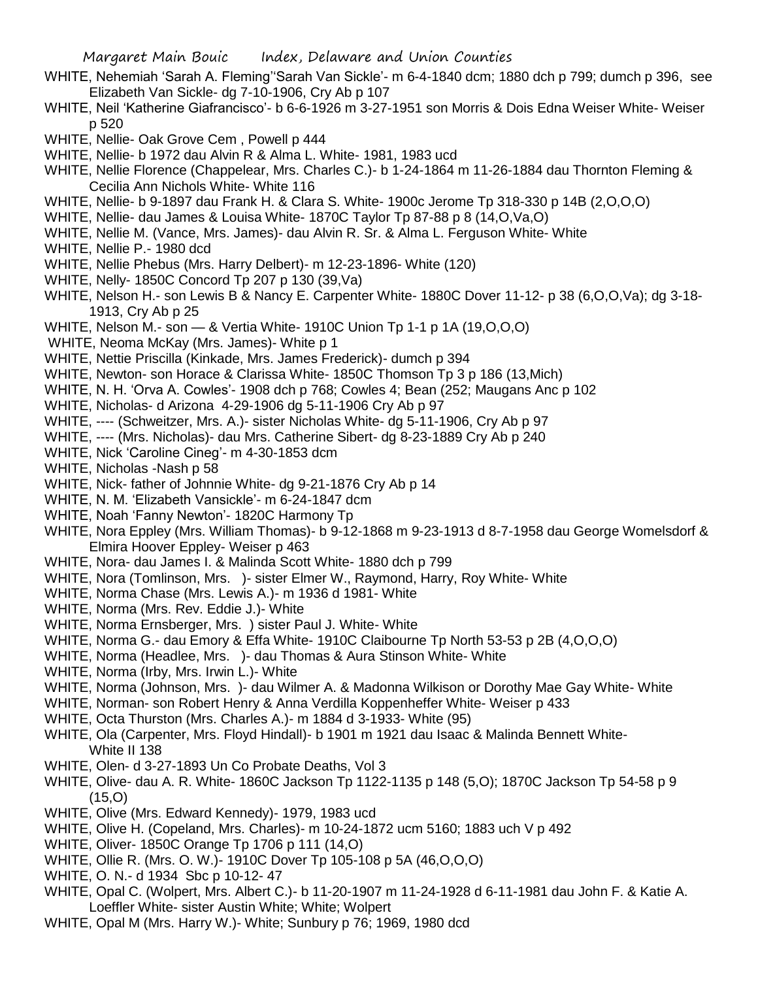- WHITE, Nehemiah 'Sarah A. Fleming''Sarah Van Sickle'- m 6-4-1840 dcm; 1880 dch p 799; dumch p 396, see Elizabeth Van Sickle- dg 7-10-1906, Cry Ab p 107
- WHITE, Neil 'Katherine Giafrancisco'- b 6-6-1926 m 3-27-1951 son Morris & Dois Edna Weiser White- Weiser p 520
- WHITE, Nellie- Oak Grove Cem , Powell p 444
- WHITE, Nellie- b 1972 dau Alvin R & Alma L. White- 1981, 1983 ucd
- WHITE, Nellie Florence (Chappelear, Mrs. Charles C.)- b 1-24-1864 m 11-26-1884 dau Thornton Fleming & Cecilia Ann Nichols White- White 116
- WHITE, Nellie- b 9-1897 dau Frank H. & Clara S. White- 1900c Jerome Tp 318-330 p 14B (2,O,O,O)
- WHITE, Nellie- dau James & Louisa White- 1870C Taylor Tp 87-88 p 8 (14,O,Va,O)
- WHITE, Nellie M. (Vance, Mrs. James)- dau Alvin R. Sr. & Alma L. Ferguson White- White
- WHITE, Nellie P.- 1980 dcd
- WHITE, Nellie Phebus (Mrs. Harry Delbert)- m 12-23-1896- White (120)
- WHITE, Nelly- 1850C Concord Tp 207 p 130 (39,Va)
- WHITE, Nelson H.- son Lewis B & Nancy E. Carpenter White- 1880C Dover 11-12- p 38 (6,O,O,Va); dg 3-18-1913, Cry Ab p 25
- WHITE, Nelson M.- son & Vertia White- 1910C Union Tp 1-1 p 1A (19,O,O,O)
- WHITE, Neoma McKay (Mrs. James)- White p 1
- WHITE, Nettie Priscilla (Kinkade, Mrs. James Frederick)- dumch p 394
- WHITE, Newton- son Horace & Clarissa White- 1850C Thomson Tp 3 p 186 (13,Mich)
- WHITE, N. H. 'Orva A. Cowles'- 1908 dch p 768; Cowles 4; Bean (252; Maugans Anc p 102
- WHITE, Nicholas- d Arizona 4-29-1906 dg 5-11-1906 Cry Ab p 97
- WHITE, ---- (Schweitzer, Mrs. A.)- sister Nicholas White- dg 5-11-1906, Cry Ab p 97
- WHITE, ---- (Mrs. Nicholas)- dau Mrs. Catherine Sibert- dg 8-23-1889 Cry Ab p 240
- WHITE, Nick 'Caroline Cineg'- m 4-30-1853 dcm
- WHITE, Nicholas -Nash p 58
- WHITE, Nick- father of Johnnie White- dg 9-21-1876 Cry Ab p 14
- WHITE, N. M. 'Elizabeth Vansickle'- m 6-24-1847 dcm
- WHITE, Noah 'Fanny Newton'- 1820C Harmony Tp
- WHITE, Nora Eppley (Mrs. William Thomas)- b 9-12-1868 m 9-23-1913 d 8-7-1958 dau George Womelsdorf & Elmira Hoover Eppley- Weiser p 463
- WHITE, Nora- dau James I. & Malinda Scott White- 1880 dch p 799
- WHITE, Nora (Tomlinson, Mrs. )- sister Elmer W., Raymond, Harry, Roy White- White
- WHITE, Norma Chase (Mrs. Lewis A.)- m 1936 d 1981- White
- WHITE, Norma (Mrs. Rev. Eddie J.)- White
- WHITE, Norma Ernsberger, Mrs. ) sister Paul J. White- White
- WHITE, Norma G.- dau Emory & Effa White- 1910C Claibourne Tp North 53-53 p 2B (4,O,O,O)
- WHITE, Norma (Headlee, Mrs. )- dau Thomas & Aura Stinson White- White
- WHITE, Norma (Irby, Mrs. Irwin L.)- White
- WHITE, Norma (Johnson, Mrs. )- dau Wilmer A. & Madonna Wilkison or Dorothy Mae Gay White- White
- WHITE, Norman- son Robert Henry & Anna Verdilla Koppenheffer White- Weiser p 433
- WHITE, Octa Thurston (Mrs. Charles A.)- m 1884 d 3-1933- White (95)
- WHITE, Ola (Carpenter, Mrs. Floyd Hindall)- b 1901 m 1921 dau Isaac & Malinda Bennett White-White II 138
- WHITE, Olen- d 3-27-1893 Un Co Probate Deaths, Vol 3
- WHITE, Olive- dau A. R. White- 1860C Jackson Tp 1122-1135 p 148 (5,O); 1870C Jackson Tp 54-58 p 9 (15,O)
- WHITE, Olive (Mrs. Edward Kennedy)- 1979, 1983 ucd
- WHITE, Olive H. (Copeland, Mrs. Charles)- m 10-24-1872 ucm 5160; 1883 uch V p 492
- WHITE, Oliver- 1850C Orange Tp 1706 p 111 (14,O)
- WHITE, Ollie R. (Mrs. O. W.)- 1910C Dover Tp 105-108 p 5A (46,O,O,O)
- WHITE, O. N.- d 1934 Sbc p 10-12- 47
- WHITE, Opal C. (Wolpert, Mrs. Albert C.)- b 11-20-1907 m 11-24-1928 d 6-11-1981 dau John F. & Katie A. Loeffler White- sister Austin White; White; Wolpert
- WHITE, Opal M (Mrs. Harry W.)- White; Sunbury p 76; 1969, 1980 dcd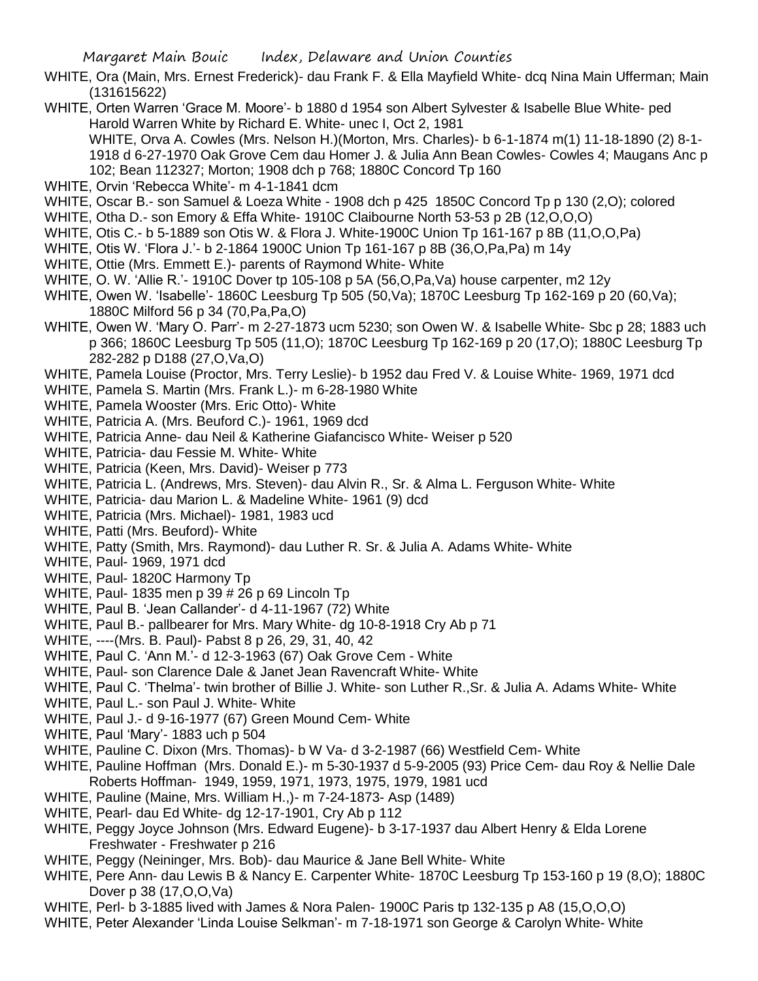- WHITE, Ora (Main, Mrs. Ernest Frederick)- dau Frank F. & Ella Mayfield White- dcq Nina Main Ufferman; Main (131615622)
- WHITE, Orten Warren 'Grace M. Moore'- b 1880 d 1954 son Albert Sylvester & Isabelle Blue White- ped Harold Warren White by Richard E. White- unec I, Oct 2, 1981 WHITE, Orva A. Cowles (Mrs. Nelson H.)(Morton, Mrs. Charles)- b 6-1-1874 m(1) 11-18-1890 (2) 8-1- 1918 d 6-27-1970 Oak Grove Cem dau Homer J. & Julia Ann Bean Cowles- Cowles 4; Maugans Anc p 102; Bean 112327; Morton; 1908 dch p 768; 1880C Concord Tp 160
- WHITE, Orvin 'Rebecca White'- m 4-1-1841 dcm
- WHITE, Oscar B.- son Samuel & Loeza White 1908 dch p 425 1850C Concord Tp p 130 (2,O); colored
- WHITE, Otha D.- son Emory & Effa White- 1910C Claibourne North 53-53 p 2B (12,O,O,O)
- WHITE, Otis C.- b 5-1889 son Otis W. & Flora J. White-1900C Union Tp 161-167 p 8B (11,O,O,Pa)
- WHITE, Otis W. 'Flora J.'- b 2-1864 1900C Union Tp 161-167 p 8B (36,O,Pa,Pa) m 14y
- WHITE, Ottie (Mrs. Emmett E.)- parents of Raymond White- White
- WHITE, O. W. 'Allie R.'- 1910C Dover tp 105-108 p 5A (56,O,Pa,Va) house carpenter, m2 12y
- WHITE, Owen W. 'Isabelle'- 1860C Leesburg Tp 505 (50,Va); 1870C Leesburg Tp 162-169 p 20 (60,Va); 1880C Milford 56 p 34 (70,Pa,Pa,O)
- WHITE, Owen W. 'Mary O. Parr'- m 2-27-1873 ucm 5230; son Owen W. & Isabelle White- Sbc p 28; 1883 uch p 366; 1860C Leesburg Tp 505 (11,O); 1870C Leesburg Tp 162-169 p 20 (17,O); 1880C Leesburg Tp 282-282 p D188 (27,O,Va,O)
- WHITE, Pamela Louise (Proctor, Mrs. Terry Leslie)- b 1952 dau Fred V. & Louise White- 1969, 1971 dcd
- WHITE, Pamela S. Martin (Mrs. Frank L.)- m 6-28-1980 White
- WHITE, Pamela Wooster (Mrs. Eric Otto)- White
- WHITE, Patricia A. (Mrs. Beuford C.)- 1961, 1969 dcd
- WHITE, Patricia Anne- dau Neil & Katherine Giafancisco White- Weiser p 520
- WHITE, Patricia- dau Fessie M. White- White
- WHITE, Patricia (Keen, Mrs. David)- Weiser p 773
- WHITE, Patricia L. (Andrews, Mrs. Steven)- dau Alvin R., Sr. & Alma L. Ferguson White- White
- WHITE, Patricia- dau Marion L. & Madeline White- 1961 (9) dcd
- WHITE, Patricia (Mrs. Michael)- 1981, 1983 ucd
- WHITE, Patti (Mrs. Beuford)- White
- WHITE, Patty (Smith, Mrs. Raymond)- dau Luther R. Sr. & Julia A. Adams White- White
- WHITE, Paul- 1969, 1971 dcd
- WHITE, Paul- 1820C Harmony Tp
- WHITE, Paul- 1835 men p 39 # 26 p 69 Lincoln Tp
- WHITE, Paul B. 'Jean Callander'- d 4-11-1967 (72) White
- WHITE, Paul B.- pallbearer for Mrs. Mary White- dg 10-8-1918 Cry Ab p 71
- WHITE, ----(Mrs. B. Paul)- Pabst 8 p 26, 29, 31, 40, 42
- WHITE, Paul C. 'Ann M.'- d 12-3-1963 (67) Oak Grove Cem White
- WHITE, Paul- son Clarence Dale & Janet Jean Ravencraft White- White
- WHITE, Paul C. 'Thelma'- twin brother of Billie J. White- son Luther R.,Sr. & Julia A. Adams White- White
- WHITE, Paul L.- son Paul J. White- White
- WHITE, Paul J.- d 9-16-1977 (67) Green Mound Cem- White
- WHITE, Paul 'Mary'- 1883 uch p 504
- WHITE, Pauline C. Dixon (Mrs. Thomas)- b W Va- d 3-2-1987 (66) Westfield Cem- White
- WHITE, Pauline Hoffman (Mrs. Donald E.)- m 5-30-1937 d 5-9-2005 (93) Price Cem- dau Roy & Nellie Dale Roberts Hoffman- 1949, 1959, 1971, 1973, 1975, 1979, 1981 ucd
- WHITE, Pauline (Maine, Mrs. William H.,)- m 7-24-1873- Asp (1489)
- WHITE, Pearl- dau Ed White- dg 12-17-1901, Cry Ab p 112
- WHITE, Peggy Joyce Johnson (Mrs. Edward Eugene)- b 3-17-1937 dau Albert Henry & Elda Lorene Freshwater - Freshwater p 216
- WHITE, Peggy (Neininger, Mrs. Bob)- dau Maurice & Jane Bell White- White
- WHITE, Pere Ann- dau Lewis B & Nancy E. Carpenter White- 1870C Leesburg Tp 153-160 p 19 (8,O); 1880C Dover p 38 (17,O,O,Va)
- WHITE, Perl- b 3-1885 lived with James & Nora Palen- 1900C Paris tp 132-135 p A8 (15,O,O,O)
- WHITE, Peter Alexander 'Linda Louise Selkman'- m 7-18-1971 son George & Carolyn White- White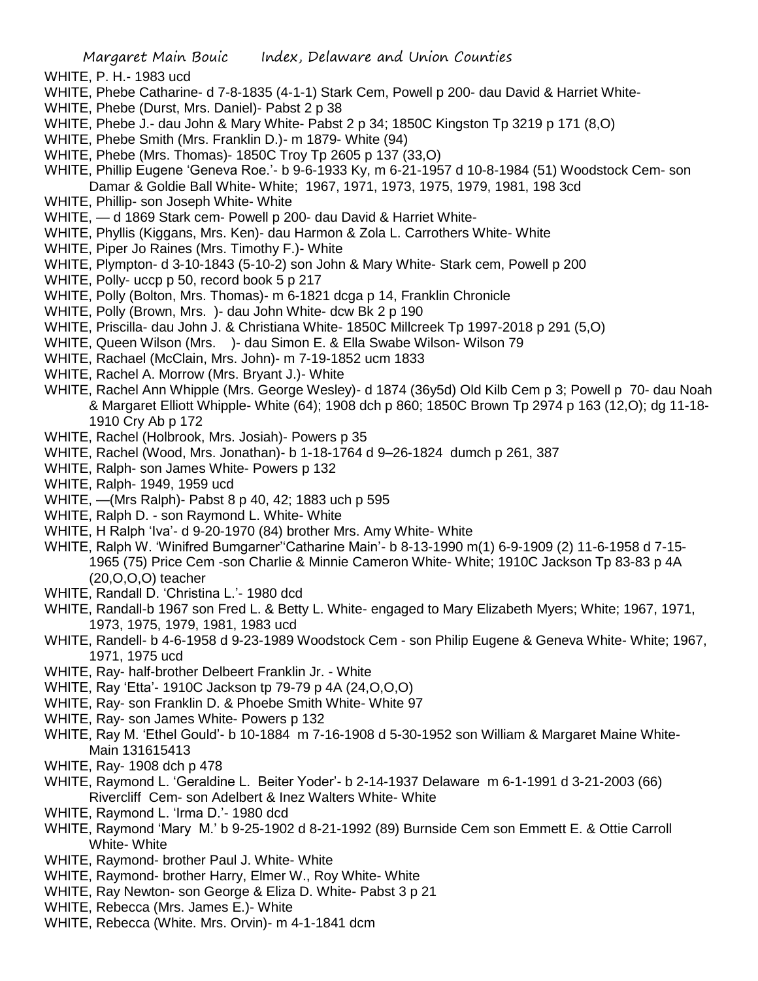- WHITE, P. H.- 1983 ucd
- WHITE, Phebe Catharine- d 7-8-1835 (4-1-1) Stark Cem, Powell p 200- dau David & Harriet White-
- WHITE, Phebe (Durst, Mrs. Daniel)- Pabst 2 p 38
- WHITE, Phebe J.- dau John & Mary White- Pabst 2 p 34; 1850C Kingston Tp 3219 p 171 (8,O)
- WHITE, Phebe Smith (Mrs. Franklin D.)- m 1879- White (94)
- WHITE, Phebe (Mrs. Thomas)- 1850C Troy Tp 2605 p 137 (33,O)
- WHITE, Phillip Eugene 'Geneva Roe.'- b 9-6-1933 Ky, m 6-21-1957 d 10-8-1984 (51) Woodstock Cem- son Damar & Goldie Ball White- White; 1967, 1971, 1973, 1975, 1979, 1981, 198 3cd
- WHITE, Phillip- son Joseph White- White
- WHITE, d 1869 Stark cem- Powell p 200- dau David & Harriet White-
- WHITE, Phyllis (Kiggans, Mrs. Ken)- dau Harmon & Zola L. Carrothers White- White
- WHITE, Piper Jo Raines (Mrs. Timothy F.)- White
- WHITE, Plympton- d 3-10-1843 (5-10-2) son John & Mary White- Stark cem, Powell p 200
- WHITE, Polly- uccp p 50, record book 5 p 217
- WHITE, Polly (Bolton, Mrs. Thomas)- m 6-1821 dcga p 14, Franklin Chronicle
- WHITE, Polly (Brown, Mrs. )- dau John White- dcw Bk 2 p 190
- WHITE, Priscilla- dau John J. & Christiana White- 1850C Millcreek Tp 1997-2018 p 291 (5,O)
- WHITE, Queen Wilson (Mrs. )- dau Simon E. & Ella Swabe Wilson- Wilson 79
- WHITE, Rachael (McClain, Mrs. John)- m 7-19-1852 ucm 1833
- WHITE, Rachel A. Morrow (Mrs. Bryant J.)- White
- WHITE, Rachel Ann Whipple (Mrs. George Wesley)- d 1874 (36y5d) Old Kilb Cem p 3; Powell p 70- dau Noah & Margaret Elliott Whipple- White (64); 1908 dch p 860; 1850C Brown Tp 2974 p 163 (12,O); dg 11-18- 1910 Cry Ab p 172
- WHITE, Rachel (Holbrook, Mrs. Josiah)- Powers p 35
- WHITE, Rachel (Wood, Mrs. Jonathan)- b 1-18-1764 d 9–26-1824 dumch p 261, 387
- WHITE, Ralph- son James White- Powers p 132
- WHITE, Ralph- 1949, 1959 ucd
- WHITE, —(Mrs Ralph)- Pabst 8 p 40, 42; 1883 uch p 595
- WHITE, Ralph D. son Raymond L. White- White
- WHITE, H Ralph 'Iva'- d 9-20-1970 (84) brother Mrs. Amy White- White
- WHITE, Ralph W. 'Winifred Bumgarner''Catharine Main'- b 8-13-1990 m(1) 6-9-1909 (2) 11-6-1958 d 7-15- 1965 (75) Price Cem -son Charlie & Minnie Cameron White- White; 1910C Jackson Tp 83-83 p 4A (20,O,O,O) teacher
- WHITE, Randall D. 'Christina L.'- 1980 dcd
- WHITE, Randall-b 1967 son Fred L. & Betty L. White- engaged to Mary Elizabeth Myers; White; 1967, 1971, 1973, 1975, 1979, 1981, 1983 ucd
- WHITE, Randell- b 4-6-1958 d 9-23-1989 Woodstock Cem son Philip Eugene & Geneva White- White; 1967, 1971, 1975 ucd
- WHITE, Ray- half-brother Delbeert Franklin Jr. White
- WHITE, Ray 'Etta'- 1910C Jackson tp 79-79 p 4A (24,O,O,O)
- WHITE, Ray- son Franklin D. & Phoebe Smith White- White 97
- WHITE, Ray- son James White- Powers p 132
- WHITE, Ray M. 'Ethel Gould'- b 10-1884 m 7-16-1908 d 5-30-1952 son William & Margaret Maine White-Main 131615413
- WHITE, Ray- 1908 dch p 478
- WHITE, Raymond L. 'Geraldine L. Beiter Yoder'- b 2-14-1937 Delaware m 6-1-1991 d 3-21-2003 (66) Rivercliff Cem- son Adelbert & Inez Walters White- White
- WHITE, Raymond L. 'Irma D.'- 1980 dcd
- WHITE, Raymond 'Mary M.' b 9-25-1902 d 8-21-1992 (89) Burnside Cem son Emmett E. & Ottie Carroll White- White
- WHITE, Raymond- brother Paul J. White- White
- WHITE, Raymond- brother Harry, Elmer W., Roy White- White
- WHITE, Ray Newton- son George & Eliza D. White- Pabst 3 p 21
- WHITE, Rebecca (Mrs. James E.)- White
- WHITE, Rebecca (White. Mrs. Orvin)- m 4-1-1841 dcm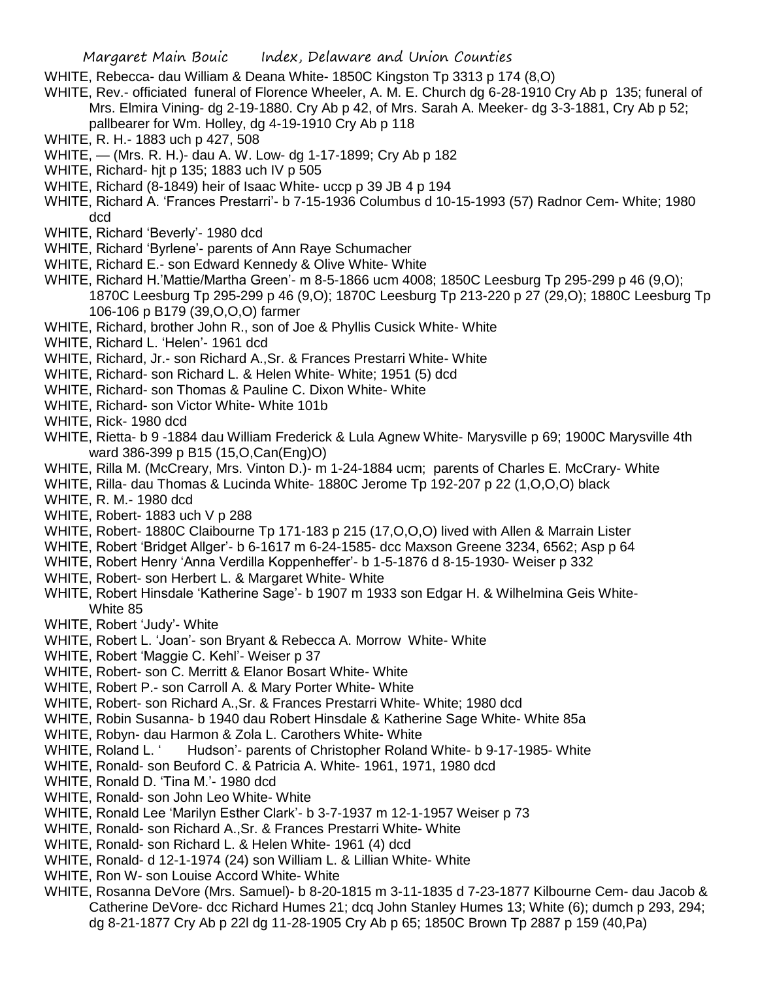- WHITE, Rebecca- dau William & Deana White- 1850C Kingston Tp 3313 p 174 (8,O)
- WHITE, Rev.- officiated funeral of Florence Wheeler, A. M. E. Church dg 6-28-1910 Cry Ab p 135; funeral of Mrs. Elmira Vining- dg 2-19-1880. Cry Ab p 42, of Mrs. Sarah A. Meeker- dg 3-3-1881, Cry Ab p 52; pallbearer for Wm. Holley, dg 4-19-1910 Cry Ab p 118
- WHITE, R. H.- 1883 uch p 427, 508
- WHITE, (Mrs. R. H.)- dau A. W. Low- dg 1-17-1899; Cry Ab p 182
- WHITE, Richard- hjt p 135; 1883 uch IV p 505
- WHITE, Richard (8-1849) heir of Isaac White- uccp p 39 JB 4 p 194
- WHITE, Richard A. 'Frances Prestarri'- b 7-15-1936 Columbus d 10-15-1993 (57) Radnor Cem- White; 1980 dcd
- WHITE, Richard 'Beverly'- 1980 dcd
- WHITE, Richard 'Byrlene'- parents of Ann Raye Schumacher
- WHITE, Richard E.- son Edward Kennedy & Olive White- White
- WHITE, Richard H.'Mattie/Martha Green'- m 8-5-1866 ucm 4008; 1850C Leesburg Tp 295-299 p 46 (9,O); 1870C Leesburg Tp 295-299 p 46 (9,O); 1870C Leesburg Tp 213-220 p 27 (29,O); 1880C Leesburg Tp 106-106 p B179 (39,O,O,O) farmer
- WHITE, Richard, brother John R., son of Joe & Phyllis Cusick White- White
- WHITE, Richard L. 'Helen'- 1961 dcd
- WHITE, Richard, Jr.- son Richard A.,Sr. & Frances Prestarri White- White
- WHITE, Richard- son Richard L. & Helen White- White; 1951 (5) dcd
- WHITE, Richard- son Thomas & Pauline C. Dixon White- White
- WHITE, Richard- son Victor White- White 101b
- WHITE, Rick- 1980 dcd
- WHITE, Rietta- b 9 -1884 dau William Frederick & Lula Agnew White- Marysville p 69; 1900C Marysville 4th ward 386-399 p B15 (15,O,Can(Eng)O)
- WHITE, Rilla M. (McCreary, Mrs. Vinton D.)- m 1-24-1884 ucm; parents of Charles E. McCrary- White
- WHITE, Rilla- dau Thomas & Lucinda White- 1880C Jerome Tp 192-207 p 22 (1,O,O,O) black
- WHITE, R. M.- 1980 dcd
- WHITE, Robert- 1883 uch V p 288
- WHITE, Robert- 1880C Claibourne Tp 171-183 p 215 (17,O,O,O) lived with Allen & Marrain Lister
- WHITE, Robert 'Bridget Allger'- b 6-1617 m 6-24-1585- dcc Maxson Greene 3234, 6562; Asp p 64
- WHITE, Robert Henry 'Anna Verdilla Koppenheffer'- b 1-5-1876 d 8-15-1930- Weiser p 332
- WHITE, Robert- son Herbert L. & Margaret White- White
- WHITE, Robert Hinsdale 'Katherine Sage'- b 1907 m 1933 son Edgar H. & Wilhelmina Geis White-White 85
- WHITE, Robert 'Judy'- White
- WHITE, Robert L. 'Joan'- son Bryant & Rebecca A. Morrow White- White
- WHITE, Robert 'Maggie C. Kehl'- Weiser p 37
- WHITE, Robert- son C. Merritt & Elanor Bosart White- White
- WHITE, Robert P.- son Carroll A. & Mary Porter White- White
- WHITE, Robert- son Richard A.,Sr. & Frances Prestarri White- White; 1980 dcd
- WHITE, Robin Susanna- b 1940 dau Robert Hinsdale & Katherine Sage White- White 85a
- WHITE, Robyn- dau Harmon & Zola L. Carothers White- White
- WHITE, Roland L. ' Hudson'- parents of Christopher Roland White- b 9-17-1985- White
- WHITE, Ronald- son Beuford C. & Patricia A. White- 1961, 1971, 1980 dcd
- WHITE, Ronald D. 'Tina M.'- 1980 dcd
- WHITE, Ronald- son John Leo White- White
- WHITE, Ronald Lee 'Marilyn Esther Clark'- b 3-7-1937 m 12-1-1957 Weiser p 73
- WHITE, Ronald- son Richard A.,Sr. & Frances Prestarri White- White
- WHITE, Ronald- son Richard L. & Helen White- 1961 (4) dcd
- WHITE, Ronald- d 12-1-1974 (24) son William L. & Lillian White- White
- WHITE, Ron W- son Louise Accord White- White
- WHITE, Rosanna DeVore (Mrs. Samuel)- b 8-20-1815 m 3-11-1835 d 7-23-1877 Kilbourne Cem- dau Jacob & Catherine DeVore- dcc Richard Humes 21; dcq John Stanley Humes 13; White (6); dumch p 293, 294; dg 8-21-1877 Cry Ab p 22l dg 11-28-1905 Cry Ab p 65; 1850C Brown Tp 2887 p 159 (40,Pa)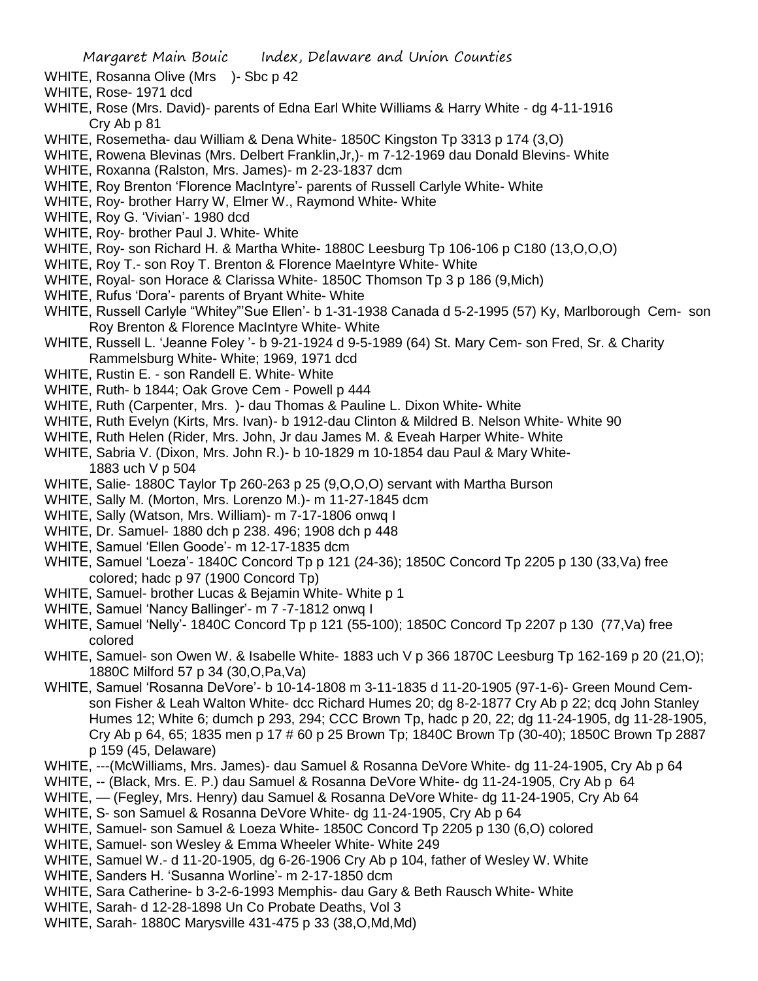WHITE, Rosanna Olive (Mrs )- Sbc p 42

- WHITE, Rose- 1971 dcd
- WHITE, Rose (Mrs. David)- parents of Edna Earl White Williams & Harry White dg 4-11-1916 Cry Ab p 81
- WHITE, Rosemetha- dau William & Dena White- 1850C Kingston Tp 3313 p 174 (3,O)
- WHITE, Rowena Blevinas (Mrs. Delbert Franklin,Jr,)- m 7-12-1969 dau Donald Blevins- White
- WHITE, Roxanna (Ralston, Mrs. James)- m 2-23-1837 dcm
- WHITE, Roy Brenton 'Florence MacIntyre'- parents of Russell Carlyle White- White
- WHITE, Roy- brother Harry W, Elmer W., Raymond White- White
- WHITE, Roy G. 'Vivian'- 1980 dcd
- WHITE, Roy- brother Paul J. White- White
- WHITE, Roy- son Richard H. & Martha White- 1880C Leesburg Tp 106-106 p C180 (13,O,O,O)
- WHITE, Roy T.- son Roy T. Brenton & Florence MaeIntyre White- White
- WHITE, Royal- son Horace & Clarissa White- 1850C Thomson Tp 3 p 186 (9,Mich)
- WHITE, Rufus 'Dora'- parents of Bryant White- White
- WHITE, Russell Carlyle "Whitey"'Sue Ellen'- b 1-31-1938 Canada d 5-2-1995 (57) Ky, Marlborough Cem- son Roy Brenton & Florence MacIntyre White- White
- WHITE, Russell L. 'Jeanne Foley '- b 9-21-1924 d 9-5-1989 (64) St. Mary Cem- son Fred, Sr. & Charity Rammelsburg White- White; 1969, 1971 dcd
- WHITE, Rustin E. son Randell E. White- White
- WHITE, Ruth- b 1844; Oak Grove Cem Powell p 444
- WHITE, Ruth (Carpenter, Mrs. )- dau Thomas & Pauline L. Dixon White- White
- WHITE, Ruth Evelyn (Kirts, Mrs. Ivan)- b 1912-dau Clinton & Mildred B. Nelson White- White 90
- WHITE, Ruth Helen (Rider, Mrs. John, Jr dau James M. & Eveah Harper White- White
- WHITE, Sabria V. (Dixon, Mrs. John R.)- b 10-1829 m 10-1854 dau Paul & Mary White-1883 uch V p 504
- WHITE, Salie- 1880C Taylor Tp 260-263 p 25 (9,O,O,O) servant with Martha Burson
- WHITE, Sally M. (Morton, Mrs. Lorenzo M.)- m 11-27-1845 dcm
- WHITE, Sally (Watson, Mrs. William)- m 7-17-1806 onwq I
- WHITE, Dr. Samuel- 1880 dch p 238. 496; 1908 dch p 448
- WHITE, Samuel 'Ellen Goode'- m 12-17-1835 dcm
- WHITE, Samuel 'Loeza'- 1840C Concord Tp p 121 (24-36); 1850C Concord Tp 2205 p 130 (33,Va) free colored; hadc p 97 (1900 Concord Tp)
- WHITE, Samuel- brother Lucas & Bejamin White- White p 1
- WHITE, Samuel 'Nancy Ballinger'- m 7 -7-1812 onwq I
- WHITE, Samuel 'Nelly'- 1840C Concord Tp p 121 (55-100); 1850C Concord Tp 2207 p 130 (77,Va) free colored
- WHITE, Samuel- son Owen W. & Isabelle White- 1883 uch V p 366 1870C Leesburg Tp 162-169 p 20 (21,O); 1880C Milford 57 p 34 (30,O,Pa,Va)
- WHITE, Samuel 'Rosanna DeVore'- b 10-14-1808 m 3-11-1835 d 11-20-1905 (97-1-6)- Green Mound Cemson Fisher & Leah Walton White- dcc Richard Humes 20; dg 8-2-1877 Cry Ab p 22; dcq John Stanley Humes 12; White 6; dumch p 293, 294; CCC Brown Tp, hadc p 20, 22; dg 11-24-1905, dg 11-28-1905, Cry Ab p 64, 65; 1835 men p 17 # 60 p 25 Brown Tp; 1840C Brown Tp (30-40); 1850C Brown Tp 2887 p 159 (45, Delaware)
- WHITE, ---(McWilliams, Mrs. James)- dau Samuel & Rosanna DeVore White- dg 11-24-1905, Cry Ab p 64
- WHITE, -- (Black, Mrs. E. P.) dau Samuel & Rosanna DeVore White- dg 11-24-1905, Cry Ab p 64
- WHITE, (Fegley, Mrs. Henry) dau Samuel & Rosanna DeVore White- dg 11-24-1905, Cry Ab 64
- WHITE, S- son Samuel & Rosanna DeVore White- dg 11-24-1905, Cry Ab p 64
- WHITE, Samuel- son Samuel & Loeza White- 1850C Concord Tp 2205 p 130 (6,O) colored
- WHITE, Samuel- son Wesley & Emma Wheeler White- White 249
- WHITE, Samuel W.- d 11-20-1905, dg 6-26-1906 Cry Ab p 104, father of Wesley W. White
- WHITE, Sanders H. 'Susanna Worline'- m 2-17-1850 dcm
- WHITE, Sara Catherine- b 3-2-6-1993 Memphis- dau Gary & Beth Rausch White- White
- WHITE, Sarah- d 12-28-1898 Un Co Probate Deaths, Vol 3
- WHITE, Sarah- 1880C Marysville 431-475 p 33 (38,O,Md,Md)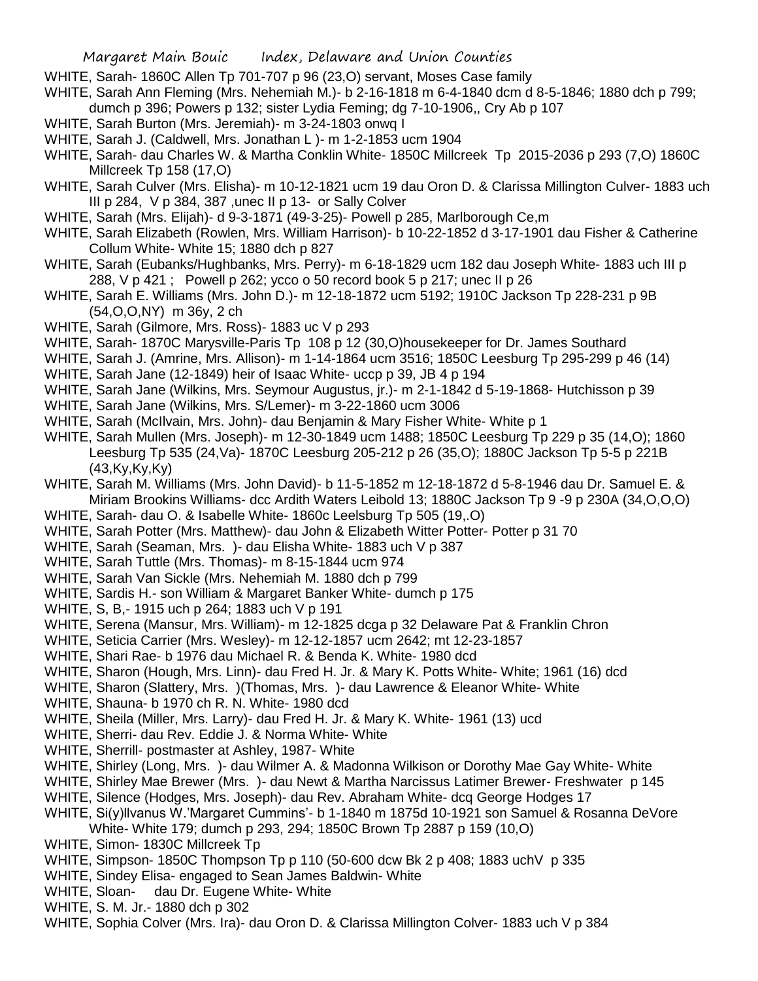- WHITE, Sarah- 1860C Allen Tp 701-707 p 96 (23,O) servant, Moses Case family
- WHITE, Sarah Ann Fleming (Mrs. Nehemiah M.)- b 2-16-1818 m 6-4-1840 dcm d 8-5-1846; 1880 dch p 799; dumch p 396; Powers p 132; sister Lydia Feming; dg 7-10-1906,, Cry Ab p 107
- WHITE, Sarah Burton (Mrs. Jeremiah)- m 3-24-1803 onwq I
- WHITE, Sarah J. (Caldwell, Mrs. Jonathan L )- m 1-2-1853 ucm 1904
- WHITE, Sarah- dau Charles W. & Martha Conklin White- 1850C Millcreek Tp 2015-2036 p 293 (7,O) 1860C Millcreek Tp 158 (17,O)
- WHITE, Sarah Culver (Mrs. Elisha)- m 10-12-1821 ucm 19 dau Oron D. & Clarissa Millington Culver- 1883 uch III p 284, V p 384, 387 ,unec II p 13- or Sally Colver
- WHITE, Sarah (Mrs. Elijah)- d 9-3-1871 (49-3-25)- Powell p 285, Marlborough Ce,m
- WHITE, Sarah Elizabeth (Rowlen, Mrs. William Harrison)- b 10-22-1852 d 3-17-1901 dau Fisher & Catherine Collum White- White 15; 1880 dch p 827
- WHITE, Sarah (Eubanks/Hughbanks, Mrs. Perry)- m 6-18-1829 ucm 182 dau Joseph White- 1883 uch III p 288, V p 421 ; Powell p 262; ycco o 50 record book 5 p 217; unec II p 26
- WHITE, Sarah E. Williams (Mrs. John D.)- m 12-18-1872 ucm 5192; 1910C Jackson Tp 228-231 p 9B (54,O,O,NY) m 36y, 2 ch
- WHITE, Sarah (Gilmore, Mrs. Ross)- 1883 uc V p 293
- WHITE, Sarah- 1870C Marysville-Paris Tp 108 p 12 (30,O)housekeeper for Dr. James Southard
- WHITE, Sarah J. (Amrine, Mrs. Allison)- m 1-14-1864 ucm 3516; 1850C Leesburg Tp 295-299 p 46 (14)
- WHITE, Sarah Jane (12-1849) heir of Isaac White- uccp p 39, JB 4 p 194
- WHITE, Sarah Jane (Wilkins, Mrs. Seymour Augustus, jr.)- m 2-1-1842 d 5-19-1868- Hutchisson p 39
- WHITE, Sarah Jane (Wilkins, Mrs. S/Lemer)- m 3-22-1860 ucm 3006
- WHITE, Sarah (McIlvain, Mrs. John)- dau Benjamin & Mary Fisher White- White p 1
- WHITE, Sarah Mullen (Mrs. Joseph)- m 12-30-1849 ucm 1488; 1850C Leesburg Tp 229 p 35 (14,O); 1860 Leesburg Tp 535 (24,Va)- 1870C Leesburg 205-212 p 26 (35,O); 1880C Jackson Tp 5-5 p 221B (43,Ky,Ky,Ky)
- WHITE, Sarah M. Williams (Mrs. John David)- b 11-5-1852 m 12-18-1872 d 5-8-1946 dau Dr. Samuel E. & Miriam Brookins Williams- dcc Ardith Waters Leibold 13; 1880C Jackson Tp 9 -9 p 230A (34,O,O,O)
- WHITE, Sarah- dau O. & Isabelle White- 1860c Leelsburg Tp 505 (19,.O)
- WHITE, Sarah Potter (Mrs. Matthew)- dau John & Elizabeth Witter Potter- Potter p 31 70
- WHITE, Sarah (Seaman, Mrs. )- dau Elisha White- 1883 uch V p 387
- WHITE, Sarah Tuttle (Mrs. Thomas)- m 8-15-1844 ucm 974
- WHITE, Sarah Van Sickle (Mrs. Nehemiah M. 1880 dch p 799
- WHITE, Sardis H.- son William & Margaret Banker White- dumch p 175
- WHITE, S, B,- 1915 uch p 264; 1883 uch V p 191
- WHITE, Serena (Mansur, Mrs. William)- m 12-1825 dcga p 32 Delaware Pat & Franklin Chron
- WHITE, Seticia Carrier (Mrs. Wesley)- m 12-12-1857 ucm 2642; mt 12-23-1857
- WHITE, Shari Rae- b 1976 dau Michael R. & Benda K. White- 1980 dcd
- WHITE, Sharon (Hough, Mrs. Linn)- dau Fred H. Jr. & Mary K. Potts White- White; 1961 (16) dcd
- WHITE, Sharon (Slattery, Mrs. )(Thomas, Mrs. )- dau Lawrence & Eleanor White- White
- WHITE, Shauna- b 1970 ch R. N. White- 1980 dcd
- WHITE, Sheila (Miller, Mrs. Larry)- dau Fred H. Jr. & Mary K. White- 1961 (13) ucd
- WHITE, Sherri- dau Rev. Eddie J. & Norma White- White
- WHITE, Sherrill- postmaster at Ashley, 1987- White
- WHITE, Shirley (Long, Mrs. )- dau Wilmer A. & Madonna Wilkison or Dorothy Mae Gay White- White
- WHITE, Shirley Mae Brewer (Mrs. )- dau Newt & Martha Narcissus Latimer Brewer- Freshwater p 145
- WHITE, Silence (Hodges, Mrs. Joseph)- dau Rev. Abraham White- dcq George Hodges 17
- WHITE, Si(y)llvanus W.'Margaret Cummins'- b 1-1840 m 1875d 10-1921 son Samuel & Rosanna DeVore
	- White- White 179; dumch p 293, 294; 1850C Brown Tp 2887 p 159 (10,O)
- WHITE, Simon- 1830C Millcreek Tp
- WHITE, Simpson- 1850C Thompson Tp p 110 (50-600 dcw Bk 2 p 408; 1883 uchV p 335
- WHITE, Sindey Elisa- engaged to Sean James Baldwin- White
- WHITE, Sloan- dau Dr. Eugene White- White
- WHITE, S. M. Jr.- 1880 dch p 302
- WHITE, Sophia Colver (Mrs. Ira)- dau Oron D. & Clarissa Millington Colver- 1883 uch V p 384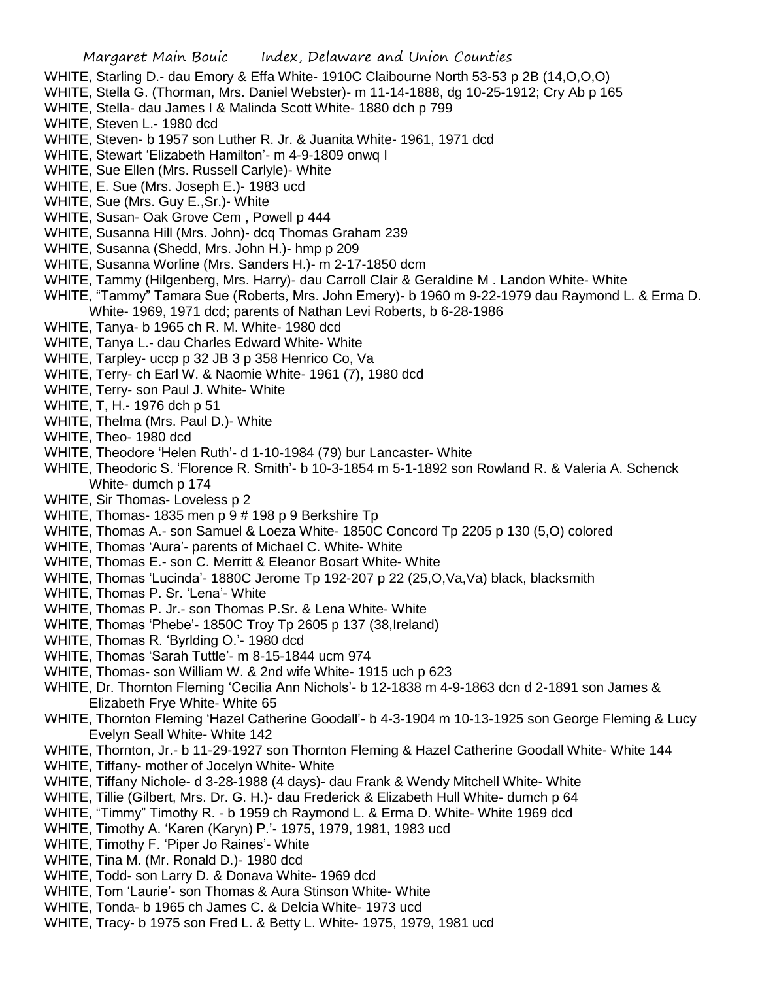- WHITE, Starling D.- dau Emory & Effa White- 1910C Claibourne North 53-53 p 2B (14,O,O,O)
- WHITE, Stella G. (Thorman, Mrs. Daniel Webster)- m 11-14-1888, dg 10-25-1912; Cry Ab p 165
- WHITE, Stella- dau James I & Malinda Scott White- 1880 dch p 799
- WHITE, Steven L.- 1980 dcd
- WHITE, Steven- b 1957 son Luther R. Jr. & Juanita White- 1961, 1971 dcd
- WHITE, Stewart 'Elizabeth Hamilton'- m 4-9-1809 onwq I
- WHITE, Sue Ellen (Mrs. Russell Carlyle)- White
- WHITE, E. Sue (Mrs. Joseph E.)- 1983 ucd
- WHITE, Sue (Mrs. Guy E.,Sr.)- White
- WHITE, Susan- Oak Grove Cem , Powell p 444
- WHITE, Susanna Hill (Mrs. John)- dcq Thomas Graham 239
- WHITE, Susanna (Shedd, Mrs. John H.)- hmp p 209
- WHITE, Susanna Worline (Mrs. Sanders H.)- m 2-17-1850 dcm
- WHITE, Tammy (Hilgenberg, Mrs. Harry)- dau Carroll Clair & Geraldine M . Landon White- White
- WHITE, "Tammy" Tamara Sue (Roberts, Mrs. John Emery)- b 1960 m 9-22-1979 dau Raymond L. & Erma D. White- 1969, 1971 dcd; parents of Nathan Levi Roberts, b 6-28-1986
- WHITE, Tanya- b 1965 ch R. M. White- 1980 dcd
- WHITE, Tanya L.- dau Charles Edward White- White
- WHITE, Tarpley- uccp p 32 JB 3 p 358 Henrico Co, Va
- WHITE, Terry- ch Earl W. & Naomie White- 1961 (7), 1980 dcd
- WHITE, Terry- son Paul J. White- White
- WHITE, T, H.- 1976 dch p 51
- WHITE, Thelma (Mrs. Paul D.)- White
- WHITE, Theo- 1980 dcd
- WHITE, Theodore 'Helen Ruth'- d 1-10-1984 (79) bur Lancaster- White
- WHITE, Theodoric S. 'Florence R. Smith'- b 10-3-1854 m 5-1-1892 son Rowland R. & Valeria A. Schenck White- dumch p 174
- WHITE, Sir Thomas- Loveless p 2
- WHITE, Thomas- 1835 men p 9 # 198 p 9 Berkshire Tp
- WHITE, Thomas A.- son Samuel & Loeza White- 1850C Concord Tp 2205 p 130 (5,O) colored
- WHITE, Thomas 'Aura'- parents of Michael C. White- White
- WHITE, Thomas E.- son C. Merritt & Eleanor Bosart White- White
- WHITE, Thomas 'Lucinda'- 1880C Jerome Tp 192-207 p 22 (25, O, Va, Va) black, blacksmith
- WHITE, Thomas P. Sr. 'Lena'- White
- WHITE, Thomas P. Jr.- son Thomas P.Sr. & Lena White- White
- WHITE, Thomas 'Phebe'- 1850C Troy Tp 2605 p 137 (38,Ireland)
- WHITE, Thomas R. 'Byrlding O.'- 1980 dcd
- WHITE, Thomas 'Sarah Tuttle'- m 8-15-1844 ucm 974
- WHITE, Thomas- son William W. & 2nd wife White- 1915 uch p 623
- WHITE, Dr. Thornton Fleming 'Cecilia Ann Nichols'- b 12-1838 m 4-9-1863 dcn d 2-1891 son James & Elizabeth Frye White- White 65
- WHITE, Thornton Fleming 'Hazel Catherine Goodall'- b 4-3-1904 m 10-13-1925 son George Fleming & Lucy Evelyn Seall White- White 142
- WHITE, Thornton, Jr.- b 11-29-1927 son Thornton Fleming & Hazel Catherine Goodall White- White 144
- WHITE, Tiffany- mother of Jocelyn White- White
- WHITE, Tiffany Nichole- d 3-28-1988 (4 days)- dau Frank & Wendy Mitchell White- White
- WHITE, Tillie (Gilbert, Mrs. Dr. G. H.)- dau Frederick & Elizabeth Hull White- dumch p 64
- WHITE, "Timmy" Timothy R. b 1959 ch Raymond L. & Erma D. White- White 1969 dcd
- WHITE, Timothy A. 'Karen (Karyn) P.'- 1975, 1979, 1981, 1983 ucd
- WHITE, Timothy F. 'Piper Jo Raines'- White
- WHITE, Tina M. (Mr. Ronald D.)- 1980 dcd
- WHITE, Todd- son Larry D. & Donava White- 1969 dcd
- WHITE, Tom 'Laurie'- son Thomas & Aura Stinson White- White
- WHITE, Tonda- b 1965 ch James C. & Delcia White- 1973 ucd
- WHITE, Tracy- b 1975 son Fred L. & Betty L. White- 1975, 1979, 1981 ucd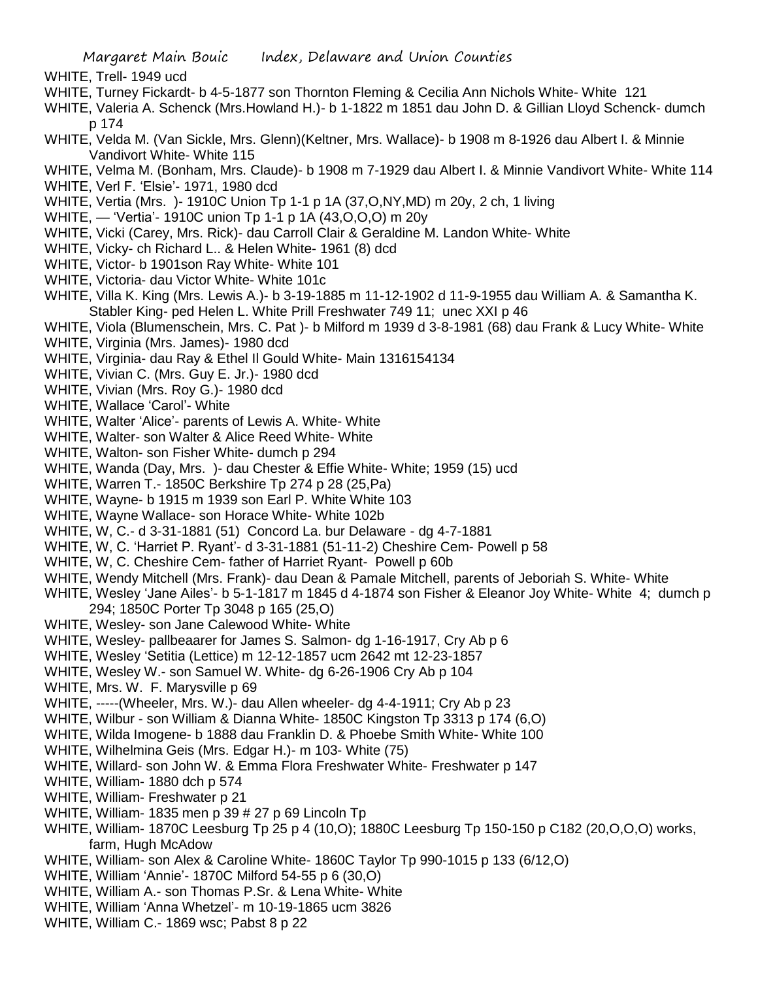- WHITE, Trell- 1949 ucd
- WHITE, Turney Fickardt- b 4-5-1877 son Thornton Fleming & Cecilia Ann Nichols White- White 121
- WHITE, Valeria A. Schenck (Mrs.Howland H.)- b 1-1822 m 1851 dau John D. & Gillian Lloyd Schenck- dumch p 174
- WHITE, Velda M. (Van Sickle, Mrs. Glenn)(Keltner, Mrs. Wallace)- b 1908 m 8-1926 dau Albert I. & Minnie Vandivort White- White 115
- WHITE, Velma M. (Bonham, Mrs. Claude)- b 1908 m 7-1929 dau Albert I. & Minnie Vandivort White- White 114
- WHITE, Verl F. 'Elsie'- 1971, 1980 dcd
- WHITE, Vertia (Mrs. )- 1910C Union Tp 1-1 p 1A (37,O,NY,MD) m 20y, 2 ch, 1 living
- WHITE, 'Vertia'- 1910C union Tp 1-1 p 1A (43,O,O,O) m 20y
- WHITE, Vicki (Carey, Mrs. Rick)- dau Carroll Clair & Geraldine M. Landon White- White
- WHITE, Vicky- ch Richard L.. & Helen White- 1961 (8) dcd
- WHITE, Victor- b 1901son Ray White- White 101
- WHITE, Victoria- dau Victor White- White 101c
- WHITE, Villa K. King (Mrs. Lewis A.)- b 3-19-1885 m 11-12-1902 d 11-9-1955 dau William A. & Samantha K. Stabler King- ped Helen L. White Prill Freshwater 749 11; unec XXI p 46
- WHITE, Viola (Blumenschein, Mrs. C. Pat )- b Milford m 1939 d 3-8-1981 (68) dau Frank & Lucy White- White WHITE, Virginia (Mrs. James)- 1980 dcd
- WHITE, Virginia- dau Ray & Ethel Il Gould White- Main 1316154134
- WHITE, Vivian C. (Mrs. Guy E. Jr.)- 1980 dcd
- WHITE, Vivian (Mrs. Roy G.)- 1980 dcd
- WHITE, Wallace 'Carol'- White
- WHITE, Walter 'Alice'- parents of Lewis A. White- White
- WHITE, Walter- son Walter & Alice Reed White- White
- WHITE, Walton- son Fisher White- dumch p 294
- WHITE, Wanda (Day, Mrs. )- dau Chester & Effie White- White; 1959 (15) ucd
- WHITE, Warren T.- 1850C Berkshire Tp 274 p 28 (25,Pa)
- WHITE, Wayne- b 1915 m 1939 son Earl P. White White 103
- WHITE, Wayne Wallace- son Horace White- White 102b
- WHITE, W, C.- d 3-31-1881 (51) Concord La. bur Delaware dg 4-7-1881
- WHITE, W, C. 'Harriet P. Ryant'- d 3-31-1881 (51-11-2) Cheshire Cem- Powell p 58
- WHITE, W, C. Cheshire Cem- father of Harriet Ryant- Powell p 60b
- WHITE, Wendy Mitchell (Mrs. Frank)- dau Dean & Pamale Mitchell, parents of Jeboriah S. White- White
- WHITE, Wesley 'Jane Ailes'- b 5-1-1817 m 1845 d 4-1874 son Fisher & Eleanor Joy White- White 4; dumch p 294; 1850C Porter Tp 3048 p 165 (25,O)
- WHITE, Wesley- son Jane Calewood White- White
- WHITE, Wesley- pallbeaarer for James S. Salmon- dg 1-16-1917, Cry Ab p 6
- WHITE, Wesley 'Setitia (Lettice) m 12-12-1857 ucm 2642 mt 12-23-1857
- WHITE, Wesley W.- son Samuel W. White- dg 6-26-1906 Cry Ab p 104
- WHITE, Mrs. W. F. Marysville p 69
- WHITE, -----(Wheeler, Mrs. W.)- dau Allen wheeler- dg 4-4-1911; Cry Ab p 23
- WHITE, Wilbur son William & Dianna White- 1850C Kingston Tp 3313 p 174 (6,O)
- WHITE, Wilda Imogene- b 1888 dau Franklin D. & Phoebe Smith White- White 100
- WHITE, Wilhelmina Geis (Mrs. Edgar H.)- m 103- White (75)
- WHITE, Willard- son John W. & Emma Flora Freshwater White- Freshwater p 147
- WHITE, William- 1880 dch p 574
- WHITE, William- Freshwater p 21
- WHITE, William- 1835 men p 39 # 27 p 69 Lincoln Tp
- WHITE, William- 1870C Leesburg Tp 25 p 4 (10,O); 1880C Leesburg Tp 150-150 p C182 (20,O,O,O) works, farm, Hugh McAdow
- WHITE, William- son Alex & Caroline White- 1860C Taylor Tp 990-1015 p 133 (6/12,O)
- WHITE, William 'Annie'- 1870C Milford 54-55 p 6 (30,O)
- WHITE, William A.- son Thomas P.Sr. & Lena White- White
- WHITE, William 'Anna Whetzel'- m 10-19-1865 ucm 3826
- WHITE, William C.- 1869 wsc; Pabst 8 p 22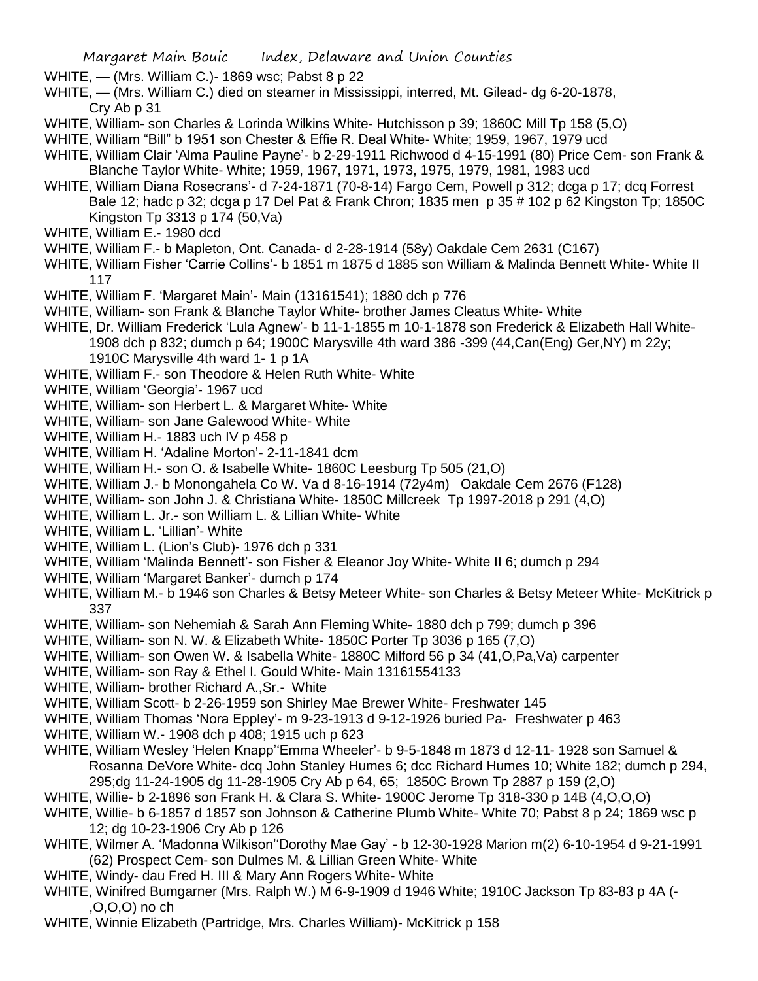- WHITE, (Mrs. William C.)- 1869 wsc; Pabst 8 p 22
- WHITE, (Mrs. William C.) died on steamer in Mississippi, interred, Mt. Gilead- dg 6-20-1878, Cry Ab p 31
- WHITE, William- son Charles & Lorinda Wilkins White- Hutchisson p 39; 1860C Mill Tp 158 (5,O)
- WHITE, William "Bill" b 1951 son Chester & Effie R. Deal White- White; 1959, 1967, 1979 ucd
- WHITE, William Clair 'Alma Pauline Payne'- b 2-29-1911 Richwood d 4-15-1991 (80) Price Cem- son Frank & Blanche Taylor White- White; 1959, 1967, 1971, 1973, 1975, 1979, 1981, 1983 ucd
- WHITE, William Diana Rosecrans'- d 7-24-1871 (70-8-14) Fargo Cem, Powell p 312; dcga p 17; dcq Forrest Bale 12; hadc p 32; dcga p 17 Del Pat & Frank Chron; 1835 men p 35 # 102 p 62 Kingston Tp; 1850C Kingston Tp 3313 p 174 (50,Va)
- WHITE, William E.- 1980 dcd
- WHITE, William F.- b Mapleton, Ont. Canada- d 2-28-1914 (58y) Oakdale Cem 2631 (C167)
- WHITE, William Fisher 'Carrie Collins'- b 1851 m 1875 d 1885 son William & Malinda Bennett White- White II 117
- WHITE, William F. 'Margaret Main'- Main (13161541); 1880 dch p 776
- WHITE, William- son Frank & Blanche Taylor White- brother James Cleatus White- White
- WHITE, Dr. William Frederick 'Lula Agnew'- b 11-1-1855 m 10-1-1878 son Frederick & Elizabeth Hall White-1908 dch p 832; dumch p 64; 1900C Marysville 4th ward 386 -399 (44,Can(Eng) Ger,NY) m 22y; 1910C Marysville 4th ward 1- 1 p 1A
- WHITE, William F.- son Theodore & Helen Ruth White- White
- WHITE, William 'Georgia'- 1967 ucd
- WHITE, William- son Herbert L. & Margaret White- White
- WHITE, William- son Jane Galewood White- White
- WHITE, William H.- 1883 uch IV p 458 p
- WHITE, William H. 'Adaline Morton'- 2-11-1841 dcm
- WHITE, William H.- son O. & Isabelle White- 1860C Leesburg Tp 505 (21,O)
- WHITE, William J.- b Monongahela Co W. Va d 8-16-1914 (72y4m) Oakdale Cem 2676 (F128)
- WHITE, William- son John J. & Christiana White- 1850C Millcreek Tp 1997-2018 p 291 (4.O)
- WHITE, William L. Jr.- son William L. & Lillian White- White
- WHITE, William L. 'Lillian'- White
- WHITE, William L. (Lion's Club)- 1976 dch p 331
- WHITE, William 'Malinda Bennett'- son Fisher & Eleanor Joy White- White II 6; dumch p 294
- WHITE, William 'Margaret Banker'- dumch p 174
- WHITE, William M.- b 1946 son Charles & Betsy Meteer White- son Charles & Betsy Meteer White- McKitrick p 337
- WHITE, William- son Nehemiah & Sarah Ann Fleming White- 1880 dch p 799; dumch p 396
- WHITE, William- son N. W. & Elizabeth White- 1850C Porter Tp 3036 p 165 (7,O)
- WHITE, William- son Owen W. & Isabella White- 1880C Milford 56 p 34 (41, O, Pa, Va) carpenter
- WHITE, William- son Ray & Ethel I. Gould White- Main 13161554133
- WHITE, William- brother Richard A.,Sr.- White
- WHITE, William Scott- b 2-26-1959 son Shirley Mae Brewer White- Freshwater 145
- WHITE, William Thomas 'Nora Eppley'- m 9-23-1913 d 9-12-1926 buried Pa- Freshwater p 463
- WHITE, William W.- 1908 dch p 408; 1915 uch p 623
- WHITE, William Wesley 'Helen Knapp''Emma Wheeler'- b 9-5-1848 m 1873 d 12-11- 1928 son Samuel & Rosanna DeVore White- dcq John Stanley Humes 6; dcc Richard Humes 10; White 182; dumch p 294, 295;dg 11-24-1905 dg 11-28-1905 Cry Ab p 64, 65; 1850C Brown Tp 2887 p 159 (2,O)
- WHITE, Willie- b 2-1896 son Frank H. & Clara S. White- 1900C Jerome Tp 318-330 p 14B (4,O,O,O)
- WHITE, Willie- b 6-1857 d 1857 son Johnson & Catherine Plumb White- White 70; Pabst 8 p 24; 1869 wsc p 12; dg 10-23-1906 Cry Ab p 126
- WHITE, Wilmer A. 'Madonna Wilkison''Dorothy Mae Gay' b 12-30-1928 Marion m(2) 6-10-1954 d 9-21-1991 (62) Prospect Cem- son Dulmes M. & Lillian Green White- White
- WHITE, Windy- dau Fred H. III & Mary Ann Rogers White- White
- WHITE, Winifred Bumgarner (Mrs. Ralph W.) M 6-9-1909 d 1946 White; 1910C Jackson Tp 83-83 p 4A (- ,O,O,O) no ch
- WHITE, Winnie Elizabeth (Partridge, Mrs. Charles William)- McKitrick p 158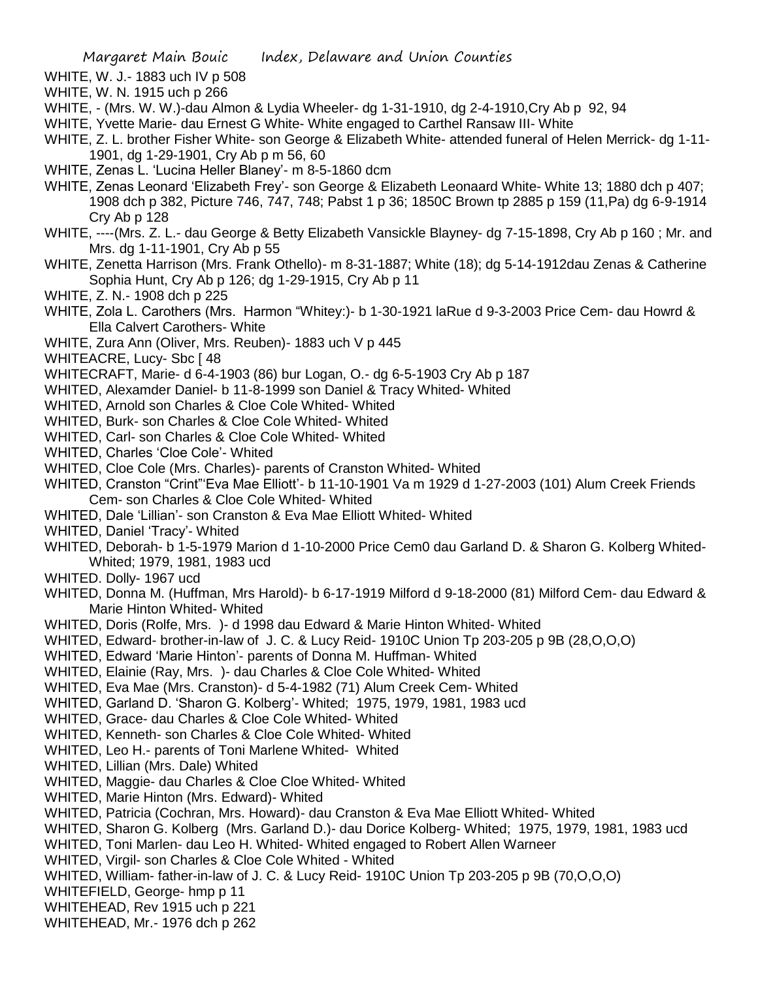- WHITE, W. J.- 1883 uch IV p 508
- WHITE, W. N. 1915 uch p 266
- WHITE, (Mrs. W. W.)-dau Almon & Lydia Wheeler- dg 1-31-1910, dg 2-4-1910,Cry Ab p 92, 94
- WHITE, Yvette Marie- dau Ernest G White- White engaged to Carthel Ransaw III- White
- WHITE, Z. L. brother Fisher White- son George & Elizabeth White- attended funeral of Helen Merrick- dg 1-11- 1901, dg 1-29-1901, Cry Ab p m 56, 60
- WHITE, Zenas L. 'Lucina Heller Blaney'- m 8-5-1860 dcm
- WHITE, Zenas Leonard 'Elizabeth Frey'- son George & Elizabeth Leonaard White- White 13; 1880 dch p 407; 1908 dch p 382, Picture 746, 747, 748; Pabst 1 p 36; 1850C Brown tp 2885 p 159 (11,Pa) dg 6-9-1914 Cry Ab p 128
- WHITE, ----(Mrs. Z. L.- dau George & Betty Elizabeth Vansickle Blayney- dg 7-15-1898, Cry Ab p 160 ; Mr. and Mrs. dg 1-11-1901, Cry Ab p 55
- WHITE, Zenetta Harrison (Mrs. Frank Othello)- m 8-31-1887; White (18); dg 5-14-1912dau Zenas & Catherine Sophia Hunt, Cry Ab p 126; dg 1-29-1915, Cry Ab p 11
- WHITE, Z. N.- 1908 dch p 225
- WHITE, Zola L. Carothers (Mrs. Harmon "Whitey:)- b 1-30-1921 laRue d 9-3-2003 Price Cem- dau Howrd & Ella Calvert Carothers- White
- WHITE, Zura Ann (Oliver, Mrs. Reuben)- 1883 uch V p 445
- WHITEACRE, Lucy- Sbc [48]
- WHITECRAFT, Marie- d 6-4-1903 (86) bur Logan, O.- dg 6-5-1903 Cry Ab p 187
- WHITED, Alexamder Daniel- b 11-8-1999 son Daniel & Tracy Whited- Whited
- WHITED, Arnold son Charles & Cloe Cole Whited- Whited
- WHITED, Burk- son Charles & Cloe Cole Whited- Whited
- WHITED, Carl- son Charles & Cloe Cole Whited- Whited
- WHITED, Charles 'Cloe Cole'- Whited
- WHITED, Cloe Cole (Mrs. Charles)- parents of Cranston Whited- Whited
- WHITED, Cranston "Crint"'Eva Mae Elliott'- b 11-10-1901 Va m 1929 d 1-27-2003 (101) Alum Creek Friends Cem- son Charles & Cloe Cole Whited- Whited
- WHITED, Dale 'Lillian'- son Cranston & Eva Mae Elliott Whited- Whited
- WHITED, Daniel 'Tracy'- Whited
- WHITED, Deborah- b 1-5-1979 Marion d 1-10-2000 Price Cem0 dau Garland D. & Sharon G. Kolberg Whited-Whited; 1979, 1981, 1983 ucd
- WHITED. Dolly- 1967 ucd
- WHITED, Donna M. (Huffman, Mrs Harold)- b 6-17-1919 Milford d 9-18-2000 (81) Milford Cem- dau Edward & Marie Hinton Whited- Whited
- WHITED, Doris (Rolfe, Mrs. )- d 1998 dau Edward & Marie Hinton Whited- Whited
- WHITED, Edward- brother-in-law of J. C. & Lucy Reid- 1910C Union Tp 203-205 p 9B (28,O,O,O)
- WHITED, Edward 'Marie Hinton'- parents of Donna M. Huffman- Whited
- WHITED, Elainie (Ray, Mrs. )- dau Charles & Cloe Cole Whited- Whited
- WHITED, Eva Mae (Mrs. Cranston)- d 5-4-1982 (71) Alum Creek Cem- Whited
- WHITED, Garland D. 'Sharon G. Kolberg'- Whited; 1975, 1979, 1981, 1983 ucd
- WHITED, Grace- dau Charles & Cloe Cole Whited- Whited
- WHITED, Kenneth- son Charles & Cloe Cole Whited- Whited
- WHITED, Leo H.- parents of Toni Marlene Whited- Whited
- WHITED, Lillian (Mrs. Dale) Whited
- WHITED, Maggie- dau Charles & Cloe Cloe Whited- Whited
- WHITED, Marie Hinton (Mrs. Edward)- Whited
- WHITED, Patricia (Cochran, Mrs. Howard)- dau Cranston & Eva Mae Elliott Whited- Whited
- WHITED, Sharon G. Kolberg (Mrs. Garland D.)- dau Dorice Kolberg- Whited; 1975, 1979, 1981, 1983 ucd
- WHITED, Toni Marlen- dau Leo H. Whited- Whited engaged to Robert Allen Warneer
- WHITED, Virgil- son Charles & Cloe Cole Whited Whited
- WHITED, William- father-in-law of J. C. & Lucy Reid- 1910C Union Tp 203-205 p 9B (70,O,O,O)
- WHITEFIELD, George- hmp p 11
- WHITEHEAD, Rev 1915 uch p 221
- WHITEHEAD, Mr.- 1976 dch p 262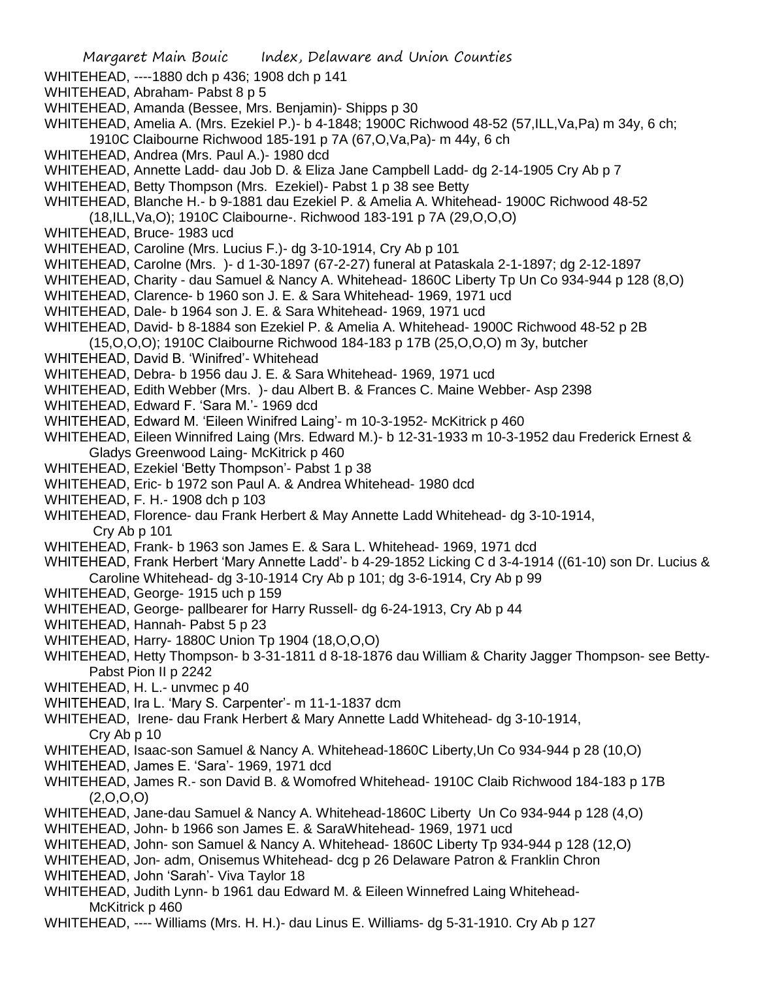- WHITEHEAD, ----1880 dch p 436; 1908 dch p 141
- WHITEHEAD, Abraham- Pabst 8 p 5
- WHITEHEAD, Amanda (Bessee, Mrs. Benjamin)- Shipps p 30
- WHITEHEAD, Amelia A. (Mrs. Ezekiel P.)- b 4-1848; 1900C Richwood 48-52 (57,ILL,Va,Pa) m 34y, 6 ch; 1910C Claibourne Richwood 185-191 p 7A (67,O,Va,Pa)- m 44y, 6 ch
- WHITEHEAD, Andrea (Mrs. Paul A.)- 1980 dcd
- WHITEHEAD, Annette Ladd- dau Job D. & Eliza Jane Campbell Ladd- dg 2-14-1905 Cry Ab p 7
- WHITEHEAD, Betty Thompson (Mrs. Ezekiel)- Pabst 1 p 38 see Betty
- WHITEHEAD, Blanche H.- b 9-1881 dau Ezekiel P. & Amelia A. Whitehead- 1900C Richwood 48-52
- (18,ILL,Va,O); 1910C Claibourne-. Richwood 183-191 p 7A (29,O,O,O)
- WHITEHEAD, Bruce- 1983 ucd
- WHITEHEAD, Caroline (Mrs. Lucius F.)- dg 3-10-1914, Cry Ab p 101
- WHITEHEAD, Carolne (Mrs. )- d 1-30-1897 (67-2-27) funeral at Pataskala 2-1-1897; dg 2-12-1897
- WHITEHEAD, Charity dau Samuel & Nancy A. Whitehead- 1860C Liberty Tp Un Co 934-944 p 128 (8,O)
- WHITEHEAD, Clarence- b 1960 son J. E. & Sara Whitehead- 1969, 1971 ucd
- WHITEHEAD, Dale- b 1964 son J. E. & Sara Whitehead- 1969, 1971 ucd
- WHITEHEAD, David- b 8-1884 son Ezekiel P. & Amelia A. Whitehead- 1900C Richwood 48-52 p 2B
- (15,O,O,O); 1910C Claibourne Richwood 184-183 p 17B (25,O,O,O) m 3y, butcher
- WHITEHEAD, David B. 'Winifred'- Whitehead
- WHITEHEAD, Debra- b 1956 dau J. E. & Sara Whitehead- 1969, 1971 ucd
- WHITEHEAD, Edith Webber (Mrs. )- dau Albert B. & Frances C. Maine Webber- Asp 2398
- WHITEHEAD, Edward F. 'Sara M.'- 1969 dcd
- WHITEHEAD, Edward M. 'Eileen Winifred Laing'- m 10-3-1952- McKitrick p 460
- WHITEHEAD, Eileen Winnifred Laing (Mrs. Edward M.)- b 12-31-1933 m 10-3-1952 dau Frederick Ernest & Gladys Greenwood Laing- McKitrick p 460
- WHITEHEAD, Ezekiel 'Betty Thompson'- Pabst 1 p 38
- WHITEHEAD, Eric- b 1972 son Paul A. & Andrea Whitehead- 1980 dcd
- WHITEHEAD, F. H.- 1908 dch p 103
- WHITEHEAD, Florence- dau Frank Herbert & May Annette Ladd Whitehead- dg 3-10-1914, Cry Ab p 101
- WHITEHEAD, Frank- b 1963 son James E. & Sara L. Whitehead- 1969, 1971 dcd
- WHITEHEAD, Frank Herbert 'Mary Annette Ladd'- b 4-29-1852 Licking C d 3-4-1914 ((61-10) son Dr. Lucius & Caroline Whitehead- dg 3-10-1914 Cry Ab p 101; dg 3-6-1914, Cry Ab p 99
- WHITEHEAD, George- 1915 uch p 159
- WHITEHEAD, George- pallbearer for Harry Russell- dg 6-24-1913, Cry Ab p 44
- WHITEHEAD, Hannah- Pabst 5 p 23
- WHITEHEAD, Harry- 1880C Union Tp 1904 (18,O,O,O)
- WHITEHEAD, Hetty Thompson- b 3-31-1811 d 8-18-1876 dau William & Charity Jagger Thompson- see Betty-Pabst Pion II p 2242
- WHITEHEAD, H. L.- unvmec p 40
- WHITEHEAD, Ira L. 'Mary S. Carpenter'- m 11-1-1837 dcm
- WHITEHEAD, Irene- dau Frank Herbert & Mary Annette Ladd Whitehead- dg 3-10-1914, Cry Ab p 10
- WHITEHEAD, Isaac-son Samuel & Nancy A. Whitehead-1860C Liberty,Un Co 934-944 p 28 (10,O)
- WHITEHEAD, James E. 'Sara'- 1969, 1971 dcd
- WHITEHEAD, James R.- son David B. & Womofred Whitehead- 1910C Claib Richwood 184-183 p 17B  $(2,0,0,0)$
- WHITEHEAD, Jane-dau Samuel & Nancy A. Whitehead-1860C Liberty Un Co 934-944 p 128 (4,O)
- WHITEHEAD, John- b 1966 son James E. & SaraWhitehead- 1969, 1971 ucd
- WHITEHEAD, John- son Samuel & Nancy A. Whitehead- 1860C Liberty Tp 934-944 p 128 (12,O)
- WHITEHEAD, Jon- adm, Onisemus Whitehead- dcg p 26 Delaware Patron & Franklin Chron
- WHITEHEAD, John 'Sarah'- Viva Taylor 18
- WHITEHEAD, Judith Lynn- b 1961 dau Edward M. & Eileen Winnefred Laing Whitehead-McKitrick p 460
- WHITEHEAD, ---- Williams (Mrs. H. H.)- dau Linus E. Williams- dg 5-31-1910. Cry Ab p 127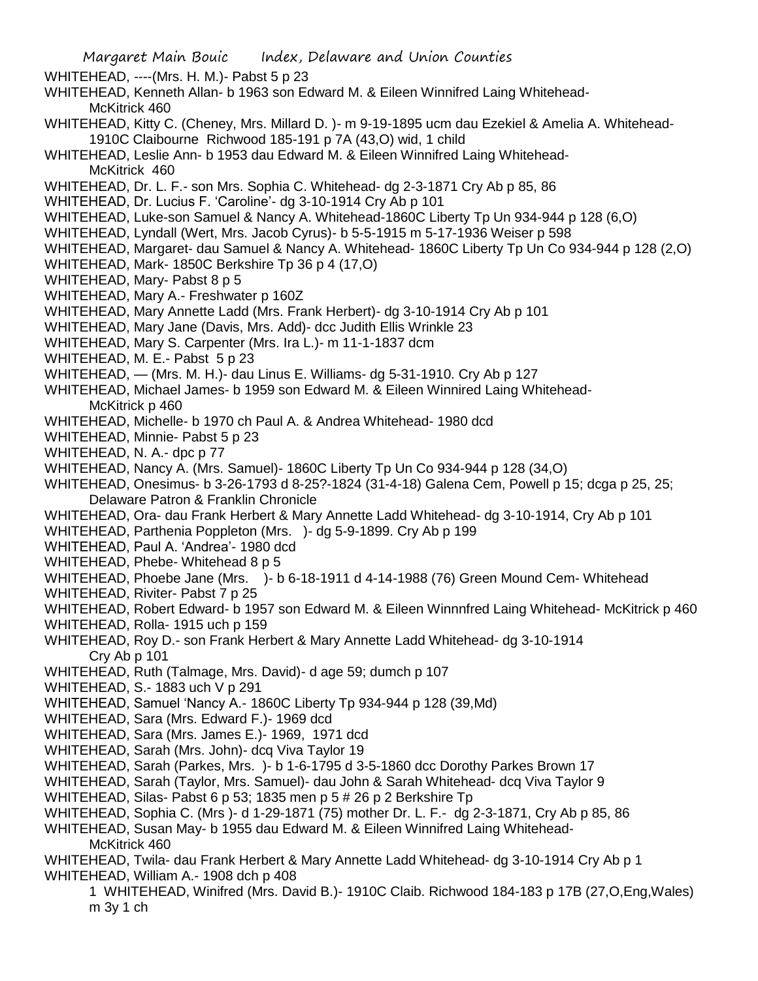WHITEHEAD, ----(Mrs. H. M.)- Pabst 5 p 23

- WHITEHEAD, Kenneth Allan- b 1963 son Edward M. & Eileen Winnifred Laing Whitehead-McKitrick 460
- WHITEHEAD, Kitty C. (Cheney, Mrs. Millard D. )- m 9-19-1895 ucm dau Ezekiel & Amelia A. Whitehead-1910C Claibourne Richwood 185-191 p 7A (43,O) wid, 1 child
- WHITEHEAD, Leslie Ann- b 1953 dau Edward M. & Eileen Winnifred Laing Whitehead-McKitrick 460
- WHITEHEAD, Dr. L. F.- son Mrs. Sophia C. Whitehead- dg 2-3-1871 Cry Ab p 85, 86
- WHITEHEAD, Dr. Lucius F. 'Caroline'- dg 3-10-1914 Cry Ab p 101
- WHITEHEAD, Luke-son Samuel & Nancy A. Whitehead-1860C Liberty Tp Un 934-944 p 128 (6,O)
- WHITEHEAD, Lyndall (Wert, Mrs. Jacob Cyrus)- b 5-5-1915 m 5-17-1936 Weiser p 598
- WHITEHEAD, Margaret- dau Samuel & Nancy A. Whitehead- 1860C Liberty Tp Un Co 934-944 p 128 (2,O)
- WHITEHEAD, Mark- 1850C Berkshire Tp 36 p 4 (17,O)
- WHITEHEAD, Mary- Pabst 8 p 5
- WHITEHEAD, Mary A.- Freshwater p 160Z
- WHITEHEAD, Mary Annette Ladd (Mrs. Frank Herbert)- dg 3-10-1914 Cry Ab p 101
- WHITEHEAD, Mary Jane (Davis, Mrs. Add)- dcc Judith Ellis Wrinkle 23
- WHITEHEAD, Mary S. Carpenter (Mrs. Ira L.)- m 11-1-1837 dcm
- WHITEHEAD, M. E.- Pabst 5 p 23
- WHITEHEAD, (Mrs. M. H.)- dau Linus E. Williams- dg 5-31-1910. Cry Ab p 127
- WHITEHEAD, Michael James- b 1959 son Edward M. & Eileen Winnired Laing Whitehead-McKitrick p 460
- WHITEHEAD, Michelle- b 1970 ch Paul A. & Andrea Whitehead- 1980 dcd
- WHITEHEAD, Minnie- Pabst 5 p 23
- WHITEHEAD, N. A.- dpc p 77
- WHITEHEAD, Nancy A. (Mrs. Samuel)- 1860C Liberty Tp Un Co 934-944 p 128 (34,O)
- WHITEHEAD, Onesimus- b 3-26-1793 d 8-25?-1824 (31-4-18) Galena Cem, Powell p 15; dcga p 25, 25; Delaware Patron & Franklin Chronicle
- WHITEHEAD, Ora- dau Frank Herbert & Mary Annette Ladd Whitehead- dg 3-10-1914, Cry Ab p 101
- WHITEHEAD, Parthenia Poppleton (Mrs. )- dg 5-9-1899. Cry Ab p 199
- WHITEHEAD, Paul A. 'Andrea'- 1980 dcd
- WHITEHEAD, Phebe- Whitehead 8 p 5
- WHITEHEAD, Phoebe Jane (Mrs. )- b 6-18-1911 d 4-14-1988 (76) Green Mound Cem- Whitehead
- WHITEHEAD, Riviter- Pabst 7 p 25
- WHITEHEAD, Robert Edward- b 1957 son Edward M. & Eileen Winnnfred Laing Whitehead- McKitrick p 460
- WHITEHEAD, Rolla- 1915 uch p 159
- WHITEHEAD, Roy D.- son Frank Herbert & Mary Annette Ladd Whitehead- dg 3-10-1914 Cry Ab p 101
- WHITEHEAD, Ruth (Talmage, Mrs. David)- d age 59; dumch p 107
- WHITEHEAD, S.- 1883 uch V p 291
- WHITEHEAD, Samuel 'Nancy A.- 1860C Liberty Tp 934-944 p 128 (39,Md)
- WHITEHEAD, Sara (Mrs. Edward F.)- 1969 dcd
- WHITEHEAD, Sara (Mrs. James E.)- 1969, 1971 dcd
- WHITEHEAD, Sarah (Mrs. John)- dcq Viva Taylor 19
- WHITEHEAD, Sarah (Parkes, Mrs. )- b 1-6-1795 d 3-5-1860 dcc Dorothy Parkes Brown 17
- WHITEHEAD, Sarah (Taylor, Mrs. Samuel)- dau John & Sarah Whitehead- dcq Viva Taylor 9
- WHITEHEAD, Silas- Pabst 6 p 53; 1835 men p 5 # 26 p 2 Berkshire Tp
- WHITEHEAD, Sophia C. (Mrs )- d 1-29-1871 (75) mother Dr. L. F.- dg 2-3-1871, Cry Ab p 85, 86
- WHITEHEAD, Susan May- b 1955 dau Edward M. & Eileen Winnifred Laing Whitehead-McKitrick 460
- WHITEHEAD, Twila- dau Frank Herbert & Mary Annette Ladd Whitehead- dg 3-10-1914 Cry Ab p 1 WHITEHEAD, William A.- 1908 dch p 408
	- 1 WHITEHEAD, Winifred (Mrs. David B.)- 1910C Claib. Richwood 184-183 p 17B (27,O,Eng,Wales) m 3y 1 ch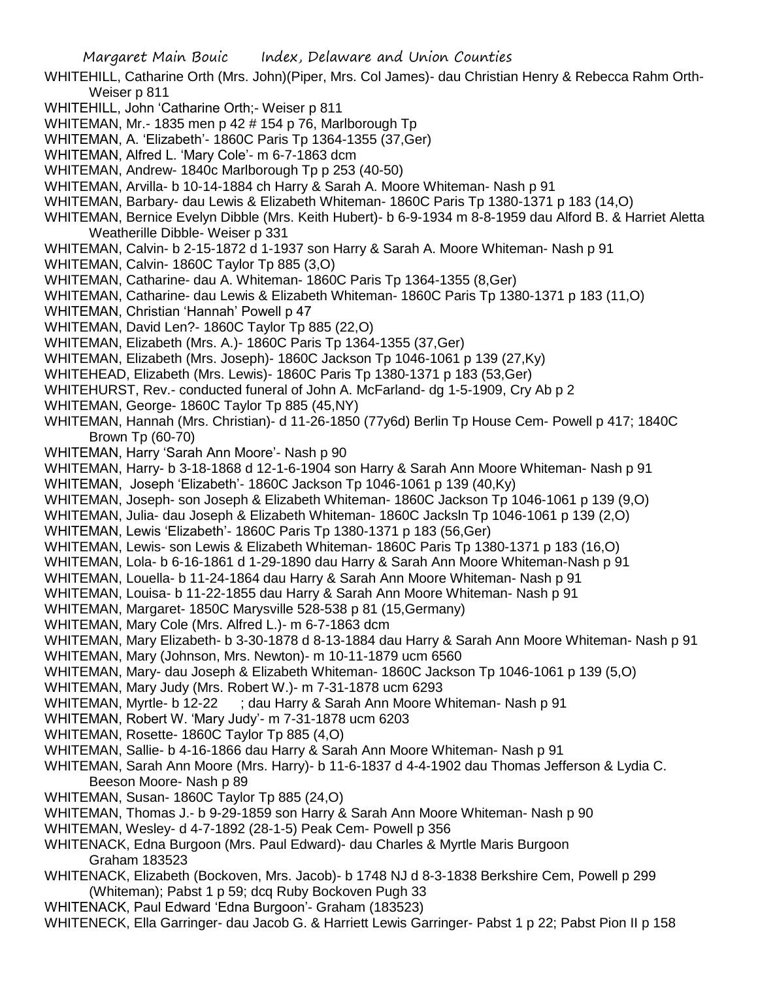- WHITEHILL, Catharine Orth (Mrs. John)(Piper, Mrs. Col James)- dau Christian Henry & Rebecca Rahm Orth-Weiser p 811
- WHITEHILL, John 'Catharine Orth;- Weiser p 811
- WHITEMAN, Mr.- 1835 men p 42 # 154 p 76, Marlborough Tp
- WHITEMAN, A. 'Elizabeth'- 1860C Paris Tp 1364-1355 (37,Ger)
- WHITEMAN, Alfred L. 'Mary Cole'- m 6-7-1863 dcm
- WHITEMAN, Andrew- 1840c Marlborough Tp p 253 (40-50)
- WHITEMAN, Arvilla- b 10-14-1884 ch Harry & Sarah A. Moore Whiteman- Nash p 91
- WHITEMAN, Barbary- dau Lewis & Elizabeth Whiteman- 1860C Paris Tp 1380-1371 p 183 (14,O)
- WHITEMAN, Bernice Evelyn Dibble (Mrs. Keith Hubert)- b 6-9-1934 m 8-8-1959 dau Alford B. & Harriet Aletta Weatherille Dibble- Weiser p 331
- WHITEMAN, Calvin- b 2-15-1872 d 1-1937 son Harry & Sarah A. Moore Whiteman- Nash p 91
- WHITEMAN, Calvin- 1860C Taylor Tp 885 (3,O)
- WHITEMAN, Catharine- dau A. Whiteman- 1860C Paris Tp 1364-1355 (8,Ger)
- WHITEMAN, Catharine- dau Lewis & Elizabeth Whiteman- 1860C Paris Tp 1380-1371 p 183 (11,O)
- WHITEMAN, Christian 'Hannah' Powell p 47
- WHITEMAN, David Len?- 1860C Taylor Tp 885 (22,O)
- WHITEMAN, Elizabeth (Mrs. A.)- 1860C Paris Tp 1364-1355 (37,Ger)
- WHITEMAN, Elizabeth (Mrs. Joseph)- 1860C Jackson Tp 1046-1061 p 139 (27,Ky)
- WHITEHEAD, Elizabeth (Mrs. Lewis)- 1860C Paris Tp 1380-1371 p 183 (53,Ger)
- WHITEHURST, Rev.- conducted funeral of John A. McFarland- dg 1-5-1909, Cry Ab p 2
- WHITEMAN, George- 1860C Taylor Tp 885 (45,NY)
- WHITEMAN, Hannah (Mrs. Christian)- d 11-26-1850 (77y6d) Berlin Tp House Cem- Powell p 417; 1840C Brown Tp (60-70)
- WHITEMAN, Harry 'Sarah Ann Moore'- Nash p 90
- WHITEMAN, Harry- b 3-18-1868 d 12-1-6-1904 son Harry & Sarah Ann Moore Whiteman- Nash p 91
- WHITEMAN, Joseph 'Elizabeth'- 1860C Jackson Tp 1046-1061 p 139 (40,Ky)
- WHITEMAN, Joseph- son Joseph & Elizabeth Whiteman- 1860C Jackson Tp 1046-1061 p 139 (9,O)
- WHITEMAN, Julia- dau Joseph & Elizabeth Whiteman- 1860C Jacksln Tp 1046-1061 p 139 (2,O)
- WHITEMAN, Lewis 'Elizabeth'- 1860C Paris Tp 1380-1371 p 183 (56,Ger)
- WHITEMAN, Lewis- son Lewis & Elizabeth Whiteman- 1860C Paris Tp 1380-1371 p 183 (16,O)
- WHITEMAN, Lola- b 6-16-1861 d 1-29-1890 dau Harry & Sarah Ann Moore Whiteman-Nash p 91
- WHITEMAN, Louella- b 11-24-1864 dau Harry & Sarah Ann Moore Whiteman- Nash p 91
- WHITEMAN, Louisa- b 11-22-1855 dau Harry & Sarah Ann Moore Whiteman- Nash p 91
- WHITEMAN, Margaret- 1850C Marysville 528-538 p 81 (15,Germany)
- WHITEMAN, Mary Cole (Mrs. Alfred L.)- m 6-7-1863 dcm
- WHITEMAN, Mary Elizabeth- b 3-30-1878 d 8-13-1884 dau Harry & Sarah Ann Moore Whiteman- Nash p 91
- WHITEMAN, Mary (Johnson, Mrs. Newton)- m 10-11-1879 ucm 6560
- WHITEMAN, Mary- dau Joseph & Elizabeth Whiteman- 1860C Jackson Tp 1046-1061 p 139 (5,O)
- WHITEMAN, Mary Judy (Mrs. Robert W.)- m 7-31-1878 ucm 6293
- WHITEMAN, Myrtle- b 12-22 ; dau Harry & Sarah Ann Moore Whiteman- Nash p 91
- WHITEMAN, Robert W. 'Mary Judy'- m 7-31-1878 ucm 6203
- WHITEMAN, Rosette- 1860C Taylor Tp 885 (4,O)
- WHITEMAN, Sallie- b 4-16-1866 dau Harry & Sarah Ann Moore Whiteman- Nash p 91
- WHITEMAN, Sarah Ann Moore (Mrs. Harry)- b 11-6-1837 d 4-4-1902 dau Thomas Jefferson & Lydia C. Beeson Moore- Nash p 89
- WHITEMAN, Susan- 1860C Taylor Tp 885 (24,O)
- WHITEMAN, Thomas J.- b 9-29-1859 son Harry & Sarah Ann Moore Whiteman- Nash p 90
- WHITEMAN, Wesley- d 4-7-1892 (28-1-5) Peak Cem- Powell p 356
- WHITENACK, Edna Burgoon (Mrs. Paul Edward)- dau Charles & Myrtle Maris Burgoon Graham 183523
- WHITENACK, Elizabeth (Bockoven, Mrs. Jacob)- b 1748 NJ d 8-3-1838 Berkshire Cem, Powell p 299 (Whiteman); Pabst 1 p 59; dcq Ruby Bockoven Pugh 33
- WHITENACK, Paul Edward 'Edna Burgoon'- Graham (183523)
- WHITENECK, Ella Garringer- dau Jacob G. & Harriett Lewis Garringer- Pabst 1 p 22; Pabst Pion II p 158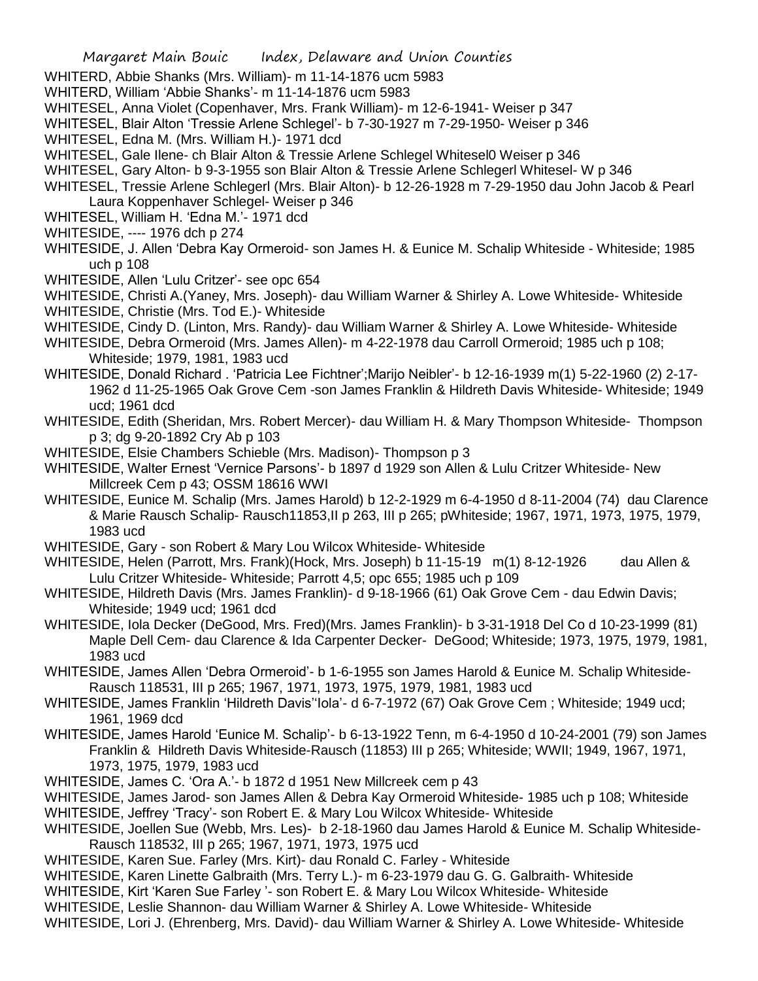- WHITERD, Abbie Shanks (Mrs. William)- m 11-14-1876 ucm 5983
- WHITERD, William 'Abbie Shanks'- m 11-14-1876 ucm 5983
- WHITESEL, Anna Violet (Copenhaver, Mrs. Frank William)- m 12-6-1941- Weiser p 347
- WHITESEL, Blair Alton 'Tressie Arlene Schlegel'- b 7-30-1927 m 7-29-1950- Weiser p 346
- WHITESEL, Edna M. (Mrs. William H.)- 1971 dcd
- WHITESEL, Gale Ilene- ch Blair Alton & Tressie Arlene Schlegel Whitesel0 Weiser p 346
- WHITESEL, Gary Alton- b 9-3-1955 son Blair Alton & Tressie Arlene Schlegerl Whitesel- W p 346
- WHITESEL, Tressie Arlene Schlegerl (Mrs. Blair Alton)- b 12-26-1928 m 7-29-1950 dau John Jacob & Pearl Laura Koppenhaver Schlegel- Weiser p 346
- WHITESEL, William H. 'Edna M.'- 1971 dcd
- WHITESIDE, ---- 1976 dch p 274
- WHITESIDE, J. Allen 'Debra Kay Ormeroid- son James H. & Eunice M. Schalip Whiteside Whiteside; 1985 uch p 108
- WHITESIDE, Allen 'Lulu Critzer'- see opc 654
- WHITESIDE, Christi A.(Yaney, Mrs. Joseph)- dau William Warner & Shirley A. Lowe Whiteside- Whiteside WHITESIDE, Christie (Mrs. Tod E.)- Whiteside
- WHITESIDE, Cindy D. (Linton, Mrs. Randy)- dau William Warner & Shirley A. Lowe Whiteside- Whiteside
- WHITESIDE, Debra Ormeroid (Mrs. James Allen)- m 4-22-1978 dau Carroll Ormeroid; 1985 uch p 108; Whiteside; 1979, 1981, 1983 ucd
- WHITESIDE, Donald Richard . 'Patricia Lee Fichtner';Marijo Neibler'- b 12-16-1939 m(1) 5-22-1960 (2) 2-17- 1962 d 11-25-1965 Oak Grove Cem -son James Franklin & Hildreth Davis Whiteside- Whiteside; 1949 ucd; 1961 dcd
- WHITESIDE, Edith (Sheridan, Mrs. Robert Mercer)- dau William H. & Mary Thompson Whiteside- Thompson p 3; dg 9-20-1892 Cry Ab p 103
- WHITESIDE, Elsie Chambers Schieble (Mrs. Madison)- Thompson p 3
- WHITESIDE, Walter Ernest 'Vernice Parsons'- b 1897 d 1929 son Allen & Lulu Critzer Whiteside- New Millcreek Cem p 43; OSSM 18616 WWI
- WHITESIDE, Eunice M. Schalip (Mrs. James Harold) b 12-2-1929 m 6-4-1950 d 8-11-2004 (74) dau Clarence & Marie Rausch Schalip- Rausch11853,II p 263, III p 265; pWhiteside; 1967, 1971, 1973, 1975, 1979, 1983 ucd
- WHITESIDE, Gary son Robert & Mary Lou Wilcox Whiteside- Whiteside
- WHITESIDE, Helen (Parrott, Mrs. Frank) (Hock, Mrs. Joseph) b 11-15-19 m(1) 8-12-1926 dau Allen & Lulu Critzer Whiteside- Whiteside; Parrott 4,5; opc 655; 1985 uch p 109
- WHITESIDE, Hildreth Davis (Mrs. James Franklin)- d 9-18-1966 (61) Oak Grove Cem dau Edwin Davis; Whiteside; 1949 ucd; 1961 dcd
- WHITESIDE, Iola Decker (DeGood, Mrs. Fred)(Mrs. James Franklin)- b 3-31-1918 Del Co d 10-23-1999 (81) Maple Dell Cem- dau Clarence & Ida Carpenter Decker- DeGood; Whiteside; 1973, 1975, 1979, 1981, 1983 ucd
- WHITESIDE, James Allen 'Debra Ormeroid'- b 1-6-1955 son James Harold & Eunice M. Schalip Whiteside-Rausch 118531, III p 265; 1967, 1971, 1973, 1975, 1979, 1981, 1983 ucd
- WHITESIDE, James Franklin 'Hildreth Davis''Iola'- d 6-7-1972 (67) Oak Grove Cem ; Whiteside; 1949 ucd; 1961, 1969 dcd
- WHITESIDE, James Harold 'Eunice M. Schalip'- b 6-13-1922 Tenn, m 6-4-1950 d 10-24-2001 (79) son James Franklin & Hildreth Davis Whiteside-Rausch (11853) III p 265; Whiteside; WWII; 1949, 1967, 1971, 1973, 1975, 1979, 1983 ucd
- WHITESIDE, James C. 'Ora A.'- b 1872 d 1951 New Millcreek cem p 43
- WHITESIDE, James Jarod- son James Allen & Debra Kay Ormeroid Whiteside- 1985 uch p 108; Whiteside
- WHITESIDE, Jeffrey 'Tracy'- son Robert E. & Mary Lou Wilcox Whiteside- Whiteside
- WHITESIDE, Joellen Sue (Webb, Mrs. Les)- b 2-18-1960 dau James Harold & Eunice M. Schalip Whiteside-Rausch 118532, III p 265; 1967, 1971, 1973, 1975 ucd
- WHITESIDE, Karen Sue. Farley (Mrs. Kirt)- dau Ronald C. Farley Whiteside
- WHITESIDE, Karen Linette Galbraith (Mrs. Terry L.)- m 6-23-1979 dau G. G. Galbraith- Whiteside
- WHITESIDE, Kirt 'Karen Sue Farley '- son Robert E. & Mary Lou Wilcox Whiteside- Whiteside
- WHITESIDE, Leslie Shannon- dau William Warner & Shirley A. Lowe Whiteside- Whiteside
- WHITESIDE, Lori J. (Ehrenberg, Mrs. David)- dau William Warner & Shirley A. Lowe Whiteside- Whiteside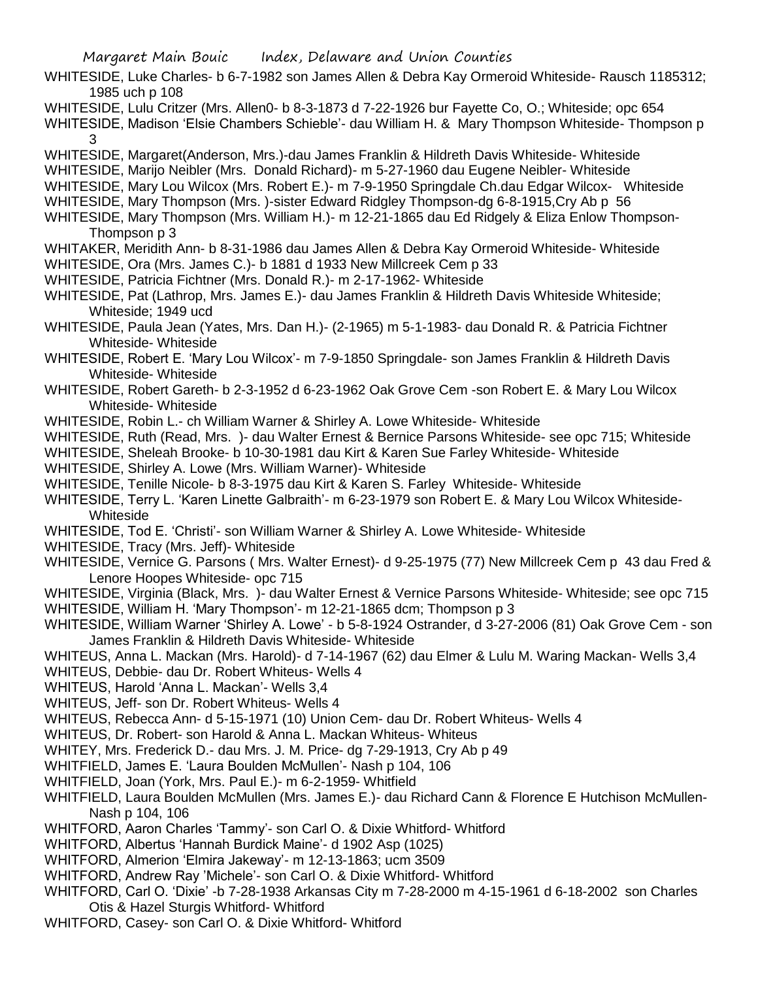- WHITESIDE, Luke Charles- b 6-7-1982 son James Allen & Debra Kay Ormeroid Whiteside- Rausch 1185312; 1985 uch p 108
- WHITESIDE, Lulu Critzer (Mrs. Allen0- b 8-3-1873 d 7-22-1926 bur Fayette Co, O.; Whiteside; opc 654
- WHITESIDE, Madison 'Elsie Chambers Schieble'- dau William H. & Mary Thompson Whiteside- Thompson p 3
- WHITESIDE, Margaret(Anderson, Mrs.)-dau James Franklin & Hildreth Davis Whiteside- Whiteside
- WHITESIDE, Marijo Neibler (Mrs. Donald Richard)- m 5-27-1960 dau Eugene Neibler- Whiteside
- WHITESIDE, Mary Lou Wilcox (Mrs. Robert E.)- m 7-9-1950 Springdale Ch.dau Edgar Wilcox- Whiteside
- WHITESIDE, Mary Thompson (Mrs.)-sister Edward Ridgley Thompson-dg 6-8-1915, Cry Ab p 56
- WHITESIDE, Mary Thompson (Mrs. William H.)- m 12-21-1865 dau Ed Ridgely & Eliza Enlow Thompson-Thompson p 3
- WHITAKER, Meridith Ann- b 8-31-1986 dau James Allen & Debra Kay Ormeroid Whiteside- Whiteside
- WHITESIDE, Ora (Mrs. James C.)- b 1881 d 1933 New Millcreek Cem p 33
- WHITESIDE, Patricia Fichtner (Mrs. Donald R.)- m 2-17-1962- Whiteside
- WHITESIDE, Pat (Lathrop, Mrs. James E.)- dau James Franklin & Hildreth Davis Whiteside Whiteside; Whiteside; 1949 ucd
- WHITESIDE, Paula Jean (Yates, Mrs. Dan H.)- (2-1965) m 5-1-1983- dau Donald R. & Patricia Fichtner Whiteside- Whiteside
- WHITESIDE, Robert E. 'Mary Lou Wilcox'- m 7-9-1850 Springdale- son James Franklin & Hildreth Davis Whiteside- Whiteside
- WHITESIDE, Robert Gareth- b 2-3-1952 d 6-23-1962 Oak Grove Cem -son Robert E. & Mary Lou Wilcox Whiteside- Whiteside
- WHITESIDE, Robin L.- ch William Warner & Shirley A. Lowe Whiteside- Whiteside
- WHITESIDE, Ruth (Read, Mrs. )- dau Walter Ernest & Bernice Parsons Whiteside- see opc 715; Whiteside
- WHITESIDE, Sheleah Brooke- b 10-30-1981 dau Kirt & Karen Sue Farley Whiteside- Whiteside
- WHITESIDE, Shirley A. Lowe (Mrs. William Warner)- Whiteside
- WHITESIDE, Tenille Nicole- b 8-3-1975 dau Kirt & Karen S. Farley Whiteside- Whiteside
- WHITESIDE, Terry L. 'Karen Linette Galbraith'- m 6-23-1979 son Robert E. & Mary Lou Wilcox Whiteside-Whiteside
- WHITESIDE, Tod E. 'Christi'- son William Warner & Shirley A. Lowe Whiteside- Whiteside
- WHITESIDE, Tracy (Mrs. Jeff)- Whiteside
- WHITESIDE, Vernice G. Parsons ( Mrs. Walter Ernest)- d 9-25-1975 (77) New Millcreek Cem p 43 dau Fred & Lenore Hoopes Whiteside- opc 715
- WHITESIDE, Virginia (Black, Mrs. )- dau Walter Ernest & Vernice Parsons Whiteside- Whiteside; see opc 715
- WHITESIDE, William H. 'Mary Thompson'- m 12-21-1865 dcm; Thompson p 3
- WHITESIDE, William Warner 'Shirley A. Lowe' b 5-8-1924 Ostrander, d 3-27-2006 (81) Oak Grove Cem son James Franklin & Hildreth Davis Whiteside- Whiteside
- WHITEUS, Anna L. Mackan (Mrs. Harold)- d 7-14-1967 (62) dau Elmer & Lulu M. Waring Mackan- Wells 3,4
- WHITEUS, Debbie- dau Dr. Robert Whiteus- Wells 4
- WHITEUS, Harold 'Anna L. Mackan'- Wells 3,4
- WHITEUS, Jeff- son Dr. Robert Whiteus- Wells 4
- WHITEUS, Rebecca Ann- d 5-15-1971 (10) Union Cem- dau Dr. Robert Whiteus- Wells 4
- WHITEUS, Dr. Robert- son Harold & Anna L. Mackan Whiteus- Whiteus
- WHITEY, Mrs. Frederick D.- dau Mrs. J. M. Price- dg 7-29-1913, Cry Ab p 49
- WHITFIELD, James E. 'Laura Boulden McMullen'- Nash p 104, 106
- WHITFIELD, Joan (York, Mrs. Paul E.)- m 6-2-1959- Whitfield
- WHITFIELD, Laura Boulden McMullen (Mrs. James E.)- dau Richard Cann & Florence E Hutchison McMullen-Nash p 104, 106
- WHITFORD, Aaron Charles 'Tammy'- son Carl O. & Dixie Whitford- Whitford
- WHITFORD, Albertus 'Hannah Burdick Maine'- d 1902 Asp (1025)
- WHITFORD, Almerion 'Elmira Jakeway'- m 12-13-1863; ucm 3509
- WHITFORD, Andrew Ray 'Michele'- son Carl O. & Dixie Whitford- Whitford
- WHITFORD, Carl O. 'Dixie' -b 7-28-1938 Arkansas City m 7-28-2000 m 4-15-1961 d 6-18-2002 son Charles Otis & Hazel Sturgis Whitford- Whitford
- WHITFORD, Casey- son Carl O. & Dixie Whitford- Whitford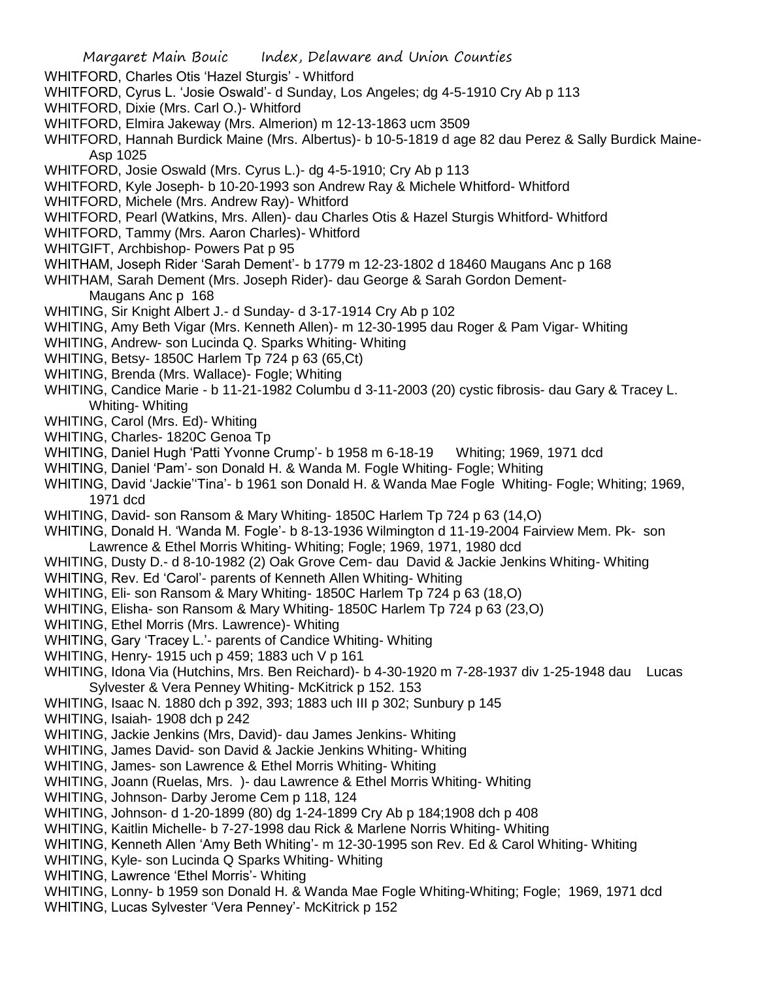- WHITFORD, Charles Otis 'Hazel Sturgis' Whitford
- WHITFORD, Cyrus L. 'Josie Oswald'- d Sunday, Los Angeles; dg 4-5-1910 Cry Ab p 113
- WHITFORD, Dixie (Mrs. Carl O.)- Whitford
- WHITFORD, Elmira Jakeway (Mrs. Almerion) m 12-13-1863 ucm 3509
- WHITFORD, Hannah Burdick Maine (Mrs. Albertus)- b 10-5-1819 d age 82 dau Perez & Sally Burdick Maine-Asp 1025
- WHITFORD, Josie Oswald (Mrs. Cyrus L.)- dg 4-5-1910; Cry Ab p 113
- WHITFORD, Kyle Joseph- b 10-20-1993 son Andrew Ray & Michele Whitford- Whitford
- WHITFORD, Michele (Mrs. Andrew Ray)- Whitford
- WHITFORD, Pearl (Watkins, Mrs. Allen)- dau Charles Otis & Hazel Sturgis Whitford- Whitford
- WHITFORD, Tammy (Mrs. Aaron Charles)- Whitford
- WHITGIFT, Archbishop- Powers Pat p 95
- WHITHAM, Joseph Rider 'Sarah Dement'- b 1779 m 12-23-1802 d 18460 Maugans Anc p 168
- WHITHAM, Sarah Dement (Mrs. Joseph Rider)- dau George & Sarah Gordon Dement-
	- Maugans Anc p 168
- WHITING, Sir Knight Albert J.- d Sunday- d 3-17-1914 Cry Ab p 102
- WHITING, Amy Beth Vigar (Mrs. Kenneth Allen)- m 12-30-1995 dau Roger & Pam Vigar- Whiting
- WHITING, Andrew- son Lucinda Q. Sparks Whiting- Whiting
- WHITING, Betsy- 1850C Harlem Tp 724 p 63 (65,Ct)
- WHITING, Brenda (Mrs. Wallace)- Fogle; Whiting
- WHITING, Candice Marie b 11-21-1982 Columbu d 3-11-2003 (20) cystic fibrosis- dau Gary & Tracey L. Whiting- Whiting
- WHITING, Carol (Mrs. Ed)- Whiting
- WHITING, Charles- 1820C Genoa Tp
- WHITING, Daniel Hugh 'Patti Yvonne Crump'- b 1958 m 6-18-19 Whiting; 1969, 1971 dcd
- WHITING, Daniel 'Pam'- son Donald H. & Wanda M. Fogle Whiting- Fogle; Whiting
- WHITING, David 'Jackie''Tina'- b 1961 son Donald H. & Wanda Mae Fogle Whiting- Fogle; Whiting; 1969, 1971 dcd
- WHITING, David- son Ransom & Mary Whiting- 1850C Harlem Tp 724 p 63 (14,O)
- WHITING, Donald H. 'Wanda M. Fogle'- b 8-13-1936 Wilmington d 11-19-2004 Fairview Mem. Pk- son Lawrence & Ethel Morris Whiting- Whiting; Fogle; 1969, 1971, 1980 dcd
- WHITING, Dusty D.- d 8-10-1982 (2) Oak Grove Cem- dau David & Jackie Jenkins Whiting- Whiting
- WHITING, Rev. Ed 'Carol'- parents of Kenneth Allen Whiting- Whiting
- WHITING, Eli- son Ransom & Mary Whiting- 1850C Harlem Tp 724 p 63 (18,O)
- WHITING, Elisha- son Ransom & Mary Whiting- 1850C Harlem Tp 724 p 63 (23,O)
- WHITING, Ethel Morris (Mrs. Lawrence)- Whiting
- WHITING, Gary 'Tracey L.'- parents of Candice Whiting- Whiting
- WHITING, Henry- 1915 uch p 459; 1883 uch V p 161
- WHITING, Idona Via (Hutchins, Mrs. Ben Reichard)- b 4-30-1920 m 7-28-1937 div 1-25-1948 dau Lucas Sylvester & Vera Penney Whiting- McKitrick p 152. 153
- WHITING, Isaac N. 1880 dch p 392, 393; 1883 uch III p 302; Sunbury p 145
- WHITING, Isaiah- 1908 dch p 242
- WHITING, Jackie Jenkins (Mrs, David)- dau James Jenkins- Whiting
- WHITING, James David- son David & Jackie Jenkins Whiting- Whiting
- WHITING, James- son Lawrence & Ethel Morris Whiting- Whiting
- WHITING, Joann (Ruelas, Mrs. )- dau Lawrence & Ethel Morris Whiting- Whiting
- WHITING, Johnson- Darby Jerome Cem p 118, 124
- WHITING, Johnson- d 1-20-1899 (80) dg 1-24-1899 Cry Ab p 184;1908 dch p 408
- WHITING, Kaitlin Michelle- b 7-27-1998 dau Rick & Marlene Norris Whiting- Whiting
- WHITING, Kenneth Allen 'Amy Beth Whiting'- m 12-30-1995 son Rev. Ed & Carol Whiting- Whiting
- WHITING, Kyle- son Lucinda Q Sparks Whiting- Whiting
- WHITING, Lawrence 'Ethel Morris'- Whiting
- WHITING, Lonny- b 1959 son Donald H. & Wanda Mae Fogle Whiting-Whiting; Fogle; 1969, 1971 dcd
- WHITING, Lucas Sylvester 'Vera Penney'- McKitrick p 152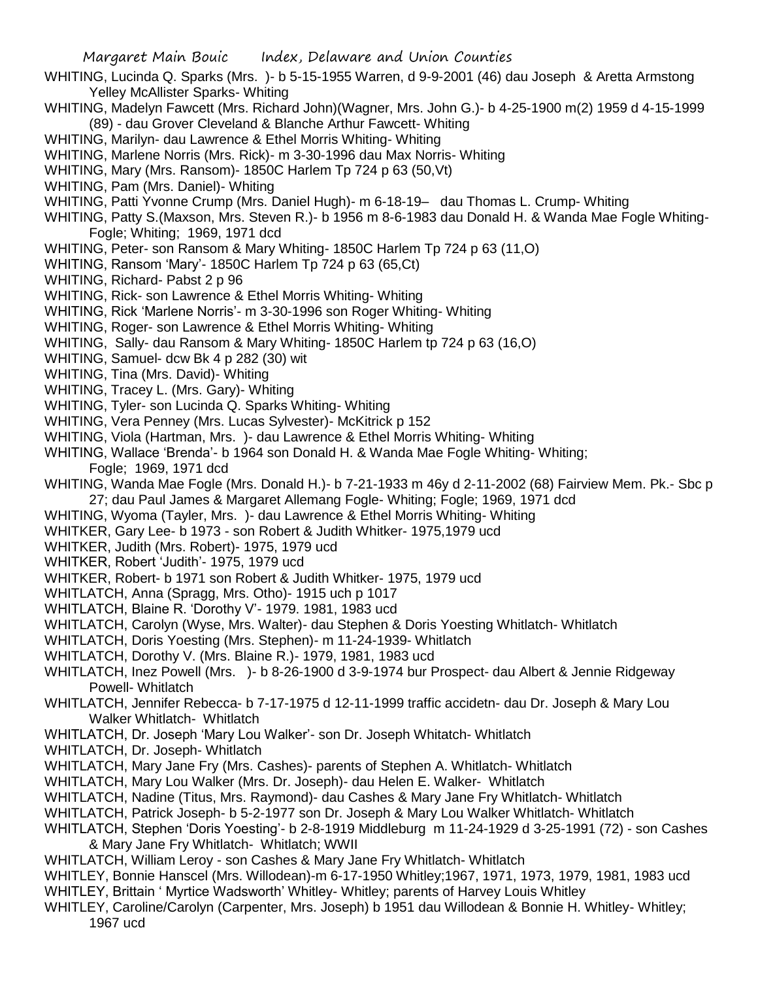- WHITING, Lucinda Q. Sparks (Mrs. )- b 5-15-1955 Warren, d 9-9-2001 (46) dau Joseph & Aretta Armstong Yelley McAllister Sparks- Whiting
- WHITING, Madelyn Fawcett (Mrs. Richard John)(Wagner, Mrs. John G.)- b 4-25-1900 m(2) 1959 d 4-15-1999 (89) - dau Grover Cleveland & Blanche Arthur Fawcett- Whiting
- WHITING, Marilyn- dau Lawrence & Ethel Morris Whiting- Whiting
- WHITING, Marlene Norris (Mrs. Rick)- m 3-30-1996 dau Max Norris- Whiting
- WHITING, Mary (Mrs. Ransom)- 1850C Harlem Tp 724 p 63 (50,Vt)
- WHITING, Pam (Mrs. Daniel)- Whiting
- WHITING, Patti Yvonne Crump (Mrs. Daniel Hugh)- m 6-18-19– dau Thomas L. Crump- Whiting
- WHITING, Patty S.(Maxson, Mrs. Steven R.)- b 1956 m 8-6-1983 dau Donald H. & Wanda Mae Fogle Whiting-Fogle; Whiting; 1969, 1971 dcd
- WHITING, Peter- son Ransom & Mary Whiting- 1850C Harlem Tp 724 p 63 (11,O)
- WHITING, Ransom 'Mary'- 1850C Harlem Tp 724 p 63 (65,Ct)
- WHITING, Richard- Pabst 2 p 96
- WHITING, Rick- son Lawrence & Ethel Morris Whiting- Whiting
- WHITING, Rick 'Marlene Norris'- m 3-30-1996 son Roger Whiting- Whiting
- WHITING, Roger- son Lawrence & Ethel Morris Whiting- Whiting
- WHITING, Sally- dau Ransom & Mary Whiting- 1850C Harlem tp 724 p 63 (16,O)
- WHITING, Samuel- dcw Bk 4 p 282 (30) wit
- WHITING, Tina (Mrs. David)- Whiting
- WHITING, Tracey L. (Mrs. Gary)- Whiting
- WHITING, Tyler- son Lucinda Q. Sparks Whiting- Whiting
- WHITING, Vera Penney (Mrs. Lucas Sylvester)- McKitrick p 152
- WHITING, Viola (Hartman, Mrs. )- dau Lawrence & Ethel Morris Whiting- Whiting
- WHITING, Wallace 'Brenda'- b 1964 son Donald H. & Wanda Mae Fogle Whiting- Whiting; Fogle; 1969, 1971 dcd
- WHITING, Wanda Mae Fogle (Mrs. Donald H.)- b 7-21-1933 m 46y d 2-11-2002 (68) Fairview Mem. Pk.- Sbc p 27; dau Paul James & Margaret Allemang Fogle- Whiting; Fogle; 1969, 1971 dcd
- WHITING, Wyoma (Tayler, Mrs. )- dau Lawrence & Ethel Morris Whiting- Whiting
- WHITKER, Gary Lee- b 1973 son Robert & Judith Whitker- 1975,1979 ucd
- WHITKER, Judith (Mrs. Robert)- 1975, 1979 ucd
- WHITKER, Robert 'Judith'- 1975, 1979 ucd
- WHITKER, Robert- b 1971 son Robert & Judith Whitker- 1975, 1979 ucd
- WHITLATCH, Anna (Spragg, Mrs. Otho)- 1915 uch p 1017
- WHITLATCH, Blaine R. 'Dorothy V'- 1979. 1981, 1983 ucd
- WHITLATCH, Carolyn (Wyse, Mrs. Walter)- dau Stephen & Doris Yoesting Whitlatch- Whitlatch
- WHITLATCH, Doris Yoesting (Mrs. Stephen)- m 11-24-1939- Whitlatch
- WHITLATCH, Dorothy V. (Mrs. Blaine R.)- 1979, 1981, 1983 ucd
- WHITLATCH, Inez Powell (Mrs. )- b 8-26-1900 d 3-9-1974 bur Prospect- dau Albert & Jennie Ridgeway Powell- Whitlatch
- WHITLATCH, Jennifer Rebecca- b 7-17-1975 d 12-11-1999 traffic accidetn- dau Dr. Joseph & Mary Lou Walker Whitlatch- Whitlatch
- WHITLATCH, Dr. Joseph 'Mary Lou Walker'- son Dr. Joseph Whitatch- Whitlatch
- WHITLATCH, Dr. Joseph- Whitlatch
- WHITLATCH, Mary Jane Fry (Mrs. Cashes)- parents of Stephen A. Whitlatch- Whitlatch
- WHITLATCH, Mary Lou Walker (Mrs. Dr. Joseph)- dau Helen E. Walker- Whitlatch
- WHITLATCH, Nadine (Titus, Mrs. Raymond)- dau Cashes & Mary Jane Fry Whitlatch- Whitlatch
- WHITLATCH, Patrick Joseph- b 5-2-1977 son Dr. Joseph & Mary Lou Walker Whitlatch- Whitlatch
- WHITLATCH, Stephen 'Doris Yoesting'- b 2-8-1919 Middleburg m 11-24-1929 d 3-25-1991 (72) son Cashes & Mary Jane Fry Whitlatch- Whitlatch; WWII
- WHITLATCH, William Leroy son Cashes & Mary Jane Fry Whitlatch- Whitlatch
- WHITLEY, Bonnie Hanscel (Mrs. Willodean)-m 6-17-1950 Whitley;1967, 1971, 1973, 1979, 1981, 1983 ucd
- WHITLEY, Brittain ' Myrtice Wadsworth' Whitley- Whitley; parents of Harvey Louis Whitley
- WHITLEY, Caroline/Carolyn (Carpenter, Mrs. Joseph) b 1951 dau Willodean & Bonnie H. Whitley- Whitley; 1967 ucd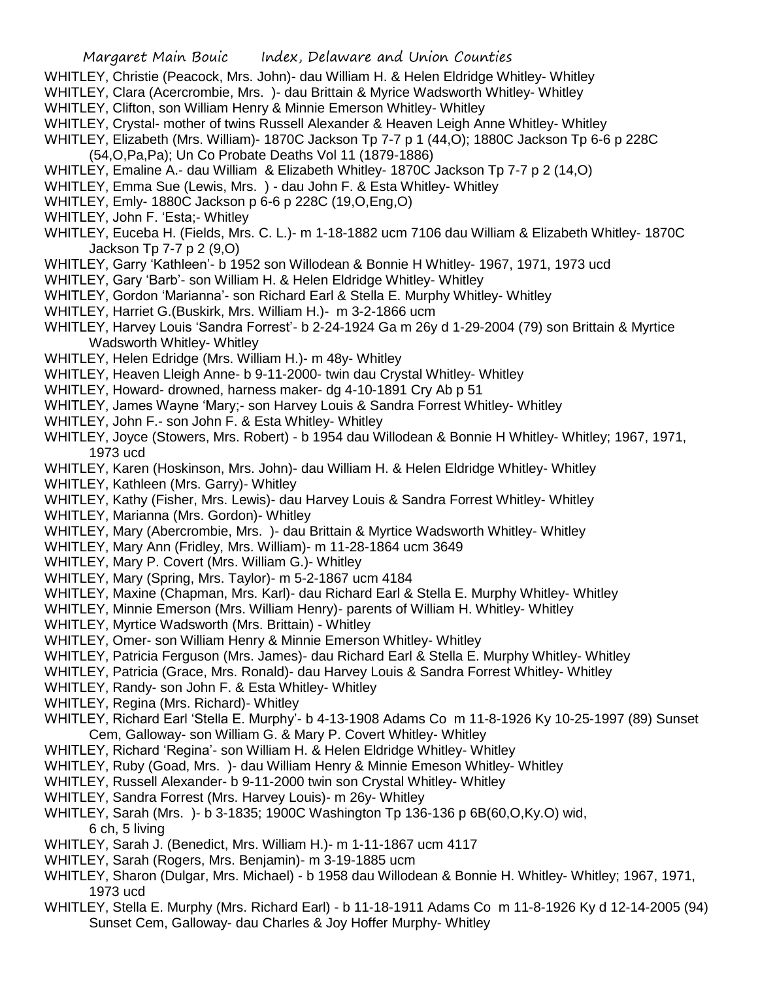- WHITLEY, Christie (Peacock, Mrs. John)- dau William H. & Helen Eldridge Whitley- Whitley
- WHITLEY, Clara (Acercrombie, Mrs. )- dau Brittain & Myrice Wadsworth Whitley- Whitley
- WHITLEY, Clifton, son William Henry & Minnie Emerson Whitley- Whitley
- WHITLEY, Crystal- mother of twins Russell Alexander & Heaven Leigh Anne Whitley- Whitley
- WHITLEY, Elizabeth (Mrs. William)- 1870C Jackson Tp 7-7 p 1 (44,O); 1880C Jackson Tp 6-6 p 228C
- (54,O,Pa,Pa); Un Co Probate Deaths Vol 11 (1879-1886)
- WHITLEY, Emaline A.- dau William & Elizabeth Whitley- 1870C Jackson Tp 7-7 p 2 (14,0)
- WHITLEY, Emma Sue (Lewis, Mrs. ) dau John F. & Esta Whitley- Whitley
- WHITLEY, Emly- 1880C Jackson p 6-6 p 228C (19,O,Eng,O)
- WHITLEY, John F. 'Esta;- Whitley
- WHITLEY, Euceba H. (Fields, Mrs. C. L.)- m 1-18-1882 ucm 7106 dau William & Elizabeth Whitley- 1870C Jackson Tp 7-7 p 2 (9,O)
- WHITLEY, Garry 'Kathleen'- b 1952 son Willodean & Bonnie H Whitley- 1967, 1971, 1973 ucd
- WHITLEY, Gary 'Barb'- son William H. & Helen Eldridge Whitley- Whitley
- WHITLEY, Gordon 'Marianna'- son Richard Earl & Stella E. Murphy Whitley- Whitley
- WHITLEY, Harriet G.(Buskirk, Mrs. William H.)- m 3-2-1866 ucm
- WHITLEY, Harvey Louis 'Sandra Forrest'- b 2-24-1924 Ga m 26y d 1-29-2004 (79) son Brittain & Myrtice Wadsworth Whitley- Whitley
- WHITLEY, Helen Edridge (Mrs. William H.)- m 48y- Whitley
- WHITLEY, Heaven Lleigh Anne- b 9-11-2000- twin dau Crystal Whitley- Whitley
- WHITLEY, Howard- drowned, harness maker- dg 4-10-1891 Cry Ab p 51
- WHITLEY, James Wayne 'Mary;- son Harvey Louis & Sandra Forrest Whitley- Whitley
- WHITLEY, John F.- son John F. & Esta Whitley- Whitley
- WHITLEY, Joyce (Stowers, Mrs. Robert) b 1954 dau Willodean & Bonnie H Whitley- Whitley; 1967, 1971, 1973 ucd
- WHITLEY, Karen (Hoskinson, Mrs. John)- dau William H. & Helen Eldridge Whitley- Whitley
- WHITLEY, Kathleen (Mrs. Garry)- Whitley
- WHITLEY, Kathy (Fisher, Mrs. Lewis)- dau Harvey Louis & Sandra Forrest Whitley- Whitley
- WHITLEY, Marianna (Mrs. Gordon)- Whitley
- WHITLEY, Mary (Abercrombie, Mrs. )- dau Brittain & Myrtice Wadsworth Whitley- Whitley
- WHITLEY, Mary Ann (Fridley, Mrs. William)- m 11-28-1864 ucm 3649
- WHITLEY, Mary P. Covert (Mrs. William G.)- Whitley
- WHITLEY, Mary (Spring, Mrs. Taylor)- m 5-2-1867 ucm 4184
- WHITLEY, Maxine (Chapman, Mrs. Karl)- dau Richard Earl & Stella E. Murphy Whitley- Whitley
- WHITLEY, Minnie Emerson (Mrs. William Henry)- parents of William H. Whitley- Whitley
- WHITLEY, Myrtice Wadsworth (Mrs. Brittain) Whitley
- WHITLEY, Omer- son William Henry & Minnie Emerson Whitley- Whitley
- WHITLEY, Patricia Ferguson (Mrs. James)- dau Richard Earl & Stella E. Murphy Whitley- Whitley
- WHITLEY, Patricia (Grace, Mrs. Ronald)- dau Harvey Louis & Sandra Forrest Whitley- Whitley
- WHITLEY, Randy- son John F. & Esta Whitley- Whitley
- WHITLEY, Regina (Mrs. Richard)- Whitley
- WHITLEY, Richard Earl 'Stella E. Murphy'- b 4-13-1908 Adams Co m 11-8-1926 Ky 10-25-1997 (89) Sunset Cem, Galloway- son William G. & Mary P. Covert Whitley- Whitley
- WHITLEY, Richard 'Regina'- son William H. & Helen Eldridge Whitley- Whitley
- WHITLEY, Ruby (Goad, Mrs. )- dau William Henry & Minnie Emeson Whitley- Whitley
- WHITLEY, Russell Alexander- b 9-11-2000 twin son Crystal Whitley- Whitley
- WHITLEY, Sandra Forrest (Mrs. Harvey Louis)- m 26y- Whitley
- WHITLEY, Sarah (Mrs. )- b 3-1835; 1900C Washington Tp 136-136 p 6B(60,O,Ky.O) wid, 6 ch, 5 living
- WHITLEY, Sarah J. (Benedict, Mrs. William H.)- m 1-11-1867 ucm 4117
- WHITLEY, Sarah (Rogers, Mrs. Benjamin)- m 3-19-1885 ucm
- WHITLEY, Sharon (Dulgar, Mrs. Michael) b 1958 dau Willodean & Bonnie H. Whitley- Whitley; 1967, 1971, 1973 ucd
- WHITLEY, Stella E. Murphy (Mrs. Richard Earl) b 11-18-1911 Adams Co m 11-8-1926 Ky d 12-14-2005 (94) Sunset Cem, Galloway- dau Charles & Joy Hoffer Murphy- Whitley